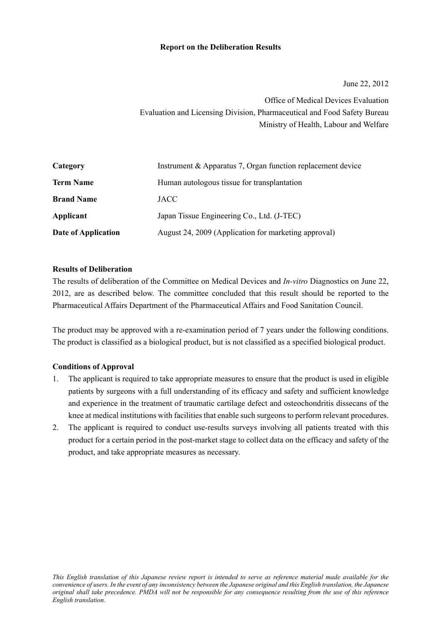### **Report on the Deliberation Results**

June 22, 2012

Office of Medical Devices Evaluation Evaluation and Licensing Division, Pharmaceutical and Food Safety Bureau Ministry of Health, Labour and Welfare

| Category            | Instrument & Apparatus 7, Organ function replacement device |
|---------------------|-------------------------------------------------------------|
| <b>Term Name</b>    | Human autologous tissue for transplantation                 |
| <b>Brand Name</b>   | <b>JACC</b>                                                 |
| Applicant           | Japan Tissue Engineering Co., Ltd. (J-TEC)                  |
| Date of Application | August 24, 2009 (Application for marketing approval)        |

#### **Results of Deliberation**

The results of deliberation of the Committee on Medical Devices and *In-vitro* Diagnostics on June 22, 2012, are as described below. The committee concluded that this result should be reported to the Pharmaceutical Affairs Department of the Pharmaceutical Affairs and Food Sanitation Council.

The product may be approved with a re-examination period of 7 years under the following conditions. The product is classified as a biological product, but is not classified as a specified biological product.

# **Conditions of Approval**

- 1. The applicant is required to take appropriate measures to ensure that the product is used in eligible patients by surgeons with a full understanding of its efficacy and safety and sufficient knowledge and experience in the treatment of traumatic cartilage defect and osteochondritis dissecans of the knee at medical institutions with facilities that enable such surgeons to perform relevant procedures.
- 2. The applicant is required to conduct use-results surveys involving all patients treated with this product for a certain period in the post-market stage to collect data on the efficacy and safety of the product, and take appropriate measures as necessary.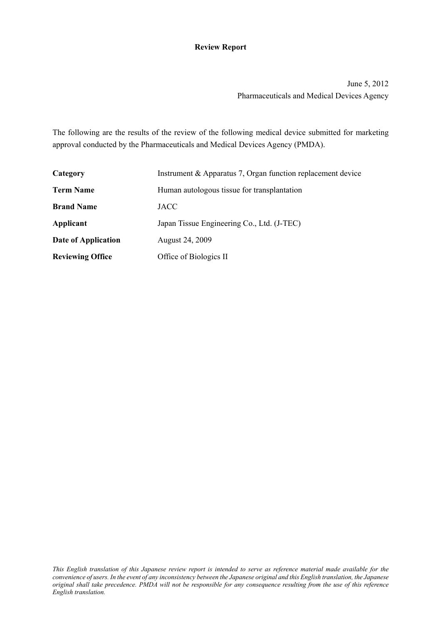# **Review Report**

June 5, 2012 Pharmaceuticals and Medical Devices Agency

The following are the results of the review of the following medical device submitted for marketing approval conducted by the Pharmaceuticals and Medical Devices Agency (PMDA).

| Category                | Instrument & Apparatus 7, Organ function replacement device |  |  |  |
|-------------------------|-------------------------------------------------------------|--|--|--|
| <b>Term Name</b>        | Human autologous tissue for transplantation                 |  |  |  |
| <b>Brand Name</b>       | <b>JACC</b>                                                 |  |  |  |
| Applicant               | Japan Tissue Engineering Co., Ltd. (J-TEC)                  |  |  |  |
| Date of Application     | August 24, 2009                                             |  |  |  |
| <b>Reviewing Office</b> | Office of Biologics II                                      |  |  |  |

*This English translation of this Japanese review report is intended to serve as reference material made available for the convenience of users. In the event of any inconsistency between the Japanese original and this English translation, the Japanese original shall take precedence. PMDA will not be responsible for any consequence resulting from the use of this reference English translation.*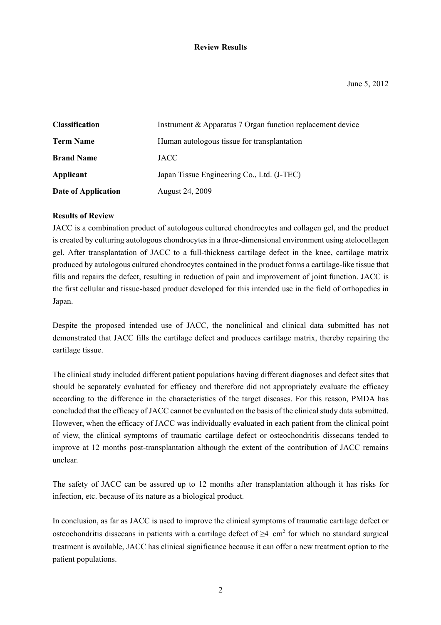### **Review Results**

| <b>Classification</b> | Instrument & Apparatus 7 Organ function replacement device |
|-----------------------|------------------------------------------------------------|
| <b>Term Name</b>      | Human autologous tissue for transplantation                |
| <b>Brand Name</b>     | <b>JACC</b>                                                |
| Applicant             | Japan Tissue Engineering Co., Ltd. (J-TEC)                 |
| Date of Application   | August 24, 2009                                            |

### **Results of Review**

JACC is a combination product of autologous cultured chondrocytes and collagen gel, and the product is created by culturing autologous chondrocytes in a three-dimensional environment using atelocollagen gel. After transplantation of JACC to a full-thickness cartilage defect in the knee, cartilage matrix produced by autologous cultured chondrocytes contained in the product forms a cartilage-like tissue that fills and repairs the defect, resulting in reduction of pain and improvement of joint function. JACC is the first cellular and tissue-based product developed for this intended use in the field of orthopedics in Japan.

Despite the proposed intended use of JACC, the nonclinical and clinical data submitted has not demonstrated that JACC fills the cartilage defect and produces cartilage matrix, thereby repairing the cartilage tissue.

The clinical study included different patient populations having different diagnoses and defect sites that should be separately evaluated for efficacy and therefore did not appropriately evaluate the efficacy according to the difference in the characteristics of the target diseases. For this reason, PMDA has concluded that the efficacy of JACC cannot be evaluated on the basis of the clinical study data submitted. However, when the efficacy of JACC was individually evaluated in each patient from the clinical point of view, the clinical symptoms of traumatic cartilage defect or osteochondritis dissecans tended to improve at 12 months post-transplantation although the extent of the contribution of JACC remains unclear.

The safety of JACC can be assured up to 12 months after transplantation although it has risks for infection, etc. because of its nature as a biological product.

In conclusion, as far as JACC is used to improve the clinical symptoms of traumatic cartilage defect or osteochondritis dissecans in patients with a cartilage defect of  $\geq 4$  cm<sup>2</sup> for which no standard surgical treatment is available, JACC has clinical significance because it can offer a new treatment option to the patient populations.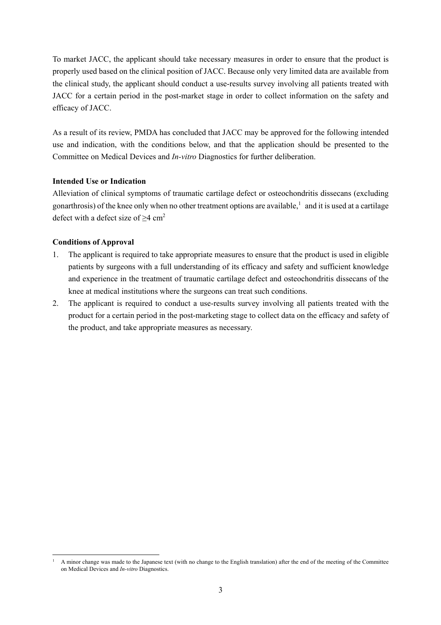To market JACC, the applicant should take necessary measures in order to ensure that the product is properly used based on the clinical position of JACC. Because only very limited data are available from the clinical study, the applicant should conduct a use-results survey involving all patients treated with JACC for a certain period in the post-market stage in order to collect information on the safety and efficacy of JACC.

As a result of its review, PMDA has concluded that JACC may be approved for the following intended use and indication, with the conditions below, and that the application should be presented to the Committee on Medical Devices and *In-vitro* Diagnostics for further deliberation.

### **Intended Use or Indication**

Alleviation of clinical symptoms of traumatic cartilage defect or osteochondritis dissecans (excluding gonarthrosis) of the knee only when no other treatment options are available, $\frac{1}{2}$  and it is used at a cartilage defect with a defect size of  $\geq 4$  cm<sup>2</sup>

# **Conditions of Approval**

- 1. The applicant is required to take appropriate measures to ensure that the product is used in eligible patients by surgeons with a full understanding of its efficacy and safety and sufficient knowledge and experience in the treatment of traumatic cartilage defect and osteochondritis dissecans of the knee at medical institutions where the surgeons can treat such conditions.
- 2. The applicant is required to conduct a use-results survey involving all patients treated with the product for a certain period in the post-marketing stage to collect data on the efficacy and safety of the product, and take appropriate measures as necessary.

l 1 A minor change was made to the Japanese text (with no change to the English translation) after the end of the meeting of the Committee on Medical Devices and *In-vitro* Diagnostics.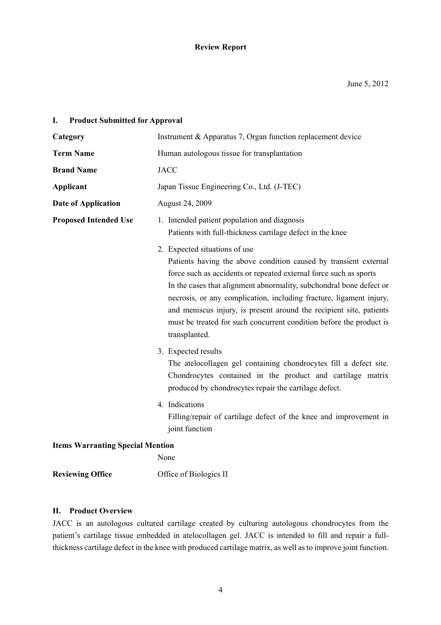# **Review Report**

# **I. Product Submitted for Approval**

| Category                                | Instrument & Apparatus 7, Organ function replacement device                                                                                                                                                                                                                                                                                                                                                                                                                         |  |  |  |
|-----------------------------------------|-------------------------------------------------------------------------------------------------------------------------------------------------------------------------------------------------------------------------------------------------------------------------------------------------------------------------------------------------------------------------------------------------------------------------------------------------------------------------------------|--|--|--|
| <b>Term Name</b>                        | Human autologous tissue for transplantation                                                                                                                                                                                                                                                                                                                                                                                                                                         |  |  |  |
| <b>Brand Name</b>                       | <b>JACC</b>                                                                                                                                                                                                                                                                                                                                                                                                                                                                         |  |  |  |
| <b>Applicant</b>                        | Japan Tissue Engineering Co., Ltd. (J-TEC)                                                                                                                                                                                                                                                                                                                                                                                                                                          |  |  |  |
| <b>Date of Application</b>              | August 24, 2009                                                                                                                                                                                                                                                                                                                                                                                                                                                                     |  |  |  |
| <b>Proposed Intended Use</b>            | 1. Intended patient population and diagnosis<br>Patients with full-thickness cartilage defect in the knee                                                                                                                                                                                                                                                                                                                                                                           |  |  |  |
|                                         | 2. Expected situations of use<br>Patients having the above condition caused by transient external<br>force such as accidents or repeated external force such as sports<br>In the cases that alignment abnormality, subchondral bone defect or<br>necrosis, or any complication, including fracture, ligament injury,<br>and meniscus injury, is present around the recipient site, patients<br>must be treated for such concurrent condition before the product is<br>transplanted. |  |  |  |
|                                         | 3. Expected results<br>The atelocollagen gel containing chondrocytes fill a defect site.<br>Chondrocytes contained in the product and cartilage matrix<br>produced by chondrocytes repair the cartilage defect.                                                                                                                                                                                                                                                                     |  |  |  |
|                                         | 4. Indications<br>Filling/repair of cartilage defect of the knee and improvement in<br>joint function                                                                                                                                                                                                                                                                                                                                                                               |  |  |  |
| <b>Items Warranting Special Mention</b> |                                                                                                                                                                                                                                                                                                                                                                                                                                                                                     |  |  |  |
|                                         | None                                                                                                                                                                                                                                                                                                                                                                                                                                                                                |  |  |  |
| <b>Reviewing Office</b>                 | Office of Biologics II                                                                                                                                                                                                                                                                                                                                                                                                                                                              |  |  |  |

### **II. Product Overview**

JACC is an autologous cultured cartilage created by culturing autologous chondrocytes from the patient's cartilage tissue embedded in atelocollagen gel. JACC is intended to fill and repair a fullthickness cartilage defect in the knee with produced cartilage matrix, as well as to improve joint function.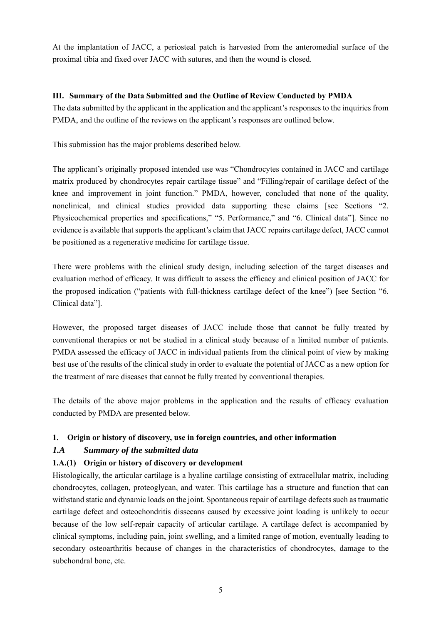At the implantation of JACC, a periosteal patch is harvested from the anteromedial surface of the proximal tibia and fixed over JACC with sutures, and then the wound is closed.

# **III. Summary of the Data Submitted and the Outline of Review Conducted by PMDA**

The data submitted by the applicant in the application and the applicant's responses to the inquiries from PMDA, and the outline of the reviews on the applicant's responses are outlined below.

This submission has the major problems described below.

The applicant's originally proposed intended use was "Chondrocytes contained in JACC and cartilage matrix produced by chondrocytes repair cartilage tissue" and "Filling/repair of cartilage defect of the knee and improvement in joint function." PMDA, however, concluded that none of the quality, nonclinical, and clinical studies provided data supporting these claims [see Sections "2. Physicochemical properties and specifications," "5. Performance," and "6. Clinical data"]. Since no evidence is available that supports the applicant's claim that JACC repairs cartilage defect, JACC cannot be positioned as a regenerative medicine for cartilage tissue.

There were problems with the clinical study design, including selection of the target diseases and evaluation method of efficacy. It was difficult to assess the efficacy and clinical position of JACC for the proposed indication ("patients with full-thickness cartilage defect of the knee") [see Section "6. Clinical data"].

However, the proposed target diseases of JACC include those that cannot be fully treated by conventional therapies or not be studied in a clinical study because of a limited number of patients. PMDA assessed the efficacy of JACC in individual patients from the clinical point of view by making best use of the results of the clinical study in order to evaluate the potential of JACC as a new option for the treatment of rare diseases that cannot be fully treated by conventional therapies.

The details of the above major problems in the application and the results of efficacy evaluation conducted by PMDA are presented below.

# **1. Origin or history of discovery, use in foreign countries, and other information**

# *1.A Summary of the submitted data*

# **1.A.(1) Origin or history of discovery or development**

Histologically, the articular cartilage is a hyaline cartilage consisting of extracellular matrix, including chondrocytes, collagen, proteoglycan, and water. This cartilage has a structure and function that can withstand static and dynamic loads on the joint. Spontaneous repair of cartilage defects such as traumatic cartilage defect and osteochondritis dissecans caused by excessive joint loading is unlikely to occur because of the low self-repair capacity of articular cartilage. A cartilage defect is accompanied by clinical symptoms, including pain, joint swelling, and a limited range of motion, eventually leading to secondary osteoarthritis because of changes in the characteristics of chondrocytes, damage to the subchondral bone, etc.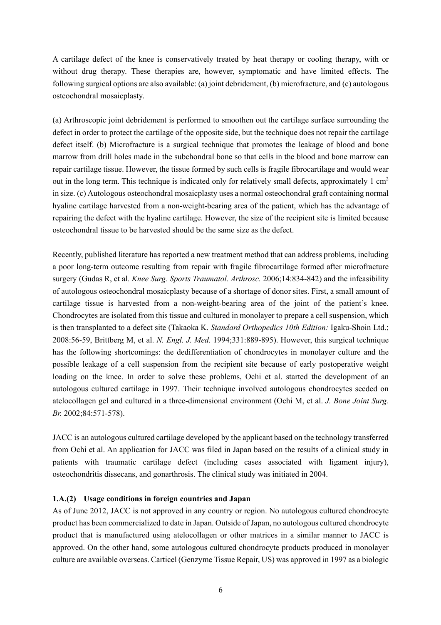A cartilage defect of the knee is conservatively treated by heat therapy or cooling therapy, with or without drug therapy. These therapies are, however, symptomatic and have limited effects. The following surgical options are also available: (a) joint debridement, (b) microfracture, and (c) autologous osteochondral mosaicplasty.

(a) Arthroscopic joint debridement is performed to smoothen out the cartilage surface surrounding the defect in order to protect the cartilage of the opposite side, but the technique does not repair the cartilage defect itself. (b) Microfracture is a surgical technique that promotes the leakage of blood and bone marrow from drill holes made in the subchondral bone so that cells in the blood and bone marrow can repair cartilage tissue. However, the tissue formed by such cells is fragile fibrocartilage and would wear out in the long term. This technique is indicated only for relatively small defects, approximately 1  $cm<sup>2</sup>$ in size. (c) Autologous osteochondral mosaicplasty uses a normal osteochondral graft containing normal hyaline cartilage harvested from a non-weight-bearing area of the patient, which has the advantage of repairing the defect with the hyaline cartilage. However, the size of the recipient site is limited because osteochondral tissue to be harvested should be the same size as the defect.

Recently, published literature has reported a new treatment method that can address problems, including a poor long-term outcome resulting from repair with fragile fibrocartilage formed after microfracture surgery (Gudas R, et al*. Knee Surg. Sports Traumatol. Arthrosc.* 2006;14:834-842) and the infeasibility of autologous osteochondral mosaicplasty because of a shortage of donor sites. First, a small amount of cartilage tissue is harvested from a non-weight-bearing area of the joint of the patient's knee. Chondrocytes are isolated from this tissue and cultured in monolayer to prepare a cell suspension, which is then transplanted to a defect site (Takaoka K. *Standard Orthopedics 10th Edition:* Igaku-Shoin Ltd.; 2008:56-59, Brittberg M, et al. *N. Engl. J. Med.* 1994;331:889-895). However, this surgical technique has the following shortcomings: the dedifferentiation of chondrocytes in monolayer culture and the possible leakage of a cell suspension from the recipient site because of early postoperative weight loading on the knee. In order to solve these problems, Ochi et al. started the development of an autologous cultured cartilage in 1997. Their technique involved autologous chondrocytes seeded on atelocollagen gel and cultured in a three-dimensional environment (Ochi M, et al. *J. Bone Joint Surg. Br.* 2002;84:571-578).

JACC is an autologous cultured cartilage developed by the applicant based on the technology transferred from Ochi et al. An application for JACC was filed in Japan based on the results of a clinical study in patients with traumatic cartilage defect (including cases associated with ligament injury), osteochondritis dissecans, and gonarthrosis. The clinical study was initiated in 2004.

#### **1.A.(2) Usage conditions in foreign countries and Japan**

As of June 2012, JACC is not approved in any country or region. No autologous cultured chondrocyte product has been commercialized to date in Japan. Outside of Japan, no autologous cultured chondrocyte product that is manufactured using atelocollagen or other matrices in a similar manner to JACC is approved. On the other hand, some autologous cultured chondrocyte products produced in monolayer culture are available overseas. Carticel (Genzyme Tissue Repair, US) was approved in 1997 as a biologic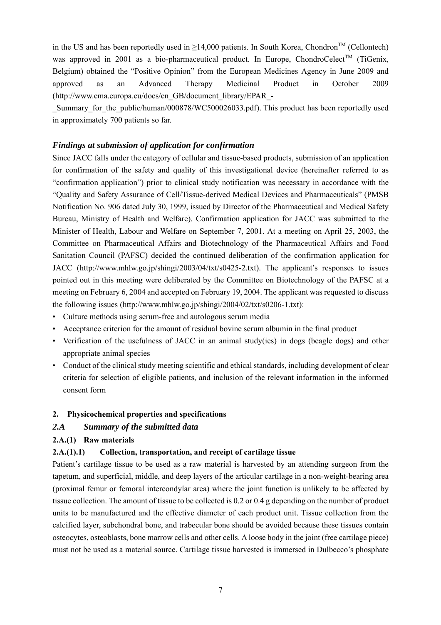in the US and has been reportedly used in  $\geq$ 14,000 patients. In South Korea, Chondron<sup>TM</sup> (Cellontech) was approved in 2001 as a bio-pharmaceutical product. In Europe, ChondroCelect<sup>TM</sup> (TiGenix, Belgium) obtained the "Positive Opinion" from the European Medicines Agency in June 2009 and approved as an Advanced Therapy Medicinal Product in October 2009 (http://www.ema.europa.eu/docs/en\_GB/document\_library/EPAR\_-

Summary for the public/human/000878/WC500026033.pdf). This product has been reportedly used in approximately 700 patients so far.

# *Findings at submission of application for confirmation*

Since JACC falls under the category of cellular and tissue-based products, submission of an application for confirmation of the safety and quality of this investigational device (hereinafter referred to as "confirmation application") prior to clinical study notification was necessary in accordance with the "Quality and Safety Assurance of Cell/Tissue-derived Medical Devices and Pharmaceuticals" (PMSB Notification No. 906 dated July 30, 1999, issued by Director of the Pharmaceutical and Medical Safety Bureau, Ministry of Health and Welfare). Confirmation application for JACC was submitted to the Minister of Health, Labour and Welfare on September 7, 2001. At a meeting on April 25, 2003, the Committee on Pharmaceutical Affairs and Biotechnology of the Pharmaceutical Affairs and Food Sanitation Council (PAFSC) decided the continued deliberation of the confirmation application for JACC (http://www.mhlw.go.jp/shingi/2003/04/txt/s0425-2.txt). The applicant's responses to issues pointed out in this meeting were deliberated by the Committee on Biotechnology of the PAFSC at a meeting on February 6, 2004 and accepted on February 19, 2004. The applicant was requested to discuss the following issues (http://www.mhlw.go.jp/shingi/2004/02/txt/s0206-1.txt):

- Culture methods using serum-free and autologous serum media
- Acceptance criterion for the amount of residual bovine serum albumin in the final product
- Verification of the usefulness of JACC in an animal study(ies) in dogs (beagle dogs) and other appropriate animal species
- Conduct of the clinical study meeting scientific and ethical standards, including development of clear criteria for selection of eligible patients, and inclusion of the relevant information in the informed consent form

# **2. Physicochemical properties and specifications**

# *2.A Summary of the submitted data*

# **2.A.(1) Raw materials**

# **2.A.(1).1) Collection, transportation, and receipt of cartilage tissue**

Patient's cartilage tissue to be used as a raw material is harvested by an attending surgeon from the tapetum, and superficial, middle, and deep layers of the articular cartilage in a non-weight-bearing area (proximal femur or femoral intercondylar area) where the joint function is unlikely to be affected by tissue collection. The amount of tissue to be collected is 0.2 or 0.4 g depending on the number of product units to be manufactured and the effective diameter of each product unit. Tissue collection from the calcified layer, subchondral bone, and trabecular bone should be avoided because these tissues contain osteocytes, osteoblasts, bone marrow cells and other cells. A loose body in the joint (free cartilage piece) must not be used as a material source. Cartilage tissue harvested is immersed in Dulbecco's phosphate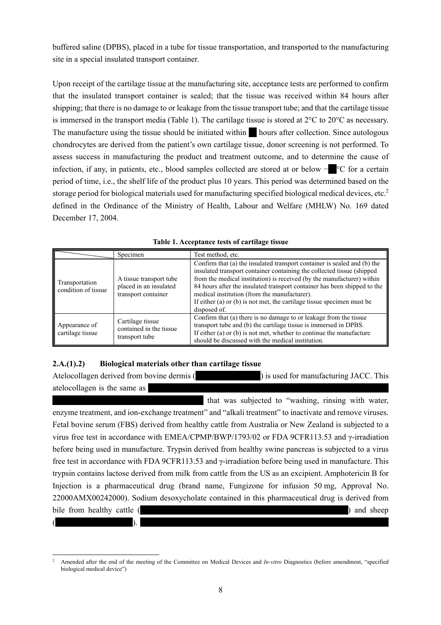buffered saline (DPBS), placed in a tube for tissue transportation, and transported to the manufacturing site in a special insulated transport container.

Upon receipt of the cartilage tissue at the manufacturing site, acceptance tests are performed to confirm that the insulated transport container is sealed; that the tissue was received within 84 hours after shipping; that there is no damage to or leakage from the tissue transport tube; and that the cartilage tissue is immersed in the transport media (Table 1). The cartilage tissue is stored at 2°C to 20°C as necessary. The manufacture using the tissue should be initiated within  $\blacksquare$  hours after collection. Since autologous chondrocytes are derived from the patient's own cartilage tissue, donor screening is not performed. To assess success in manufacturing the product and treatment outcome, and to determine the cause of infection, if any, in patients, etc., blood samples collected are stored at or below −\*\*°C for a certain period of time, i.e., the shelf life of the product plus 10 years. This period was determined based on the storage period for biological materials used for manufacturing specified biological medical devices, etc.<sup>2</sup> defined in the Ordinance of the Ministry of Health, Labour and Welfare (MHLW) No. 169 dated December 17, 2004.

|                                       | Specimen                                                                 | Test method, etc.                                                                                                                                                                                                                                                                                                                                                                                                                                  |
|---------------------------------------|--------------------------------------------------------------------------|----------------------------------------------------------------------------------------------------------------------------------------------------------------------------------------------------------------------------------------------------------------------------------------------------------------------------------------------------------------------------------------------------------------------------------------------------|
| Transportation<br>condition of tissue | A tissue transport tube<br>placed in an insulated<br>transport container | Confirm that (a) the insulated transport container is sealed and (b) the<br>insulated transport container containing the collected tissue (shipped<br>from the medical institution) is received (by the manufacturer) within<br>84 hours after the insulated transport container has been shipped to the<br>medical institution (from the manufacturer).<br>If either (a) or (b) is not met, the cartilage tissue specimen must be<br>disposed of. |
| Appearance of                         | Cartilage tissue<br>contained in the tissue                              | Confirm that (a) there is no damage to or leakage from the tissue<br>transport tube and (b) the cartilage tissue is immersed in DPBS.<br>$\mathbf{r} \cdot \mathbf{r}$ , and the contract of the contract of the contract of the contract of the contract of the contract of the contract of the contract of the contract of the contract of the contract of the contract of the co                                                                |

**Table 1. Acceptance tests of cartilage tissue** 

# **2.A.(1).2) Biological materials other than cartilage tissue**

transport tube

cartilage tissue

Atelocollagen derived from bovine dermis (\*\*\*\*\*\*\*\*\*\*\*\*\*\*\*\*) is used for manufacturing JACC. This atelocollagen is the same as

If either (a) or (b) is not met, whether to continue the manufacture

should be discussed with the medical institution.

that was subjected to "washing, rinsing with water, enzyme treatment, and ion-exchange treatment" and "alkali treatment" to inactivate and remove viruses. Fetal bovine serum (FBS) derived from healthy cattle from Australia or New Zealand is subjected to a virus free test in accordance with EMEA/CPMP/BWP/1793/02 or FDA 9CFR113.53 and γ-irradiation before being used in manufacture. Trypsin derived from healthy swine pancreas is subjected to a virus free test in accordance with FDA 9CFR113.53 and γ-irradiation before being used in manufacture. This trypsin contains lactose derived from milk from cattle from the US as an excipient. Amphotericin B for Injection is a pharmaceutical drug (brand name, Fungizone for infusion 50 mg, Approval No. 22000AMX00242000). Sodium desoxycholate contained in this pharmaceutical drug is derived from bile from healthy cattle (\*\*\*\*\*\*\*\*\*\*\*\*\*\*\*\*\*\*\*\*\*\*\*\*\*\*\*\*\*\*\*\*\*\*\*\*\*\*\*\*\*\*\*\*\*\*\*\*\*\*\*) and sheep  $($   $)$ .

l 2 Amended after the end of the meeting of the Committee on Medical Devices and *In-vitro* Diagnostics (before amendment, "specified biological medical device")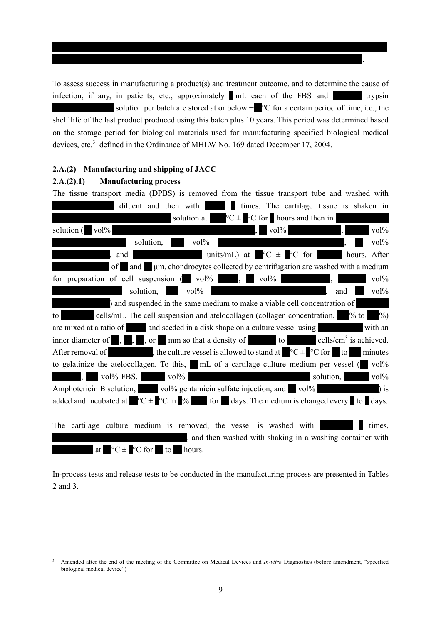To assess success in manufacturing a product(s) and treatment outcome, and to determine the cause of infection, if any, in patients, etc., approximately  $\blacksquare$  mL each of the FBS and  $\blacksquare$  trypsin solution per batch are stored at or below  $-$  °C for a certain period of time, i.e., the shelf life of the last product produced using this batch plus 10 years. This period was determined based on the storage period for biological materials used for manufacturing specified biological medical devices, etc.<sup>3</sup> defined in the Ordinance of MHLW No. 169 dated December 17, 2004.

\*\*\*\*\*\*\*\*\*\*\*\*\*\*\*\*\*\*\*\*\*\*\*\*\*\*\*\*\*\*\*\*\*\*\*\*\*\*\*\*\*\*\*\*\*\*\*\*\*\*\*\*\*\*\*\*\*\*\*\*\*\*\*\*\*\*\*\*\*\*\*\*\*\*\*\*.

#### **2.A.(2) Manufacturing and shipping of JACC**

#### **2.A.(2).1) Manufacturing process**

| The tissue transport media (DPBS) is removed from the tissue transport tube and washed with                                                                               |
|---------------------------------------------------------------------------------------------------------------------------------------------------------------------------|
| times. The cartilage tissue is shaken in<br>diluent and then with                                                                                                         |
| solution at $\degree$ C $\pm \degree$ C for hours and then in                                                                                                             |
| $vol\%$<br>$vol\%$<br>$vol\%$<br>solution (                                                                                                                               |
| $vol\%$<br>$vol\%$<br>solution,                                                                                                                                           |
| units/mL) at $\degree$ C $\pm$ $\degree$ C for<br>hours. After<br>and                                                                                                     |
| um, chondrocytes collected by centrifugation are washed with a medium<br>of<br>and                                                                                        |
| for preparation of cell suspension (vol%<br>$\sqrt{10^{1/6}}$<br>$vol\%$                                                                                                  |
| solution,<br>$vol\%$<br>$vol\%$<br>and                                                                                                                                    |
| ) and suspended in the same medium to make a viable cell concentration of                                                                                                 |
| cells/mL. The cell suspension and atelocollagen (collagen concentration, % to<br>$\%$ )<br>to                                                                             |
| and seeded in a disk shape on a culture vessel using<br>are mixed at a ratio of<br>with an                                                                                |
| mm so that a density of to<br>cells/ $\text{cm}^3$ is achieved.<br>inner diameter of<br>$\blacksquare, \blacksquare, \blacksquare$<br>, or                                |
| After removal of the culture vessel is allowed to stand at $C \subset \text{C}$ or $\bullet$ to the culture vessel is allowed to stand at $C \subset \text{C}$<br>minutes |
| to gelatinize the atelocollagen. To this, n mL of a cartilage culture medium per vessel (<br>$vol\%$                                                                      |
| $vol\%$ FBS, $vol\%$<br>solution,<br>$vol\%$                                                                                                                              |
| Amphotericin B solution, vol% gentamicin sulfate injection, and vol%<br>$\frac{1}{1}$ is                                                                                  |
| added and incubated at $\degree$ C $\pm$ $\degree$ C in $\degree$ for days. The medium is changed every to days.                                                          |
|                                                                                                                                                                           |
| The cartilage culture medium is removed, the vessel is washed with<br>times,                                                                                              |
| , and then washed with shaking in a washing container with                                                                                                                |
| $\mathrm{C} \pm \mathrm{C}$ for to<br>at<br>hours.                                                                                                                        |

In-process tests and release tests to be conducted in the manufacturing process are presented in Tables 2 and 3.

<sup>-&</sup>lt;br>3 Amended after the end of the meeting of the Committee on Medical Devices and *In-vitro* Diagnostics (before amendment, "specified biological medical device")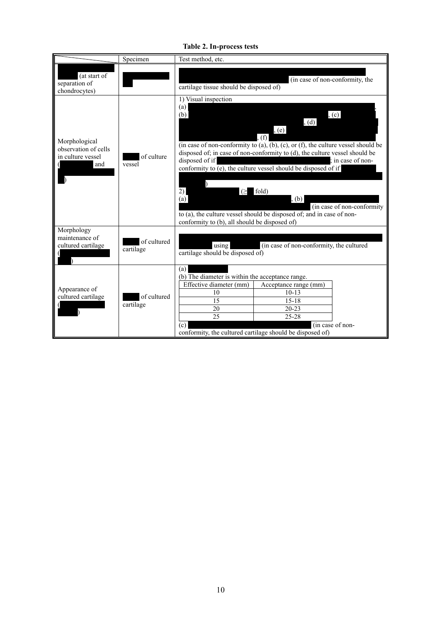**Table 2. In-process tests** 

|                                                                   | Specimen                 | Test method, etc.                                                                                                                                                                                                                                                                                                                                                                                                                                                                                                                                               |  |  |  |  |
|-------------------------------------------------------------------|--------------------------|-----------------------------------------------------------------------------------------------------------------------------------------------------------------------------------------------------------------------------------------------------------------------------------------------------------------------------------------------------------------------------------------------------------------------------------------------------------------------------------------------------------------------------------------------------------------|--|--|--|--|
| (at start of<br>separation of<br>chondrocytes)                    |                          | (in case of non-conformity, the<br>cartilage tissue should be disposed of)                                                                                                                                                                                                                                                                                                                                                                                                                                                                                      |  |  |  |  |
| Morphological<br>observation of cells<br>in culture vessel<br>and | of culture<br>vessel     | 1) Visual inspection<br>(a)<br>, (c)<br>(b)<br>, (d)<br>, (e)<br>$(f)$ ,<br>(in case of non-conformity to $(a)$ , $(b)$ , $(c)$ , or $(f)$ , the culture vessel should be<br>disposed of; in case of non-conformity to (d), the culture vessel should be<br>disposed of if<br>in case of non-<br>conformity to (e), the culture vessel should be disposed of if<br>$(\geq$ fold)<br>2)<br>(a)<br>, (b)<br>(in case of non-conformity)<br>to (a), the culture vessel should be disposed of; and in case of non-<br>conformity to (b), all should be disposed of) |  |  |  |  |
| Morphology<br>maintenance of<br>cultured cartilage                | of cultured<br>cartilage | (in case of non-conformity, the cultured<br>using<br>cartilage should be disposed of)                                                                                                                                                                                                                                                                                                                                                                                                                                                                           |  |  |  |  |
| Appearance of<br>cultured cartilage                               | of cultured<br>cartilage | (a)<br>(b) The diameter is within the acceptance range.<br>Effective diameter (mm)<br>Acceptance range (mm)<br>$10-13$<br>10<br>$15 - 18$<br>15<br>$20 - 23$<br>20<br>25<br>$25 - 28$<br>(in case of non-<br>(c)<br>conformity, the cultured cartilage should be disposed of)                                                                                                                                                                                                                                                                                   |  |  |  |  |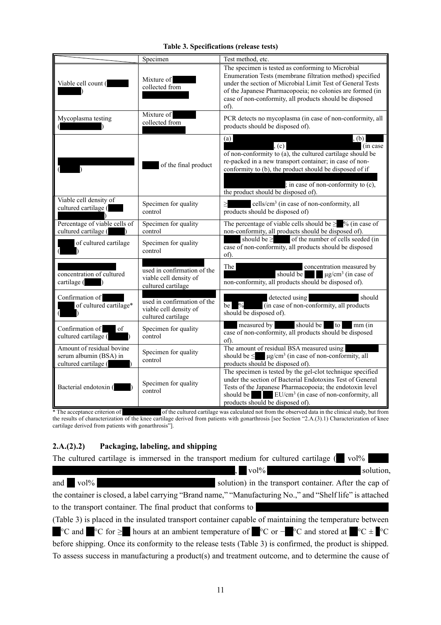|                                                                             | Specimen                                                                    | Test method, etc.                                                                                                                                                                                                                                                                                           |
|-----------------------------------------------------------------------------|-----------------------------------------------------------------------------|-------------------------------------------------------------------------------------------------------------------------------------------------------------------------------------------------------------------------------------------------------------------------------------------------------------|
| Viable cell count (                                                         | Mixture of<br>collected from                                                | The specimen is tested as conforming to Microbial<br>Enumeration Tests (membrane filtration method) specified<br>under the section of Microbial Limit Test of General Tests<br>of the Japanese Pharmacopoeia; no colonies are formed (in<br>case of non-conformity, all products should be disposed<br>of). |
| Mycoplasma testing                                                          | Mixture of<br>collected from                                                | PCR detects no mycoplasma (in case of non-conformity, all<br>products should be disposed of).                                                                                                                                                                                                               |
|                                                                             | of the final product                                                        | (a)<br>, (b)<br>(c)<br>(in case)<br>of non-conformity to $(a)$ , the cultured cartilage should be<br>re-packed in a new transport container; in case of non-<br>conformity to (b), the product should be disposed of if<br>; in case of non-conformity to (c),<br>the product should be disposed of).       |
| Viable cell density of<br>cultured cartilage (                              | Specimen for quality<br>control                                             | cells/cm <sup>3</sup> (in case of non-conformity, all<br>products should be disposed of)                                                                                                                                                                                                                    |
| Percentage of viable cells of<br>cultured cartilage (                       | Specimen for quality<br>control                                             | The percentage of viable cells should be $\geq$ % (in case of<br>non-conformity, all products should be disposed of).                                                                                                                                                                                       |
| of cultured cartilage                                                       | Specimen for quality<br>control                                             | should be $\ge$ of the number of cells seeded (in<br>case of non-conformity, all products should be disposed<br>of).                                                                                                                                                                                        |
| concentration of cultured<br>cartilage (                                    | used in confirmation of the<br>viable cell density of<br>cultured cartilage | The<br>concentration measured by<br>should be<br>$\mu$ g/cm <sup>3</sup> (in case of<br>non-conformity, all products should be disposed of).                                                                                                                                                                |
| Confirmation of<br>of cultured cartilage*                                   | used in confirmation of the<br>viable cell density of<br>cultured cartilage | detected using<br>should<br>be $\frac{9}{6}$<br>(in case of non-conformity, all products<br>should be disposed of).                                                                                                                                                                                         |
| Confirmation of<br>of<br>cultured cartilage (                               | Specimen for quality<br>control                                             | measured by should be<br>to<br>$mm$ (in<br>case of non-conformity, all products should be disposed<br>of).                                                                                                                                                                                                  |
| Amount of residual bovine<br>serum albumin (BSA) in<br>cultured cartilage ( | Specimen for quality<br>control                                             | The amount of residual BSA measured using<br>should be $\leq$ µg/cm <sup>3</sup> (in case of non-conformity, all<br>products should be disposed of).                                                                                                                                                        |
| Bacterial endotoxin (                                                       | Specimen for quality<br>control                                             | The specimen is tested by the gel-clot technique specified<br>under the section of Bacterial Endotoxins Test of General<br>Tests of the Japanese Pharmacopoeia; the endotoxin level<br>should be EU/cm <sup>3</sup> (in case of non-conformity, all<br>products should be disposed of).                     |

# **Table 3. Specifications (release tests)**

\* The acceptance criterion of \*\*\*\*\*\*\*\*\*\*\*\*\*\* of the cultured cartilage was calculated not from the observed data in the clinical study, but from the results of characterization of the knee cartilage derived from patients with gonarthrosis [see Section "2.A.(3).1) Characterization of knee cartilage derived from patients with gonarthrosis"].

# **2.A.(2).2) Packaging, labeling, and shipping**

The cultured cartilage is immersed in the transport medium for cultured cartilage ( $\blacksquare$  vol<sup> $\%$ </sup>

 $\mathbf{v} = \mathbf{v} \times \mathbf{v}$   $\mathbf{v} = \mathbf{v} \times \mathbf{v}$  solution, and \*\* vol% \*\*\*\*\*\*\*\*\*\*\*\*\*\*\*\*\*\*\*\*\*\*\*\*\*\*\*\*\* solution) in the transport container. After the cap of the container is closed, a label carrying "Brand name," "Manufacturing No.," and "Shelf life" is attached to the transport container. The final product that conforms to (Table 3) is placed in the insulated transport container capable of maintaining the temperature between  $\degree$ C and  $\degree$ °C for ≥ hours at an ambient temperature of  $\degree$ °C or − $\degree$ °C and stored at  $\degree$ °C  $\div$   $\degree$ °C before shipping. Once its conformity to the release tests (Table 3) is confirmed, the product is shipped. To assess success in manufacturing a product(s) and treatment outcome, and to determine the cause of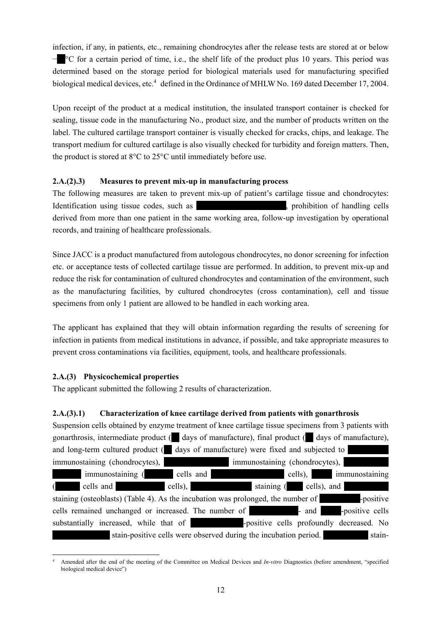infection, if any, in patients, etc., remaining chondrocytes after the release tests are stored at or below −<sup>\*</sup>C for a certain period of time, i.e., the shelf life of the product plus 10 years. This period was determined based on the storage period for biological materials used for manufacturing specified biological medical devices, etc.<sup>4</sup> defined in the Ordinance of MHLW No. 169 dated December 17, 2004.

Upon receipt of the product at a medical institution, the insulated transport container is checked for sealing, tissue code in the manufacturing No., product size, and the number of products written on the label. The cultured cartilage transport container is visually checked for cracks, chips, and leakage. The transport medium for cultured cartilage is also visually checked for turbidity and foreign matters. Then, the product is stored at 8°C to 25°C until immediately before use.

# **2.A.(2).3) Measures to prevent mix-up in manufacturing process**

The following measures are taken to prevent mix-up of patient's cartilage tissue and chondrocytes: Identification using tissue codes, such as \*\*\*\*\*\*\*\*\*\*\*\*\*\*\*\*, prohibition of handling cells derived from more than one patient in the same working area, follow-up investigation by operational records, and training of healthcare professionals.

Since JACC is a product manufactured from autologous chondrocytes, no donor screening for infection etc. or acceptance tests of collected cartilage tissue are performed. In addition, to prevent mix-up and reduce the risk for contamination of cultured chondrocytes and contamination of the environment, such as the manufacturing facilities, by cultured chondrocytes (cross contamination), cell and tissue specimens from only 1 patient are allowed to be handled in each working area.

The applicant has explained that they will obtain information regarding the results of screening for infection in patients from medical institutions in advance, if possible, and take appropriate measures to prevent cross contaminations via facilities, equipment, tools, and healthcare professionals.

# **2.A.(3) Physicochemical properties**

The applicant submitted the following 2 results of characterization.

# **2.A.(3).1) Characterization of knee cartilage derived from patients with gonarthrosis**

| Suspension cells obtained by enzyme treatment of knee cartilage tissue specimens from 3 patients with       |                                                                  |                        |        |
|-------------------------------------------------------------------------------------------------------------|------------------------------------------------------------------|------------------------|--------|
| gonarthrosis, intermediate product ( days of manufacture), final product ( days of manufacture),            |                                                                  |                        |        |
| and long-term cultured product ( days of manufacture) were fixed and subjected to                           |                                                                  |                        |        |
| immunostaining (chondrocytes), immunostaining (chondrocytes),                                               |                                                                  |                        |        |
| immunostaining (cells and                                                                                   |                                                                  | cells), immunostaining |        |
| cells and cells), cells staining (cells), and<br>$\sqrt{2}$                                                 |                                                                  |                        |        |
| staining (osteoblasts) (Table 4). As the incubation was prolonged, the number of <b>properties</b> positive |                                                                  |                        |        |
| cells remained unchanged or increased. The number of <b>Fig. 2</b> and <b>Propositive cells</b>             |                                                                  |                        |        |
| substantially increased, while that of <b>Same Propositive calls</b> profoundly decreased. No               |                                                                  |                        |        |
|                                                                                                             | stain-positive cells were observed during the incubation period. |                        | stain- |

l 4 Amended after the end of the meeting of the Committee on Medical Devices and *In-vitro* Diagnostics (before amendment, "specified biological medical device")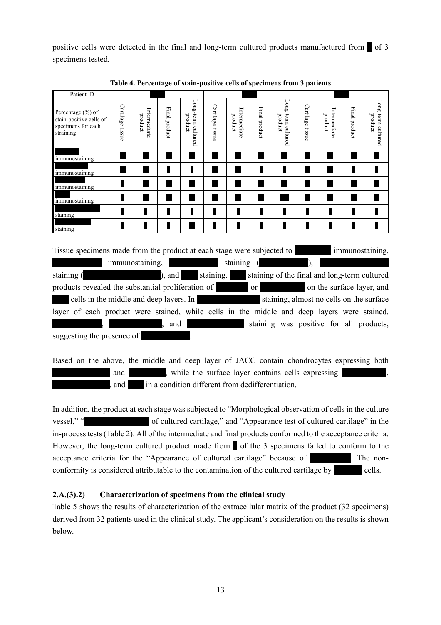positive cells were detected in the final and long-term cultured products manufactured from  $\blacksquare$  of 3 specimens tested.

| Patient ID                                                                                  |                  |                         |               |                               |                  |                         |               |                               |                  |                         |               |                                                           |
|---------------------------------------------------------------------------------------------|------------------|-------------------------|---------------|-------------------------------|------------------|-------------------------|---------------|-------------------------------|------------------|-------------------------|---------------|-----------------------------------------------------------|
| Percentage $(\% )$ of<br>stain-positive cells of<br>specimens for each<br>straining         | Cartilage tissue | Intermediate<br>product | Final product | Long-term cultured<br>product | Cartilage tissue | Intermediate<br>product | Final product | Long-term cultured<br>product | Cartilage tissue | Intermediate<br>product | Final product | Long-term cultured<br>product                             |
| immunostaining                                                                              |                  |                         |               |                               |                  |                         |               |                               |                  |                         |               |                                                           |
| immunostaining                                                                              |                  |                         |               |                               |                  |                         | П             |                               |                  |                         | Ш             |                                                           |
| immunostaining                                                                              | Ш                |                         |               |                               |                  |                         |               |                               |                  |                         |               |                                                           |
| immunostaining                                                                              | П                |                         |               |                               |                  |                         |               |                               |                  |                         |               |                                                           |
| staining                                                                                    | Γ                | П                       |               |                               |                  | П                       | ı             |                               | П                | L                       | Ш             |                                                           |
| staining                                                                                    | Ш                | П                       |               |                               |                  |                         | П             |                               | П                | П                       |               |                                                           |
| Tissue specimens made from the product at each stage were subjected to                      |                  |                         |               |                               |                  |                         |               |                               |                  |                         |               | immunostaining,                                           |
|                                                                                             |                  | immunostaining,         |               |                               |                  | staining                |               |                               |                  |                         |               |                                                           |
| staining (                                                                                  |                  |                         | , and         |                               |                  |                         |               |                               |                  |                         |               | staining.<br>staining of the final and long-term cultured |
| products revealed the substantial proliferation of                                          |                  |                         |               |                               |                  |                         | <sub>or</sub> |                               |                  |                         |               | on the surface layer, and                                 |
| cells in the middle and deep layers. In                                                     |                  |                         |               |                               |                  |                         |               |                               |                  |                         |               | staining, almost no cells on the surface                  |
| layer of each product were stained, while cells in the middle and deep layers were stained. |                  |                         |               |                               |                  |                         |               |                               |                  |                         |               |                                                           |
|                                                                                             |                  |                         | and           |                               |                  |                         |               |                               |                  |                         |               | staining was positive for all products,                   |
| <b>Contact Contact Contact Contact</b>                                                      |                  | $\sim$                  |               |                               |                  |                         |               |                               |                  |                         |               |                                                           |

**Table 4. Percentage of stain-positive cells of specimens from 3 patients** 

suggesting the presence of

Based on the above, the middle and deep layer of JACC contain chondrocytes expressing both and \*\*\*\*\*\*\*\*\*\*, while the surface layer contains cells expressing \*\*\* and  $*$  in a condition different from dedifferentiation.

In addition, the product at each stage was subjected to "Morphological observation of cells in the culture vessel," "\*\*\*\*\*\*\*\*\*\*\*\*\*\*\*\* of cultured cartilage," and "Appearance test of cultured cartilage" in the in-process tests (Table 2). All of the intermediate and final products conformed to the acceptance criteria. However, the long-term cultured product made from  $\bullet$  of the 3 specimens failed to conform to the acceptance criteria for the "Appearance of cultured cartilage" because of  $\blacksquare$ . The nonconformity is considered attributable to the contamination of the cultured cartilage by eells.

# **2.A.(3).2) Characterization of specimens from the clinical study**

Table 5 shows the results of characterization of the extracellular matrix of the product (32 specimens) derived from 32 patients used in the clinical study. The applicant's consideration on the results is shown below.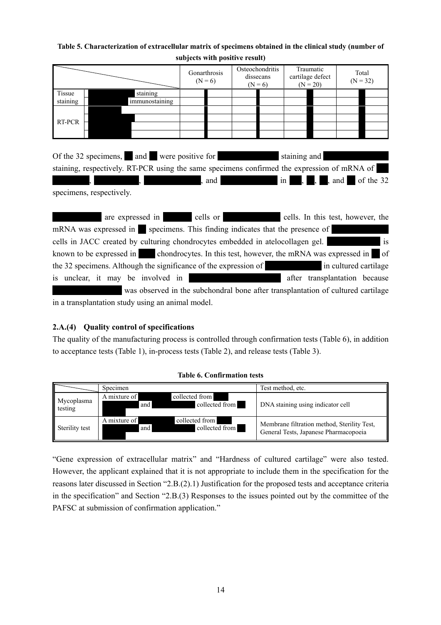# **Table 5. Characterization of extracellular matrix of specimens obtained in the clinical study (number of subjects with positive result)**

|               |                                                                                                                                                        | Gonarthrosis<br>$(N = 6)$ | Osteochondritis<br>dissecans<br>$(N = 6)$ | Traumatic<br>cartilage defect<br>$(N = 20)$ | Total<br>$(N = 32)$   |
|---------------|--------------------------------------------------------------------------------------------------------------------------------------------------------|---------------------------|-------------------------------------------|---------------------------------------------|-----------------------|
| <b>Tissue</b> | staining                                                                                                                                               |                           |                                           |                                             |                       |
| staining      | immunostaining                                                                                                                                         |                           |                                           |                                             |                       |
| RT-PCR        |                                                                                                                                                        |                           |                                           |                                             |                       |
|               | Of the 32 specimens, and were positive for staining and<br>staining, respectively. RT-PCR using the same specimens confirmed the expression of mRNA of | , and                     |                                           | $\blacksquare$<br>in <sub>1</sub>           | $, and$ of the 32     |
|               | specimens, respectively.                                                                                                                               |                           |                                           |                                             |                       |
|               | are expressed in a cells or cells. In this test, however, the<br>mRNA was expressed in specimens. This finding indicates that the presence of          |                           |                                           |                                             |                       |
|               |                                                                                                                                                        |                           |                                           |                                             |                       |
|               | cells in JACC created by culturing chondrocytes embedded in atelocollagen gel.                                                                         |                           |                                           |                                             | $\mathbf{i}$          |
|               | known to be expressed in chondrocytes. In this test, however, the mRNA was expressed in of                                                             |                           |                                           |                                             |                       |
|               | the 32 specimens. Although the significance of the expression of                                                                                       |                           |                                           |                                             | in cultured cartilage |

was observed in the subchondral bone after transplantation of cultured cartilage in a transplantation study using an animal model.

is unclear, it may be involved in the same of the same in the after transplantation because

# **2.A.(4) Quality control of specifications**

The quality of the manufacturing process is controlled through confirmation tests (Table 6), in addition to acceptance tests (Table 1), in-process tests (Table 2), and release tests (Table 3).

|                       | Specimen                                                | Test method, etc.                                                                    |
|-----------------------|---------------------------------------------------------|--------------------------------------------------------------------------------------|
| Mycoplasma<br>testing | collected from<br>A mixture of<br>collected from<br>and | DNA staining using indicator cell                                                    |
| Sterility test        | A mixture of<br>collected from<br>collected from<br>and | Membrane filtration method, Sterility Test,<br>General Tests, Japanese Pharmacopoeia |

#### **Table 6. Confirmation tests**

"Gene expression of extracellular matrix" and "Hardness of cultured cartilage" were also tested. However, the applicant explained that it is not appropriate to include them in the specification for the reasons later discussed in Section "2.B.(2).1) Justification for the proposed tests and acceptance criteria in the specification" and Section "2.B.(3) Responses to the issues pointed out by the committee of the PAFSC at submission of confirmation application."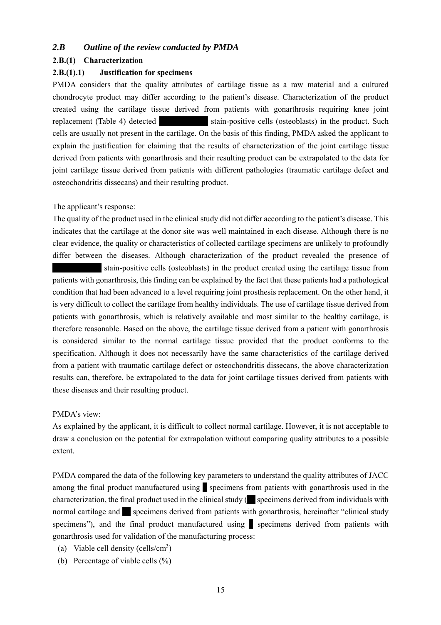# *2.B Outline of the review conducted by PMDA*

#### **2.B.(1) Characterization**

#### **2.B.(1).1) Justification for specimens**

PMDA considers that the quality attributes of cartilage tissue as a raw material and a cultured chondrocyte product may differ according to the patient's disease. Characterization of the product created using the cartilage tissue derived from patients with gonarthrosis requiring knee joint replacement (Table 4) detected stain-positive cells (osteoblasts) in the product. Such cells are usually not present in the cartilage. On the basis of this finding, PMDA asked the applicant to explain the justification for claiming that the results of characterization of the joint cartilage tissue derived from patients with gonarthrosis and their resulting product can be extrapolated to the data for joint cartilage tissue derived from patients with different pathologies (traumatic cartilage defect and osteochondritis dissecans) and their resulting product.

#### The applicant's response:

The quality of the product used in the clinical study did not differ according to the patient's disease. This indicates that the cartilage at the donor site was well maintained in each disease. Although there is no clear evidence, the quality or characteristics of collected cartilage specimens are unlikely to profoundly differ between the diseases. Although characterization of the product revealed the presence of

stain-positive cells (osteoblasts) in the product created using the cartilage tissue from patients with gonarthrosis, this finding can be explained by the fact that these patients had a pathological condition that had been advanced to a level requiring joint prosthesis replacement. On the other hand, it is very difficult to collect the cartilage from healthy individuals. The use of cartilage tissue derived from patients with gonarthrosis, which is relatively available and most similar to the healthy cartilage, is therefore reasonable. Based on the above, the cartilage tissue derived from a patient with gonarthrosis is considered similar to the normal cartilage tissue provided that the product conforms to the specification. Although it does not necessarily have the same characteristics of the cartilage derived from a patient with traumatic cartilage defect or osteochondritis dissecans, the above characterization results can, therefore, be extrapolated to the data for joint cartilage tissues derived from patients with these diseases and their resulting product.

#### PMDA's view:

As explained by the applicant, it is difficult to collect normal cartilage. However, it is not acceptable to draw a conclusion on the potential for extrapolation without comparing quality attributes to a possible extent.

PMDA compared the data of the following key parameters to understand the quality attributes of JACC among the final product manufactured using specimens from patients with gonarthrosis used in the characterization, the final product used in the clinical study  $($  specimens derived from individuals with normal cartilage and \*\* specimens derived from patients with gonarthrosis, hereinafter "clinical study" specimens"), and the final product manufactured using  $\blacksquare$  specimens derived from patients with gonarthrosis used for validation of the manufacturing process:

- (a) Viable cell density (cells/cm<sup>3</sup>)
- (b) Percentage of viable cells (%)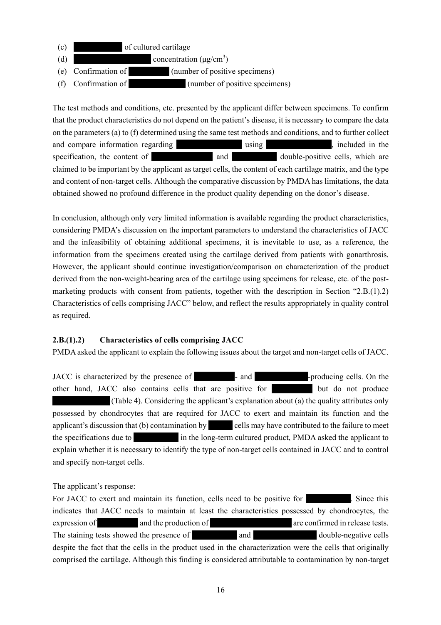- (c) \*\*\*\*\*\*\*\*\*\*\*\* of cultured cartilage (d)  $\qquad \qquad \text{concentration } (\mu g/cm^3)$ (e) Confirmation of  $\qquad \qquad$  (number of positive specimens)
- (f) Confirmation of  $(number of positive specimens)$

The test methods and conditions, etc. presented by the applicant differ between specimens. To confirm that the product characteristics do not depend on the patient's disease, it is necessary to compare the data on the parameters (a) to (f) determined using the same test methods and conditions, and to further collect and compare information regarding \*\*\*\*\*\*\*\*\*\*\*\*\*\*\*\* using \*\*\*\*\*\*\*\*\*\*\*\*\*\*\*\*, included in the specification, the content of \*\*\*\*\*\*\*\*\*\*\*\*\*\*\* and \*\*\*\*\*\*\*\*\*\*\* double-positive cells, which are claimed to be important by the applicant as target cells, the content of each cartilage matrix, and the type and content of non-target cells. Although the comparative discussion by PMDA has limitations, the data obtained showed no profound difference in the product quality depending on the donor's disease.

In conclusion, although only very limited information is available regarding the product characteristics, considering PMDA's discussion on the important parameters to understand the characteristics of JACC and the infeasibility of obtaining additional specimens, it is inevitable to use, as a reference, the information from the specimens created using the cartilage derived from patients with gonarthrosis. However, the applicant should continue investigation/comparison on characterization of the product derived from the non-weight-bearing area of the cartilage using specimens for release, etc. of the postmarketing products with consent from patients, together with the description in Section "2.B.(1).2) Characteristics of cells comprising JACC" below, and reflect the results appropriately in quality control as required.

# **2.B.(1).2) Characteristics of cells comprising JACC**

PMDA asked the applicant to explain the following issues about the target and non-target cells of JACC.

JACC is characterized by the presence of \*\*\*\*\*\*\*\*\*\*- and \*\*\*\*\*\*\*\*\*\*\*\*\*-producing cells. On the other hand, JACC also contains cells that are positive for the but do not produce (Table 4). Considering the applicant's explanation about (a) the quality attributes only possessed by chondrocytes that are required for JACC to exert and maintain its function and the applicant's discussion that (b) contamination by sells may have contributed to the failure to meet the specifications due to  $\frac{1}{x}$  in the long-term cultured product, PMDA asked the applicant to explain whether it is necessary to identify the type of non-target cells contained in JACC and to control and specify non-target cells.

# The applicant's response:

For JACC to exert and maintain its function, cells need to be positive for  $\blacksquare$ . Since this indicates that JACC needs to maintain at least the characteristics possessed by chondrocytes, the expression of \*\*\*\*\*\*\*\*\*\* and the production of \*\*\*\*\*\*\*\*\*\*\*\*\*\*\*\*\*\*\*\* are confirmed in release tests. The staining tests showed the presence of  $\qquad \qquad$  and  $\qquad \qquad$  double-negative cells despite the fact that the cells in the product used in the characterization were the cells that originally comprised the cartilage. Although this finding is considered attributable to contamination by non-target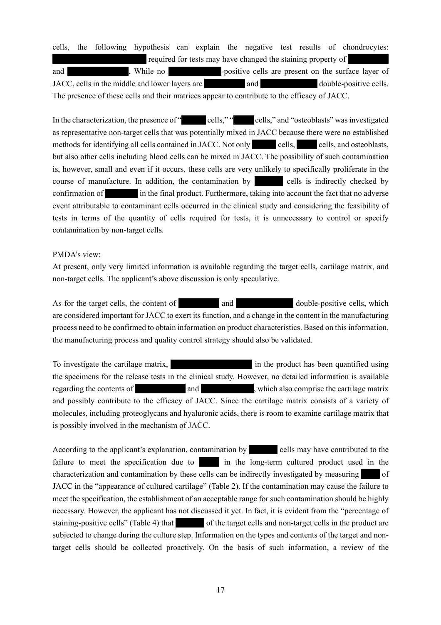cells, the following hypothesis can explain the negative test results of chondrocytes: required for tests may have changed the staining property of and \*\*\*\*\*\*\*\*\*\*\*\*\*\*\*. While no \*\*\*\*\*\*\*\*\*\*\*\*\*-positive cells are present on the surface layer of JACC, cells in the middle and lower layers are  $\qquad \qquad$  and  $\qquad \qquad$  double-positive cells. The presence of these cells and their matrices appear to contribute to the efficacy of JACC.

In the characterization, the presence of "" eells," "cells," and "osteoblasts" was investigated as representative non-target cells that was potentially mixed in JACC because there were no established methods for identifying all cells contained in JACC. Not only eells, ells, and osteoblasts, but also other cells including blood cells can be mixed in JACC. The possibility of such contamination is, however, small and even if it occurs, these cells are very unlikely to specifically proliferate in the course of manufacture. In addition, the contamination by eells is indirectly checked by confirmation of  $\frac{1}{\pi}$  in the final product. Furthermore, taking into account the fact that no adverse event attributable to contaminant cells occurred in the clinical study and considering the feasibility of tests in terms of the quantity of cells required for tests, it is unnecessary to control or specify contamination by non-target cells.

#### PMDA's view:

At present, only very limited information is available regarding the target cells, cartilage matrix, and non-target cells. The applicant's above discussion is only speculative.

As for the target cells, the content of \*\*\*\*\*\*\*\*\*\*\*\* and \*\*\*\*\*\*\* double-positive cells, which are considered important for JACC to exert its function, and a change in the content in the manufacturing process need to be confirmed to obtain information on product characteristics. Based on this information, the manufacturing process and quality control strategy should also be validated.

To investigate the cartilage matrix,  $\ddot{\text{m}}$  in the product has been quantified using the specimens for the release tests in the clinical study. However, no detailed information is available regarding the contents of \*\*\*\* \*\*\*\*\*\*\*\* and \*\*\*\*\*\*\*\*\*\*\*\*\*, which also comprise the cartilage matrix and possibly contribute to the efficacy of JACC. Since the cartilage matrix consists of a variety of molecules, including proteoglycans and hyaluronic acids, there is room to examine cartilage matrix that is possibly involved in the mechanism of JACC.

According to the applicant's explanation, contamination by \*\*\*\*\*\*\*\* cells may have contributed to the failure to meet the specification due to  $\frac{1}{x}$  in the long-term cultured product used in the characterization and contamination by these cells can be indirectly investigated by measuring of JACC in the "appearance of cultured cartilage" (Table 2). If the contamination may cause the failure to meet the specification, the establishment of an acceptable range for such contamination should be highly necessary. However, the applicant has not discussed it yet. In fact, it is evident from the "percentage of staining-positive cells" (Table 4) that of the target cells and non-target cells in the product are subjected to change during the culture step. Information on the types and contents of the target and nontarget cells should be collected proactively. On the basis of such information, a review of the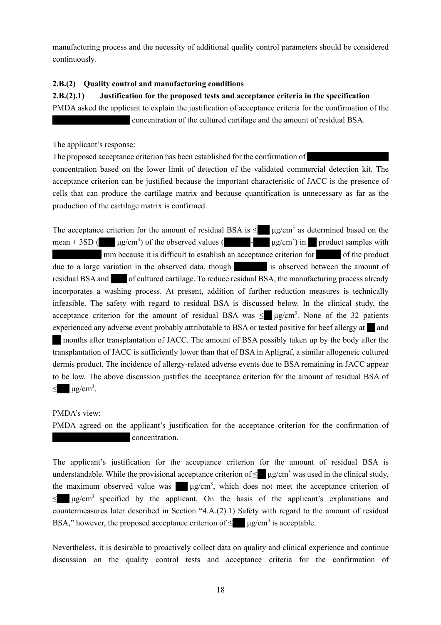manufacturing process and the necessity of additional quality control parameters should be considered continuously.

# **2.B.(2) Quality control and manufacturing conditions**

**2.B.(2).1) Justification for the proposed tests and acceptance criteria in the specification**  PMDA asked the applicant to explain the justification of acceptance criteria for the confirmation of the the concentration of the cultured cartilage and the amount of residual BSA.

The applicant's response:

The proposed acceptance criterion has been established for the confirmation of concentration based on the lower limit of detection of the validated commercial detection kit. The acceptance criterion can be justified because the important characteristic of JACC is the presence of cells that can produce the cartilage matrix and because quantification is unnecessary as far as the production of the cartilage matrix is confirmed.

The acceptance criterion for the amount of residual BSA is  $\leq$   $\mu$ g/cm<sup>3</sup> as determined based on the mean + 3SD ( $\mu$ g/cm<sup>3</sup>) of the observed values ( $\mu$  -  $\mu$ g/cm<sup>3</sup>) in  $\mu$  product samples with \*\*\*\*\*\*\*\*\*\*\*\* mm because it is difficult to establish an acceptance criterion for \*\*\*\*\*\* of the product due to a large variation in the observed data, though  $\frac{1}{\sqrt{1-\frac{1}{\sqrt{1-\frac{1}{\sqrt{1-\frac{1}{\sqrt{1-\frac{1}{\sqrt{1-\frac{1}{\sqrt{1-\frac{1}{\sqrt{1-\frac{1}{\sqrt{1-\frac{1}{\sqrt{1-\frac{1}{\sqrt{1-\frac{1}{\sqrt{1-\frac{1}{\sqrt{1-\frac{1}{\sqrt{1-\frac{1}{\sqrt{1-\frac{1}{\sqrt{1-\frac{1}{\sqrt{1-\frac{1}{\sqrt{1-\frac{1}{\sqrt{1-\frac{1}{$ residual BSA and \*\*\*\* of cultured cartilage. To reduce residual BSA, the manufacturing process already incorporates a washing process. At present, addition of further reduction measures is technically infeasible. The safety with regard to residual BSA is discussed below. In the clinical study, the acceptance criterion for the amount of residual BSA was  $\leq$   $\mu$ g/cm<sup>3</sup>. None of the 32 patients experienced any adverse event probably attributable to BSA or tested positive for beef allergy at \*\* and months after transplantation of JACC. The amount of BSA possibly taken up by the body after the transplantation of JACC is sufficiently lower than that of BSA in Apligraf, a similar allogeneic cultured dermis product. The incidence of allergy-related adverse events due to BSA remaining in JACC appear to be low. The above discussion justifies the acceptance criterion for the amount of residual BSA of  $\leq$   $\mu$ g/cm<sup>3</sup>.

# PMDA's view:

PMDA agreed on the applicant's justification for the acceptance criterion for the confirmation of concentration.

The applicant's justification for the acceptance criterion for the amount of residual BSA is understandable. While the provisional acceptance criterion of  $\leq \mu$ g/cm<sup>3</sup> was used in the clinical study, the maximum observed value was  $\mu$ g/cm<sup>3</sup>, which does not meet the acceptance criterion of  $\leq$  μg/cm<sup>3</sup> specified by the applicant. On the basis of the applicant's explanations and countermeasures later described in Section "4.A.(2).1) Safety with regard to the amount of residual BSA," however, the proposed acceptance criterion of  $\leq$   $\mu$ g/cm<sup>3</sup> is acceptable.

Nevertheless, it is desirable to proactively collect data on quality and clinical experience and continue discussion on the quality control tests and acceptance criteria for the confirmation of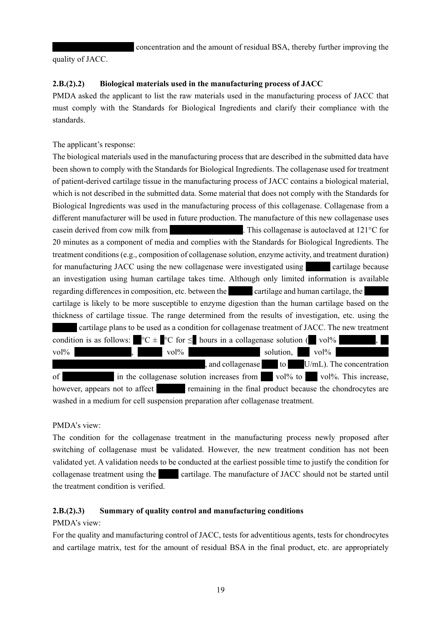concentration and the amount of residual BSA, thereby further improving the

quality of JACC.

# **2.B.(2).2) Biological materials used in the manufacturing process of JACC**

PMDA asked the applicant to list the raw materials used in the manufacturing process of JACC that must comply with the Standards for Biological Ingredients and clarify their compliance with the standards.

The applicant's response:

The biological materials used in the manufacturing process that are described in the submitted data have been shown to comply with the Standards for Biological Ingredients. The collagenase used for treatment of patient-derived cartilage tissue in the manufacturing process of JACC contains a biological material, which is not described in the submitted data. Some material that does not comply with the Standards for Biological Ingredients was used in the manufacturing process of this collagenase. Collagenase from a different manufacturer will be used in future production. The manufacture of this new collagenase uses casein derived from cow milk from  $\blacksquare$  This collagenase is autoclaved at 121 $\degree$ C for 20 minutes as a component of media and complies with the Standards for Biological Ingredients. The treatment conditions (e.g., composition of collagenase solution, enzyme activity, and treatment duration) for manufacturing JACC using the new collagenase were investigated using eartilage because an investigation using human cartilage takes time. Although only limited information is available regarding differences in composition, etc. between the \*\*\*\*\*\* cartilage and human cartilage, the cartilage is likely to be more susceptible to enzyme digestion than the human cartilage based on the thickness of cartilage tissue. The range determined from the results of investigation, etc. using the cartilage plans to be used as a condition for collagenase treatment of JACC. The new treatment condition is as follows:  $\mathbb{C} \subset \mathbb{C}$  for  $\leq$  hours in a collagenase solution ( $\mathbb{C}$  vol<sup>%</sup> vol%  $vol\%$ ,  $vol\%$  volton,  $vol\%$  $\mathbf{I}$ , and collagenase  $\mathbf{I}$  to  $\mathbf{I}$  U/mL). The concentration of  $\frac{1}{x}$  in the collagenase solution increases from  $\frac{1}{x}$  vol% to  $\frac{1}{x}$  vol%. This increase, however, appears not to affect **remaining in the final product because the chondrocytes are** washed in a medium for cell suspension preparation after collagenase treatment.

# PMDA's view:

The condition for the collagenase treatment in the manufacturing process newly proposed after switching of collagenase must be validated. However, the new treatment condition has not been validated yet. A validation needs to be conducted at the earliest possible time to justify the condition for collagenase treatment using the \*\*\*\* cartilage. The manufacture of JACC should not be started until the treatment condition is verified.

# **2.B.(2).3) Summary of quality control and manufacturing conditions**

# PMDA's view:

For the quality and manufacturing control of JACC, tests for adventitious agents, tests for chondrocytes and cartilage matrix, test for the amount of residual BSA in the final product, etc. are appropriately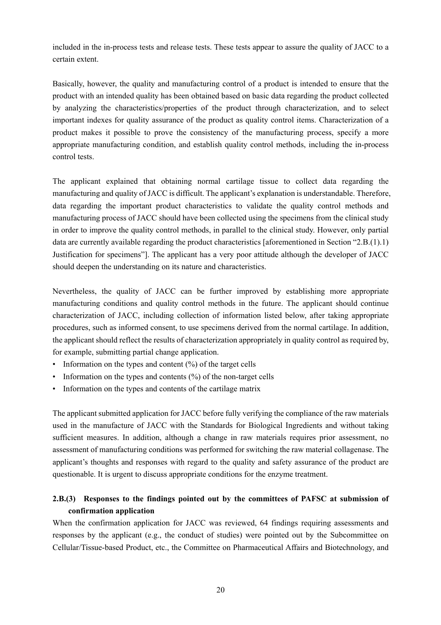included in the in-process tests and release tests. These tests appear to assure the quality of JACC to a certain extent.

Basically, however, the quality and manufacturing control of a product is intended to ensure that the product with an intended quality has been obtained based on basic data regarding the product collected by analyzing the characteristics/properties of the product through characterization, and to select important indexes for quality assurance of the product as quality control items. Characterization of a product makes it possible to prove the consistency of the manufacturing process, specify a more appropriate manufacturing condition, and establish quality control methods, including the in-process control tests.

The applicant explained that obtaining normal cartilage tissue to collect data regarding the manufacturing and quality of JACC is difficult. The applicant's explanation is understandable. Therefore, data regarding the important product characteristics to validate the quality control methods and manufacturing process of JACC should have been collected using the specimens from the clinical study in order to improve the quality control methods, in parallel to the clinical study. However, only partial data are currently available regarding the product characteristics [aforementioned in Section "2.B.(1).1) Justification for specimens"]. The applicant has a very poor attitude although the developer of JACC should deepen the understanding on its nature and characteristics.

Nevertheless, the quality of JACC can be further improved by establishing more appropriate manufacturing conditions and quality control methods in the future. The applicant should continue characterization of JACC, including collection of information listed below, after taking appropriate procedures, such as informed consent, to use specimens derived from the normal cartilage. In addition, the applicant should reflect the results of characterization appropriately in quality control as required by, for example, submitting partial change application.

- Information on the types and content (%) of the target cells
- Information on the types and contents  $(\%)$  of the non-target cells
- Information on the types and contents of the cartilage matrix

The applicant submitted application for JACC before fully verifying the compliance of the raw materials used in the manufacture of JACC with the Standards for Biological Ingredients and without taking sufficient measures. In addition, although a change in raw materials requires prior assessment, no assessment of manufacturing conditions was performed for switching the raw material collagenase. The applicant's thoughts and responses with regard to the quality and safety assurance of the product are questionable. It is urgent to discuss appropriate conditions for the enzyme treatment.

# **2.B.(3) Responses to the findings pointed out by the committees of PAFSC at submission of confirmation application**

When the confirmation application for JACC was reviewed, 64 findings requiring assessments and responses by the applicant (e.g., the conduct of studies) were pointed out by the Subcommittee on Cellular/Tissue-based Product, etc., the Committee on Pharmaceutical Affairs and Biotechnology, and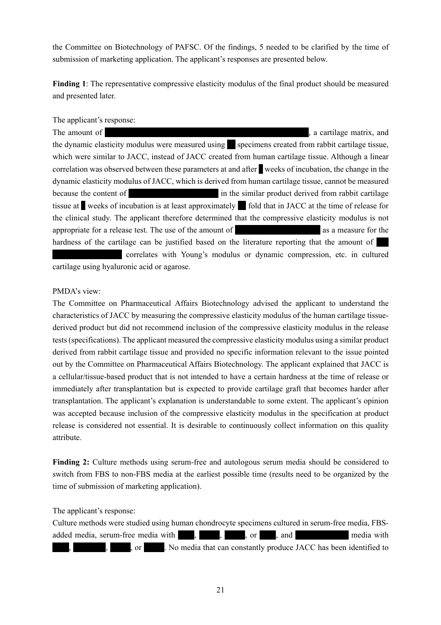the Committee on Biotechnology of PAFSC. Of the findings, 5 needed to be clarified by the time of submission of marketing application. The applicant's responses are presented below.

**Finding 1**: The representative compressive elasticity modulus of the final product should be measured and presented later.

#### The applicant's response:

The amount of  $\blacksquare$   $\blacksquare$  a cartilage matrix, and  $\blacksquare$ the dynamic elasticity modulus were measured using \*\* specimens created from rabbit cartilage tissue, which were similar to JACC, instead of JACC created from human cartilage tissue. Although a linear correlation was observed between these parameters at and after **v** weeks of incubation, the change in the dynamic elasticity modulus of JACC, which is derived from human cartilage tissue, cannot be measured because the content of \*\*\*\*\*\*\*\*\*\*\*\*\*\*\*\*\*\*\*\*\*\* in the similar product derived from rabbit cartilage tissue at weeks of incubation is at least approximately fold that in JACC at the time of release for the clinical study. The applicant therefore determined that the compressive elasticity modulus is not appropriate for a release test. The use of the amount of \*\*\*\*\*\*\*\*\*\*\*\*\*\*\*\*\*\*\*\*\* as a measure for the hardness of the cartilage can be justified based on the literature reporting that the amount of correlates with Young's modulus or dynamic compression, etc. in cultured cartilage using hyaluronic acid or agarose.

#### PMDA's view:

The Committee on Pharmaceutical Affairs Biotechnology advised the applicant to understand the characteristics of JACC by measuring the compressive elasticity modulus of the human cartilage tissuederived product but did not recommend inclusion of the compressive elasticity modulus in the release tests (specifications). The applicant measured the compressive elasticity modulus using a similar product derived from rabbit cartilage tissue and provided no specific information relevant to the issue pointed out by the Committee on Pharmaceutical Affairs Biotechnology. The applicant explained that JACC is a cellular/tissue-based product that is not intended to have a certain hardness at the time of release or immediately after transplantation but is expected to provide cartilage graft that becomes harder after transplantation. The applicant's explanation is understandable to some extent. The applicant's opinion was accepted because inclusion of the compressive elasticity modulus in the specification at product release is considered not essential. It is desirable to continuously collect information on this quality attribute.

**Finding 2:** Culture methods using serum-free and autologous serum media should be considered to switch from FBS to non-FBS media at the earliest possible time (results need to be organized by the time of submission of marketing application).

The applicant's response:

Culture methods were studied using human chondrocyte specimens cultured in serum-free media, FBSadded media, serum-free media with  $\cdot$ ,  $\cdot$ , or  $\cdot$ , and  $\cdot$  media with \*, or \*\*\*\*. No media that can constantly produce JACC has been identified to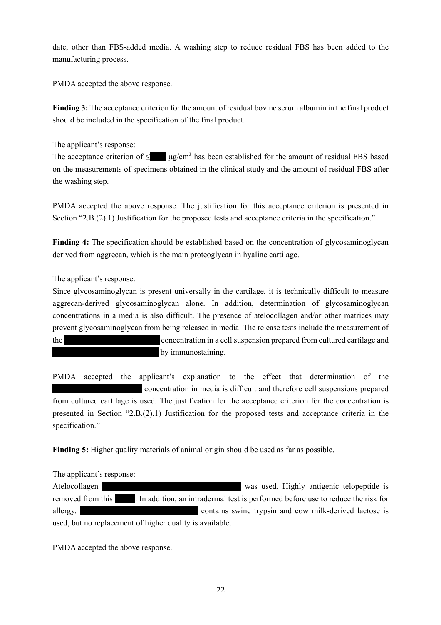date, other than FBS-added media. A washing step to reduce residual FBS has been added to the manufacturing process.

PMDA accepted the above response.

**Finding 3:** The acceptance criterion for the amount of residual bovine serum albumin in the final product should be included in the specification of the final product.

The applicant's response:

The acceptance criterion of  $\leq$   $\mu$ g/cm<sup>3</sup> has been established for the amount of residual FBS based on the measurements of specimens obtained in the clinical study and the amount of residual FBS after the washing step.

PMDA accepted the above response. The justification for this acceptance criterion is presented in Section "2.B.(2).1) Justification for the proposed tests and acceptance criteria in the specification."

**Finding 4:** The specification should be established based on the concentration of glycosaminoglycan derived from aggrecan, which is the main proteoglycan in hyaline cartilage.

The applicant's response:

Since glycosaminoglycan is present universally in the cartilage, it is technically difficult to measure aggrecan-derived glycosaminoglycan alone. In addition, determination of glycosaminoglycan concentrations in a media is also difficult. The presence of atelocollagen and/or other matrices may prevent glycosaminoglycan from being released in media. The release tests include the measurement of the \*\*\*\*\*\*\*\*\*\*\*\*\*\*\*\*\*\* \*\*\*\*\* concentration in a cell suspension prepared from cultured cartilage and by immunostaining.

PMDA accepted the applicant's explanation to the effect that determination of the \*\*\*\*\*\*\*\*\*\*\*\*\*\*\*\*\*\*\*\*\*\* concentration in media is difficult and therefore cell suspensions prepared from cultured cartilage is used. The justification for the acceptance criterion for the concentration is presented in Section "2.B.(2).1) Justification for the proposed tests and acceptance criteria in the specification."

**Finding 5:** Higher quality materials of animal origin should be used as far as possible.

The applicant's response:

Atelocollagen \*\*\*\*\*\*\*\*\*\*\*\*\*\*\*\*\*\*\*\*\*\*\*\*\*\*\*\*\*\*\*\*\*\* was used. Highly antigenic telopeptide is removed from this  $\blacksquare$ . In addition, an intradermal test is performed before use to reduce the risk for allergy.  $\blacksquare$  contains swine trypsin and cow milk-derived lactose is used, but no replacement of higher quality is available.

PMDA accepted the above response.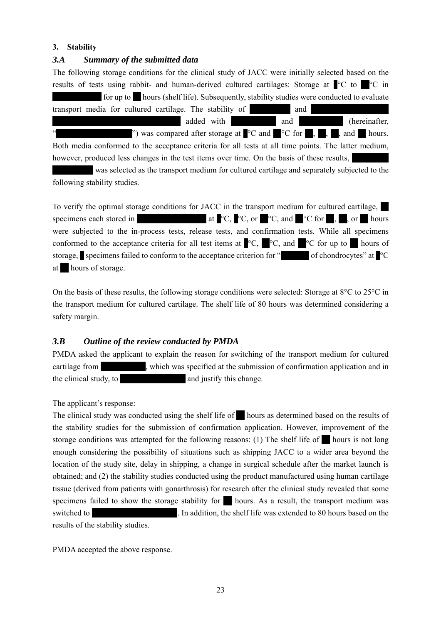# **3. Stability**

# *3.A Summary of the submitted data*

The following storage conditions for the clinical study of JACC were initially selected based on the results of tests using rabbit- and human-derived cultured cartilages: Storage at  $\degree$ C to  $\degree$ C in  $\blacksquare$  for up to  $\blacksquare$  hours (shelf life). Subsequently, stability studies were conducted to evaluate transport media for cultured cartilage. The stability of  $\qquad$  and  $\qquad$ \*\*\*\*\*\*\*\*\*\*\* \*\*\*\*\*\*\*\*\*\*\*\*\*\*\*\*\*\*\* added with \*\*\*\*\*\*\*\*\*\*\* and \*\*\*\*\*\*\*\*\*\*\* (hereinafter, " was compared after storage at  $^{\circ}$ C and  $^{\circ}$ C for  $^{\circ}$ ,  $^{\circ}$ ,  $^{\circ}$ , and  $^{\circ}$  hours. Both media conformed to the acceptance criteria for all tests at all time points. The latter medium, however, produced less changes in the test items over time. On the basis of these results, was selected as the transport medium for cultured cartilage and separately subjected to the following stability studies.

To verify the optimal storage conditions for JACC in the transport medium for cultured cartilage, \*\* specimens each stored in  $\bullet$  at  $\bullet$   $\circ$   $\bullet$   $\circ$   $\bullet$ ,  $\bullet$   $\circ$   $\circ$  for  $\bullet$ ,  $\bullet$ , or  $\bullet$  hours were subjected to the in-process tests, release tests, and confirmation tests. While all specimens conformed to the acceptance criteria for all test items at  $^{\circ}C$ ,  $^{\circ}C$ , and  $^{\circ}C$  for up to hours of storage, specimens failed to conform to the acceptance criterion for " $\blacksquare$  of chondrocytes" at  $\blacksquare$ at hours of storage.

On the basis of these results, the following storage conditions were selected: Storage at 8°C to 25°C in the transport medium for cultured cartilage. The shelf life of 80 hours was determined considering a safety margin.

# *3.B Outline of the review conducted by PMDA*

PMDA asked the applicant to explain the reason for switching of the transport medium for cultured cartilage from  $\ldots$ , which was specified at the submission of confirmation application and in the clinical study, to \*\*\*\*\*\*\*\*\*\*\*\*\*\*\*\* and justify this change.

The applicant's response:

The clinical study was conducted using the shelf life of  $\blacksquare$  hours as determined based on the results of the stability studies for the submission of confirmation application. However, improvement of the storage conditions was attempted for the following reasons: (1) The shelf life of  $\mathbb{R}^n$  hours is not long enough considering the possibility of situations such as shipping JACC to a wider area beyond the location of the study site, delay in shipping, a change in surgical schedule after the market launch is obtained; and (2) the stability studies conducted using the product manufactured using human cartilage tissue (derived from patients with gonarthrosis) for research after the clinical study revealed that some specimens failed to show the storage stability for  $\blacksquare$  hours. As a result, the transport medium was switched to \*\*\*\*\*\*\*\*\*\*\*\*\*\*\*\*\*\*\*\*\*. In addition, the shelf life was extended to 80 hours based on the results of the stability studies.

PMDA accepted the above response.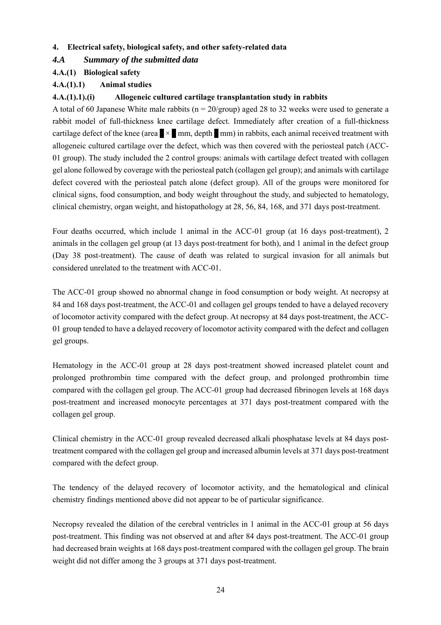# **4. Electrical safety, biological safety, and other safety-related data**

# *4.A Summary of the submitted data*

# **4.A.(1) Biological safety**

# **4.A.(1).1) Animal studies**

# **4.A.(1).1).(i) Allogeneic cultured cartilage transplantation study in rabbits**

A total of 60 Japanese White male rabbits ( $n = 20$ /group) aged 28 to 32 weeks were used to generate a rabbit model of full-thickness knee cartilage defect. Immediately after creation of a full-thickness cartilage defect of the knee (area  $\times$  mm, depth  $\times$  mm) in rabbits, each animal received treatment with allogeneic cultured cartilage over the defect, which was then covered with the periosteal patch (ACC-01 group). The study included the 2 control groups: animals with cartilage defect treated with collagen gel alone followed by coverage with the periosteal patch (collagen gel group); and animals with cartilage defect covered with the periosteal patch alone (defect group). All of the groups were monitored for clinical signs, food consumption, and body weight throughout the study, and subjected to hematology, clinical chemistry, organ weight, and histopathology at 28, 56, 84, 168, and 371 days post-treatment.

Four deaths occurred, which include 1 animal in the ACC-01 group (at 16 days post-treatment), 2 animals in the collagen gel group (at 13 days post-treatment for both), and 1 animal in the defect group (Day 38 post-treatment). The cause of death was related to surgical invasion for all animals but considered unrelated to the treatment with ACC-01.

The ACC-01 group showed no abnormal change in food consumption or body weight. At necropsy at 84 and 168 days post-treatment, the ACC-01 and collagen gel groups tended to have a delayed recovery of locomotor activity compared with the defect group. At necropsy at 84 days post-treatment, the ACC-01 group tended to have a delayed recovery of locomotor activity compared with the defect and collagen gel groups.

Hematology in the ACC-01 group at 28 days post-treatment showed increased platelet count and prolonged prothrombin time compared with the defect group, and prolonged prothrombin time compared with the collagen gel group. The ACC-01 group had decreased fibrinogen levels at 168 days post-treatment and increased monocyte percentages at 371 days post-treatment compared with the collagen gel group.

Clinical chemistry in the ACC-01 group revealed decreased alkali phosphatase levels at 84 days posttreatment compared with the collagen gel group and increased albumin levels at 371 days post-treatment compared with the defect group.

The tendency of the delayed recovery of locomotor activity, and the hematological and clinical chemistry findings mentioned above did not appear to be of particular significance.

Necropsy revealed the dilation of the cerebral ventricles in 1 animal in the ACC-01 group at 56 days post-treatment. This finding was not observed at and after 84 days post-treatment. The ACC-01 group had decreased brain weights at 168 days post-treatment compared with the collagen gel group. The brain weight did not differ among the 3 groups at 371 days post-treatment.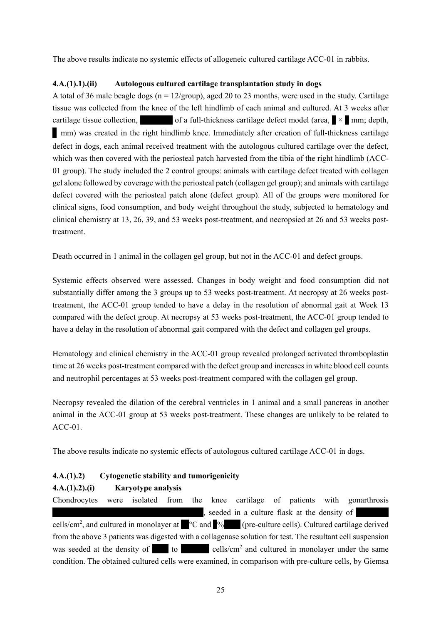The above results indicate no systemic effects of allogeneic cultured cartilage ACC-01 in rabbits.

### **4.A.(1).1).(ii) Autologous cultured cartilage transplantation study in dogs**

A total of 36 male beagle dogs ( $n = 12$ /group), aged 20 to 23 months, were used in the study. Cartilage tissue was collected from the knee of the left hindlimb of each animal and cultured. At 3 weeks after cartilage tissue collection,  $\blacksquare$  of a full-thickness cartilage defect model (area,  $\blacksquare \times \blacksquare$  mm; depth, \* mm) was created in the right hindlimb knee. Immediately after creation of full-thickness cartilage defect in dogs, each animal received treatment with the autologous cultured cartilage over the defect, which was then covered with the periosteal patch harvested from the tibia of the right hindlimb (ACC-01 group). The study included the 2 control groups: animals with cartilage defect treated with collagen gel alone followed by coverage with the periosteal patch (collagen gel group); and animals with cartilage defect covered with the periosteal patch alone (defect group). All of the groups were monitored for clinical signs, food consumption, and body weight throughout the study, subjected to hematology and clinical chemistry at 13, 26, 39, and 53 weeks post-treatment, and necropsied at 26 and 53 weeks posttreatment.

Death occurred in 1 animal in the collagen gel group, but not in the ACC-01 and defect groups.

Systemic effects observed were assessed. Changes in body weight and food consumption did not substantially differ among the 3 groups up to 53 weeks post-treatment. At necropsy at 26 weeks posttreatment, the ACC-01 group tended to have a delay in the resolution of abnormal gait at Week 13 compared with the defect group. At necropsy at 53 weeks post-treatment, the ACC-01 group tended to have a delay in the resolution of abnormal gait compared with the defect and collagen gel groups.

Hematology and clinical chemistry in the ACC-01 group revealed prolonged activated thromboplastin time at 26 weeks post-treatment compared with the defect group and increases in white blood cell counts and neutrophil percentages at 53 weeks post-treatment compared with the collagen gel group.

Necropsy revealed the dilation of the cerebral ventricles in 1 animal and a small pancreas in another animal in the ACC-01 group at 53 weeks post-treatment. These changes are unlikely to be related to ACC-01.

The above results indicate no systemic effects of autologous cultured cartilage ACC-01 in dogs.

**4.A.(1).2) Cytogenetic stability and tumorigenicity** 

# **4.A.(1).2).(i) Karyotype analysis**

Chondrocytes were isolated from the knee cartilage of patients with gonarthrosis  $*$  seeded in a culture flask at the density of cells/cm<sup>2</sup>, and cultured in monolayer at  $^{\circ}$ C and  $^{\circ}$ % (pre-culture cells). Cultured cartilage derived from the above 3 patients was digested with a collagenase solution for test. The resultant cell suspension was seeded at the density of  $^*$  to  $^*$  cells/cm<sup>2</sup> and cultured in monolayer under the same condition. The obtained cultured cells were examined, in comparison with pre-culture cells, by Giemsa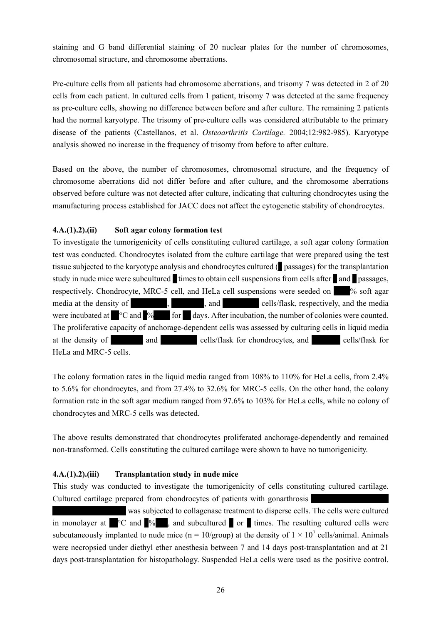staining and G band differential staining of 20 nuclear plates for the number of chromosomes, chromosomal structure, and chromosome aberrations.

Pre-culture cells from all patients had chromosome aberrations, and trisomy 7 was detected in 2 of 20 cells from each patient. In cultured cells from 1 patient, trisomy 7 was detected at the same frequency as pre-culture cells, showing no difference between before and after culture. The remaining 2 patients had the normal karyotype. The trisomy of pre-culture cells was considered attributable to the primary disease of the patients (Castellanos, et al. *Osteoarthritis Cartilage.* 2004;12:982-985). Karyotype analysis showed no increase in the frequency of trisomy from before to after culture.

Based on the above, the number of chromosomes, chromosomal structure, and the frequency of chromosome aberrations did not differ before and after culture, and the chromosome aberrations observed before culture was not detected after culture, indicating that culturing chondrocytes using the manufacturing process established for JACC does not affect the cytogenetic stability of chondrocytes.

### **4.A.(1).2).(ii) Soft agar colony formation test**

To investigate the tumorigenicity of cells constituting cultured cartilage, a soft agar colony formation test was conducted. Chondrocytes isolated from the culture cartilage that were prepared using the test tissue subjected to the karyotype analysis and chondrocytes cultured (\* passages) for the transplantation study in nude mice were subcultured times to obtain cell suspensions from cells after and passages, respectively. Chondrocyte, MRC-5 cell, and HeLa cell suspensions were seeded on  $\frac{1}{\sqrt{2}}$  soft agar media at the density of  $\blacksquare$ , and  $\blacksquare$  cells/flask, respectively, and the media were incubated at  $^{\circ}$ C and  $^{\circ}$  for  $^{\circ}$  days. After incubation, the number of colonies were counted. The proliferative capacity of anchorage-dependent cells was assessed by culturing cells in liquid media at the density of \*\*\*\*\*\*\*\*\*\*\*\*\*\*\*\*\*\*\*\* and \*\*\*\*\* cells/flask for chondrocytes, and \*\*\*\* cells/flask for HeLa and MRC-5 cells.

The colony formation rates in the liquid media ranged from 108% to 110% for HeLa cells, from 2.4% to 5.6% for chondrocytes, and from 27.4% to 32.6% for MRC-5 cells. On the other hand, the colony formation rate in the soft agar medium ranged from 97.6% to 103% for HeLa cells, while no colony of chondrocytes and MRC-5 cells was detected.

The above results demonstrated that chondrocytes proliferated anchorage-dependently and remained non-transformed. Cells constituting the cultured cartilage were shown to have no tumorigenicity.

# **4.A.(1).2).(iii) Transplantation study in nude mice**

This study was conducted to investigate the tumorigenicity of cells constituting cultured cartilage. Cultured cartilage prepared from chondrocytes of patients with gonarthrosis

was subjected to collagenase treatment to disperse cells. The cells were cultured in monolayer at  $\degree$ °C and  $\degree$ %, and subcultured or  $\degree$  times. The resulting cultured cells were subcutaneously implanted to nude mice ( $n = 10$ /group) at the density of  $1 \times 10^7$  cells/animal. Animals were necropsied under diethyl ether anesthesia between 7 and 14 days post-transplantation and at 21 days post-transplantation for histopathology. Suspended HeLa cells were used as the positive control.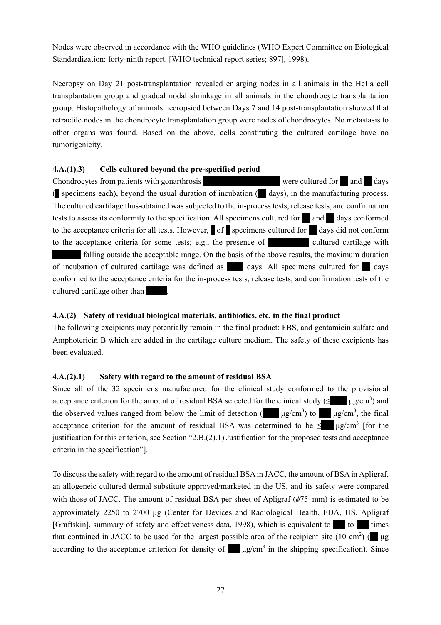Nodes were observed in accordance with the WHO guidelines (WHO Expert Committee on Biological Standardization: forty-ninth report. [WHO technical report series; 897], 1998).

Necropsy on Day 21 post-transplantation revealed enlarging nodes in all animals in the HeLa cell transplantation group and gradual nodal shrinkage in all animals in the chondrocyte transplantation group. Histopathology of animals necropsied between Days 7 and 14 post-transplantation showed that retractile nodes in the chondrocyte transplantation group were nodes of chondrocytes. No metastasis to other organs was found. Based on the above, cells constituting the cultured cartilage have no tumorigenicity.

# **4.A.(1).3) Cells cultured beyond the pre-specified period**

Chondrocytes from patients with gonarthrosis \*\*\*\*\*\*\*\*\*\*\*\*\*\*\*\*\*\*\* were cultured for \*\* and \*\* days ( $\blacksquare$  specimens each), beyond the usual duration of incubation ( $\blacksquare$  days), in the manufacturing process. The cultured cartilage thus-obtained was subjected to the in-process tests, release tests, and confirmation tests to assess its conformity to the specification. All specimens cultured for  $\blacksquare$  and  $\blacksquare$  days conformed to the acceptance criteria for all tests. However, of specimens cultured for days did not conform to the acceptance criteria for some tests; e.g., the presence of  $\blacksquare$  cultured cartilage with falling outside the acceptable range. On the basis of the above results, the maximum duration of incubation of cultured cartilage was defined as \*\*\* days. All specimens cultured for \*\* days conformed to the acceptance criteria for the in-process tests, release tests, and confirmation tests of the cultured cartilage other than

# **4.A.(2) Safety of residual biological materials, antibiotics, etc. in the final product**

The following excipients may potentially remain in the final product: FBS, and gentamicin sulfate and Amphotericin B which are added in the cartilage culture medium. The safety of these excipients has been evaluated.

# **4.A.(2).1) Safety with regard to the amount of residual BSA**

Since all of the 32 specimens manufactured for the clinical study conformed to the provisional acceptance criterion for the amount of residual BSA selected for the clinical study ( $\leq$   $\qquad \qquad$   $\mu$ g/cm<sup>3</sup>) and the observed values ranged from below the limit of detection ( $\mu$ g/cm<sup>3</sup>) to  $\mu$ g/cm<sup>3</sup>, the final acceptance criterion for the amount of residual BSA was determined to be  $\leq$   $\mu$ g/cm<sup>3</sup> [for the justification for this criterion, see Section "2.B.(2).1) Justification for the proposed tests and acceptance criteria in the specification"].

To discuss the safety with regard to the amount of residual BSA in JACC, the amount of BSA in Apligraf, an allogeneic cultured dermal substitute approved/marketed in the US, and its safety were compared with those of JACC. The amount of residual BSA per sheet of Apligraf (*ϕ*75 mm) is estimated to be approximately 2250 to 2700 μg (Center for Devices and Radiological Health, FDA, US. Apligraf [Graftskin], summary of safety and effectiveness data, 1998), which is equivalent to  $\blacksquare$  to  $\blacksquare$  times that contained in JACC to be used for the largest possible area of the recipient site (10 cm<sup>2</sup>) ( $\mu$ g according to the acceptance criterion for density of  $\mu$ g/cm<sup>3</sup> in the shipping specification). Since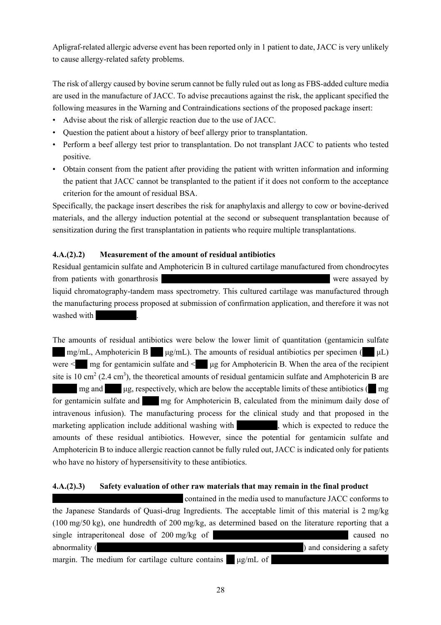Apligraf-related allergic adverse event has been reported only in 1 patient to date, JACC is very unlikely to cause allergy-related safety problems.

The risk of allergy caused by bovine serum cannot be fully ruled out as long as FBS-added culture media are used in the manufacture of JACC. To advise precautions against the risk, the applicant specified the following measures in the Warning and Contraindications sections of the proposed package insert:

- Advise about the risk of allergic reaction due to the use of JACC.
- Question the patient about a history of beef allergy prior to transplantation.
- Perform a beef allergy test prior to transplantation. Do not transplant JACC to patients who tested positive.
- Obtain consent from the patient after providing the patient with written information and informing the patient that JACC cannot be transplanted to the patient if it does not conform to the acceptance criterion for the amount of residual BSA.

Specifically, the package insert describes the risk for anaphylaxis and allergy to cow or bovine-derived materials, and the allergy induction potential at the second or subsequent transplantation because of sensitization during the first transplantation in patients who require multiple transplantations.

# **4.A.(2).2) Measurement of the amount of residual antibiotics**

Residual gentamicin sulfate and Amphotericin B in cultured cartilage manufactured from chondrocytes from patients with gonarthrosis \*\*\*\*\*\*\*\*\*\*\*\*\*\* \*\*\*\*\*\*\*\* \*\*\*\* \*\*\*\*\*\*\*\*\*\*\*\*\* were assayed by liquid chromatography-tandem mass spectrometry. This cultured cartilage was manufactured through the manufacturing process proposed at submission of confirmation application, and therefore it was not washed with

The amounts of residual antibiotics were below the lower limit of quantitation (gentamicin sulfate  $\text{mg/mL}$ , Amphotericin B  $\mu$ g/mL). The amounts of residual antibiotics per specimen ( $\mu$ L) were  $\leq$  mg for gentamicin sulfate and  $\leq$  ug for Amphotericin B. When the area of the recipient site is 10 cm<sup>2</sup> (2.4 cm<sup>3</sup>), the theoretical amounts of residual gentamicin sulfate and Amphotericin B are  $\mathbf{m}$  mg and  $\mathbf{u}$  ug, respectively, which are below the acceptable limits of these antibiotics ( $\mathbf{m}$  mg) for gentamicin sulfate and \*\*\*\* mg for Amphotericin B, calculated from the minimum daily dose of intravenous infusion). The manufacturing process for the clinical study and that proposed in the marketing application include additional washing with  $\ddot{\hspace{1cm}}$ , which is expected to reduce the amounts of these residual antibiotics. However, since the potential for gentamicin sulfate and Amphotericin B to induce allergic reaction cannot be fully ruled out, JACC is indicated only for patients who have no history of hypersensitivity to these antibiotics.

# **4.A.(2).3) Safety evaluation of other raw materials that may remain in the final product**

 $*$  contained in the media used to manufacture JACC conforms to the Japanese Standards of Quasi-drug Ingredients. The acceptable limit of this material is 2 mg/kg (100 mg/50 kg), one hundredth of 200 mg/kg, as determined based on the literature reporting that a single intraperitoneal dose of  $200 \text{ mg/kg}$  of  $\blacksquare$ abnormality ( $\blacksquare$ ) and considering a safety margin. The medium for cartilage culture contains  $\blacksquare$  μg/mL of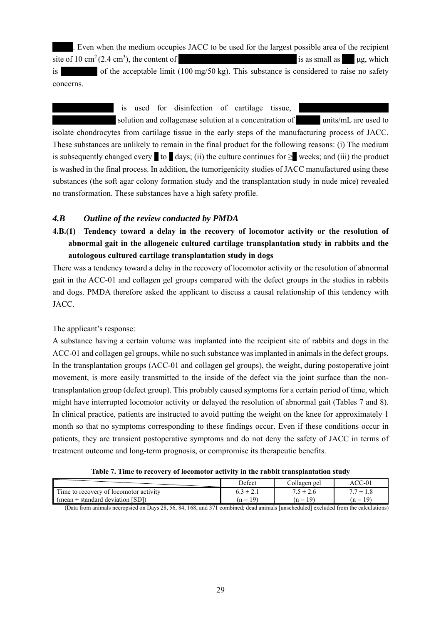. Even when the medium occupies JACC to be used for the largest possible area of the recipient site of 10 cm<sup>2</sup> (2.4 cm<sup>3</sup>), the content of is as small as  $\mu$ g, which

is  $\frac{1}{100}$  of the acceptable limit (100 mg/50 kg). This substance is considered to raise no safety concerns.

 $*$  is used for disinfection of cartilage tissue, \*\*\*\*\*\*\*\*\*\*\*\* \*\*\* solution and collagenase solution at a concentration of \*\*\*\*\*\* units/mL are used to isolate chondrocytes from cartilage tissue in the early steps of the manufacturing process of JACC. These substances are unlikely to remain in the final product for the following reasons: (i) The medium is subsequently changed every  $\bullet$  to  $\bullet$  days; (ii) the culture continues for  $\geq$  weeks; and (iii) the product is washed in the final process. In addition, the tumorigenicity studies of JACC manufactured using these substances (the soft agar colony formation study and the transplantation study in nude mice) revealed no transformation. These substances have a high safety profile.

# *4.B Outline of the review conducted by PMDA*

**4.B.(1) Tendency toward a delay in the recovery of locomotor activity or the resolution of abnormal gait in the allogeneic cultured cartilage transplantation study in rabbits and the autologous cultured cartilage transplantation study in dogs** 

There was a tendency toward a delay in the recovery of locomotor activity or the resolution of abnormal gait in the ACC-01 and collagen gel groups compared with the defect groups in the studies in rabbits and dogs. PMDA therefore asked the applicant to discuss a causal relationship of this tendency with JACC.

The applicant's response:

A substance having a certain volume was implanted into the recipient site of rabbits and dogs in the ACC-01 and collagen gel groups, while no such substance was implanted in animals in the defect groups. In the transplantation groups (ACC-01 and collagen gel groups), the weight, during postoperative joint movement, is more easily transmitted to the inside of the defect via the joint surface than the nontransplantation group (defect group). This probably caused symptoms for a certain period of time, which might have interrupted locomotor activity or delayed the resolution of abnormal gait (Tables 7 and 8). In clinical practice, patients are instructed to avoid putting the weight on the knee for approximately 1 month so that no symptoms corresponding to these findings occur. Even if these conditions occur in patients, they are transient postoperative symptoms and do not deny the safety of JACC in terms of treatment outcome and long-term prognosis, or compromise its therapeutic benefits.

|                                                                                | Defect                      | Collagen gel                | $ACC-01$                    |
|--------------------------------------------------------------------------------|-----------------------------|-----------------------------|-----------------------------|
| Time to recovery of locomotor activity<br>(mean $\pm$ standard deviation [SD]) | $6.3 \pm 2.1$<br>$(n = 19)$ | $7.5 \pm 2.6$<br>$(n = 19)$ | $\frac{1}{2}$<br>$(n = 19)$ |
|                                                                                |                             |                             |                             |

(Data from animals necropsied on Days 28, 56, 84, 168, and 371 combined; dead animals [unscheduled] excluded from the calculations)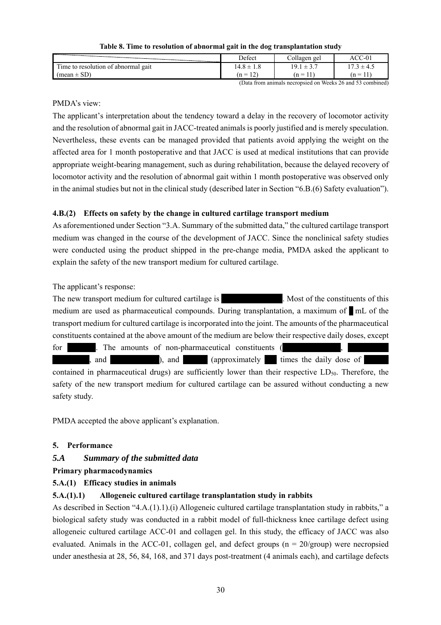**Table 8. Time to resolution of abnormal gait in the dog transplantation study** 

|                                      | Defect                                  | $\overline{11}$<br>Collagen gel | $\mathcal{C}\mathcal{C}\text{-}01$<br>AC                  |
|--------------------------------------|-----------------------------------------|---------------------------------|-----------------------------------------------------------|
| l'ime to resolution of abnormal gait | 14.8 $\pm$<br>1.0                       | 19.1<br>$\perp$ J.I             | $7.3 \pm 4.5$                                             |
| $(mean \pm SD)$                      | $1^{\prime}$<br>$n =$<br>$\overline{1}$ | 11<br>$(n =$                    | 11'<br>$(n =$<br>-1-1                                     |
|                                      | $\sim$ $\sim$ $\sim$                    | $- - -$                         | $\sim$<br>$\sim$ $\sim$ $\sim$<br>$\cdot$ $\cdot$<br>$ -$ |

(Data from animals necropsied on Weeks 26 and 53 combined)

# PMDA's view:

The applicant's interpretation about the tendency toward a delay in the recovery of locomotor activity and the resolution of abnormal gait in JACC-treated animals is poorly justified and is merely speculation. Nevertheless, these events can be managed provided that patients avoid applying the weight on the affected area for 1 month postoperative and that JACC is used at medical institutions that can provide appropriate weight-bearing management, such as during rehabilitation, because the delayed recovery of locomotor activity and the resolution of abnormal gait within 1 month postoperative was observed only in the animal studies but not in the clinical study (described later in Section "6.B.(6) Safety evaluation").

# **4.B.(2) Effects on safety by the change in cultured cartilage transport medium**

As aforementioned under Section "3.A. Summary of the submitted data," the cultured cartilage transport medium was changed in the course of the development of JACC. Since the nonclinical safety studies were conducted using the product shipped in the pre-change media, PMDA asked the applicant to explain the safety of the new transport medium for cultured cartilage.

The applicant's response:

The new transport medium for cultured cartilage is \*\*\*\*\*\*\*\*\*\*\*. Most of the constituents of this medium are used as pharmaceutical compounds. During transplantation, a maximum of  $\blacksquare$  mL of the transport medium for cultured cartilage is incorporated into the joint. The amounts of the pharmaceutical constituents contained at the above amount of the medium are below their respective daily doses, except

for  $*{\rm tr}$  The amounts of non-pharmaceutical constituents (  $*$ , and  $*$  (approximately  $*$  times the daily dose of  $*$ 

contained in pharmaceutical drugs) are sufficiently lower than their respective  $LD_{50}$ . Therefore, the safety of the new transport medium for cultured cartilage can be assured without conducting a new safety study.

PMDA accepted the above applicant's explanation.

# **5. Performance**

# *5.A Summary of the submitted data*

# **Primary pharmacodynamics**

# **5.A.(1) Efficacy studies in animals**

# **5.A.(1).1) Allogeneic cultured cartilage transplantation study in rabbits**

As described in Section "4.A.(1).1).(i) Allogeneic cultured cartilage transplantation study in rabbits," a biological safety study was conducted in a rabbit model of full-thickness knee cartilage defect using allogeneic cultured cartilage ACC-01 and collagen gel. In this study, the efficacy of JACC was also evaluated. Animals in the ACC-01, collagen gel, and defect groups  $(n = 20/$ group) were necropsied under anesthesia at 28, 56, 84, 168, and 371 days post-treatment (4 animals each), and cartilage defects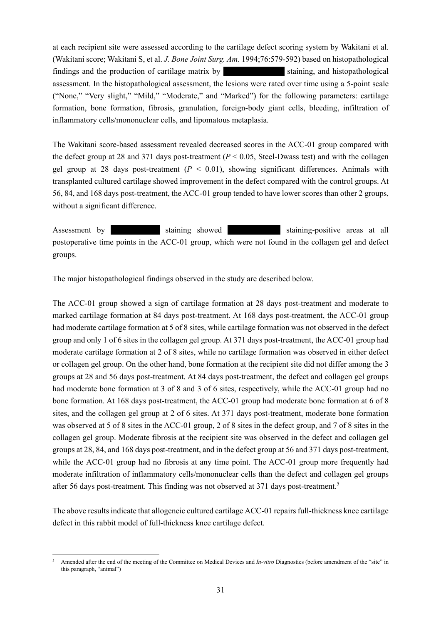at each recipient site were assessed according to the cartilage defect scoring system by Wakitani et al. (Wakitani score; Wakitani S, et al. *J. Bone Joint Surg. Am.* 1994;76:579-592) based on histopathological findings and the production of cartilage matrix by the staining, and histopathological assessment. In the histopathological assessment, the lesions were rated over time using a 5-point scale ("None," "Very slight," "Mild," "Moderate," and "Marked") for the following parameters: cartilage formation, bone formation, fibrosis, granulation, foreign-body giant cells, bleeding, infiltration of inflammatory cells/mononuclear cells, and lipomatous metaplasia.

The Wakitani score-based assessment revealed decreased scores in the ACC-01 group compared with the defect group at 28 and 371 days post-treatment (*P* < 0.05, Steel-Dwass test) and with the collagen gel group at 28 days post-treatment  $(P < 0.01)$ , showing significant differences. Animals with transplanted cultured cartilage showed improvement in the defect compared with the control groups. At 56, 84, and 168 days post-treatment, the ACC-01 group tended to have lower scores than other 2 groups, without a significant difference.

Assessment by \*\*\*\*\*\*\*\*\*\*\*\* staining showed \*\*\*\*\*\*\*\*\*\*\*\*\* staining-positive areas at all postoperative time points in the ACC-01 group, which were not found in the collagen gel and defect groups.

The major histopathological findings observed in the study are described below.

The ACC-01 group showed a sign of cartilage formation at 28 days post-treatment and moderate to marked cartilage formation at 84 days post-treatment. At 168 days post-treatment, the ACC-01 group had moderate cartilage formation at 5 of 8 sites, while cartilage formation was not observed in the defect group and only 1 of 6 sites in the collagen gel group. At 371 days post-treatment, the ACC-01 group had moderate cartilage formation at 2 of 8 sites, while no cartilage formation was observed in either defect or collagen gel group. On the other hand, bone formation at the recipient site did not differ among the 3 groups at 28 and 56 days post-treatment. At 84 days post-treatment, the defect and collagen gel groups had moderate bone formation at 3 of 8 and 3 of 6 sites, respectively, while the ACC-01 group had no bone formation. At 168 days post-treatment, the ACC-01 group had moderate bone formation at 6 of 8 sites, and the collagen gel group at 2 of 6 sites. At 371 days post-treatment, moderate bone formation was observed at 5 of 8 sites in the ACC-01 group, 2 of 8 sites in the defect group, and 7 of 8 sites in the collagen gel group. Moderate fibrosis at the recipient site was observed in the defect and collagen gel groups at 28, 84, and 168 days post-treatment, and in the defect group at 56 and 371 days post-treatment, while the ACC-01 group had no fibrosis at any time point. The ACC-01 group more frequently had moderate infiltration of inflammatory cells/mononuclear cells than the defect and collagen gel groups after 56 days post-treatment. This finding was not observed at 371 days post-treatment.<sup>5</sup>

The above results indicate that allogeneic cultured cartilage ACC-01 repairs full-thickness knee cartilage defect in this rabbit model of full-thickness knee cartilage defect.

l 5 Amended after the end of the meeting of the Committee on Medical Devices and *In-vitro* Diagnostics (before amendment of the "site" in this paragraph, "animal")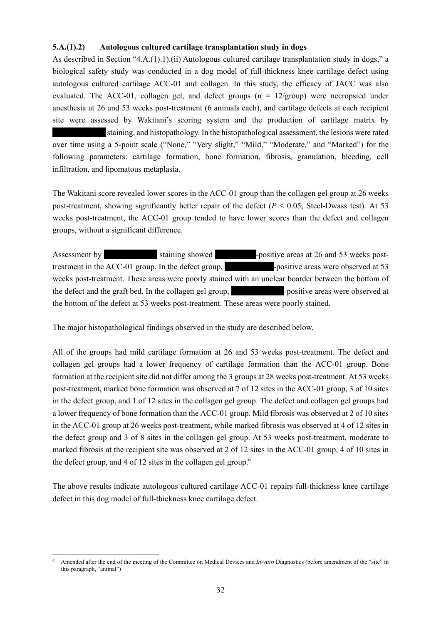### **5.A.(1).2) Autologous cultured cartilage transplantation study in dogs**

As described in Section "4.A.(1).1).(ii) Autologous cultured cartilage transplantation study in dogs," a biological safety study was conducted in a dog model of full-thickness knee cartilage defect using autologous cultured cartilage ACC-01 and collagen. In this study, the efficacy of JACC was also evaluated. The ACC-01, collagen gel, and defect groups ( $n = 12/$ group) were necropsied under anesthesia at 26 and 53 weeks post-treatment (6 animals each), and cartilage defects at each recipient site were assessed by Wakitani's scoring system and the production of cartilage matrix by staining, and histopathology. In the histopathological assessment, the lesions were rated

over time using a 5-point scale ("None," "Very slight," "Mild," "Moderate," and "Marked") for the following parameters: cartilage formation, bone formation, fibrosis, granulation, bleeding, cell infiltration, and lipomatous metaplasia.

The Wakitani score revealed lower scores in the ACC-01 group than the collagen gel group at 26 weeks post-treatment, showing significantly better repair of the defect  $(P < 0.05$ , Steel-Dwass test). At 53 weeks post-treatment, the ACC-01 group tended to have lower scores than the defect and collagen groups, without a significant difference.

Assessment by \*\*\*\*\*\*\*\*\*\*\*\*\* staining showed \*\*\*\*\*\*\*\*\*\*-positive areas at 26 and 53 weeks posttreatment in the ACC-01 group. In the defect group, the special specific areas were observed at 53 weeks post-treatment. These areas were poorly stained with an unclear boarder between the bottom of the defect and the graft bed. In the collagen gel group, the set of the served at the defect and the graft bed. In the collagen gel group, the bottom of the defect at 53 weeks post-treatment. These areas were poorly stained.

The major histopathological findings observed in the study are described below.

All of the groups had mild cartilage formation at 26 and 53 weeks post-treatment. The defect and collagen gel groups had a lower frequency of cartilage formation than the ACC-01 group. Bone formation at the recipient site did not differ among the 3 groups at 28 weeks post-treatment. At 53 weeks post-treatment, marked bone formation was observed at 7 of 12 sites in the ACC-01 group, 3 of 10 sites in the defect group, and 1 of 12 sites in the collagen gel group. The defect and collagen gel groups had a lower frequency of bone formation than the ACC-01 group. Mild fibrosis was observed at 2 of 10 sites in the ACC-01 group at 26 weeks post-treatment, while marked fibrosis was observed at 4 of 12 sites in the defect group and 3 of 8 sites in the collagen gel group. At 53 weeks post-treatment, moderate to marked fibrosis at the recipient site was observed at 2 of 12 sites in the ACC-01 group, 4 of 10 sites in the defect group, and 4 of 12 sites in the collagen gel group.<sup>6</sup>

The above results indicate autologous cultured cartilage ACC-01 repairs full-thickness knee cartilage defect in this dog model of full-thickness knee cartilage defect.

l 6 Amended after the end of the meeting of the Committee on Medical Devices and *In-vitro* Diagnostics (before amendment of the "site" in this paragraph, "animal")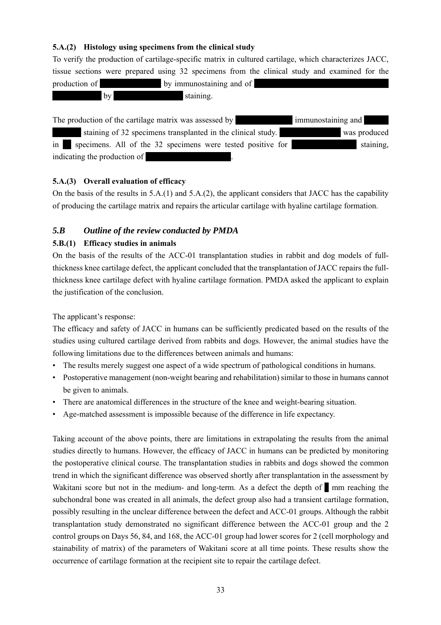# **5.A.(2) Histology using specimens from the clinical study**

To verify the production of cartilage-specific matrix in cultured cartilage, which characterizes JACC, tissue sections were prepared using 32 specimens from the clinical study and examined for the production of \*\*\*\*\*\*\*\*\*\*\*\*\*\*\* by immunostaining and of \*\*\*\*\*\*\*\*\*\*\*\*\*\*\*\*\*\*\*\*\*\*\*\*\*\*\*\*\*\*\*\*\* by staining.

The production of the cartilage matrix was assessed by  $\frac{1}{\sqrt{2}}$  immunostaining and \*\*\*\* staining of 32 specimens transplanted in the clinical study. \*\*\*\*\*\*\*\*\*\*\*\*\*\* was produced in  $\blacksquare$  specimens. All of the 32 specimens were tested positive for  $\blacksquare$  staining, indicating the production of

# **5.A.(3) Overall evaluation of efficacy**

On the basis of the results in 5.A.(1) and 5.A.(2), the applicant considers that JACC has the capability of producing the cartilage matrix and repairs the articular cartilage with hyaline cartilage formation.

# *5.B Outline of the review conducted by PMDA*

# **5.B.(1) Efficacy studies in animals**

On the basis of the results of the ACC-01 transplantation studies in rabbit and dog models of fullthickness knee cartilage defect, the applicant concluded that the transplantation of JACC repairs the fullthickness knee cartilage defect with hyaline cartilage formation. PMDA asked the applicant to explain the justification of the conclusion.

The applicant's response:

The efficacy and safety of JACC in humans can be sufficiently predicated based on the results of the studies using cultured cartilage derived from rabbits and dogs. However, the animal studies have the following limitations due to the differences between animals and humans:

- The results merely suggest one aspect of a wide spectrum of pathological conditions in humans.
- Postoperative management (non-weight bearing and rehabilitation) similar to those in humans cannot be given to animals.
- There are anatomical differences in the structure of the knee and weight-bearing situation.
- Age-matched assessment is impossible because of the difference in life expectancy.

Taking account of the above points, there are limitations in extrapolating the results from the animal studies directly to humans. However, the efficacy of JACC in humans can be predicted by monitoring the postoperative clinical course. The transplantation studies in rabbits and dogs showed the common trend in which the significant difference was observed shortly after transplantation in the assessment by Wakitani score but not in the medium- and long-term. As a defect the depth of  $\blacksquare$  mm reaching the subchondral bone was created in all animals, the defect group also had a transient cartilage formation, possibly resulting in the unclear difference between the defect and ACC-01 groups. Although the rabbit transplantation study demonstrated no significant difference between the ACC-01 group and the 2 control groups on Days 56, 84, and 168, the ACC-01 group had lower scores for 2 (cell morphology and stainability of matrix) of the parameters of Wakitani score at all time points. These results show the occurrence of cartilage formation at the recipient site to repair the cartilage defect.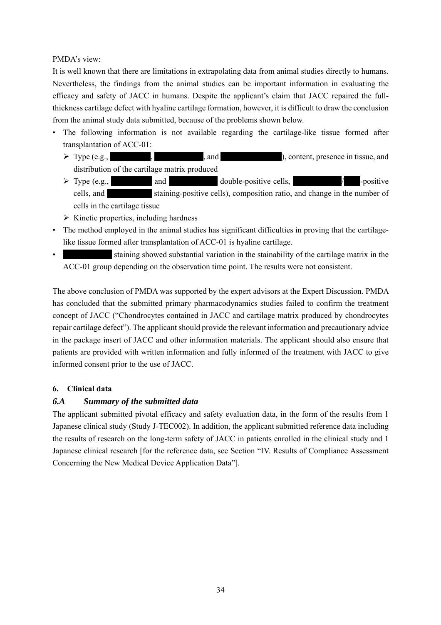# PMDA's view:

It is well known that there are limitations in extrapolating data from animal studies directly to humans. Nevertheless, the findings from the animal studies can be important information in evaluating the efficacy and safety of JACC in humans. Despite the applicant's claim that JACC repaired the fullthickness cartilage defect with hyaline cartilage formation, however, it is difficult to draw the conclusion from the animal study data submitted, because of the problems shown below.

- The following information is not available regarding the cartilage-like tissue formed after transplantation of ACC-01:
	- ▶ Type (e.g., Type (e.g., Type (e.g., Type (e.g., Type (e.g., Type (e.g., Type (e.g., Type (e.g., Type (e.g., Type 3), content, presence in tissue, and distribution of the cartilage matrix produced
	- $\triangleright$  Type (e.g.,  $\blacksquare$  and  $\blacksquare$  and double-positive cells,  $\blacksquare$ cells, and \*\*\*\*\*\*\*\*\*\*\* staining-positive cells), composition ratio, and change in the number of cells in the cartilage tissue
	- $\triangleright$  Kinetic properties, including hardness
- The method employed in the animal studies has significant difficulties in proving that the cartilagelike tissue formed after transplantation of ACC-01 is hyaline cartilage.
- staining showed substantial variation in the stainability of the cartilage matrix in the ACC-01 group depending on the observation time point. The results were not consistent.

The above conclusion of PMDA was supported by the expert advisors at the Expert Discussion. PMDA has concluded that the submitted primary pharmacodynamics studies failed to confirm the treatment concept of JACC ("Chondrocytes contained in JACC and cartilage matrix produced by chondrocytes repair cartilage defect"). The applicant should provide the relevant information and precautionary advice in the package insert of JACC and other information materials. The applicant should also ensure that patients are provided with written information and fully informed of the treatment with JACC to give informed consent prior to the use of JACC.

# **6. Clinical data**

# *6.A Summary of the submitted data*

The applicant submitted pivotal efficacy and safety evaluation data, in the form of the results from 1 Japanese clinical study (Study J-TEC002). In addition, the applicant submitted reference data including the results of research on the long-term safety of JACC in patients enrolled in the clinical study and 1 Japanese clinical research [for the reference data, see Section "IV. Results of Compliance Assessment Concerning the New Medical Device Application Data"].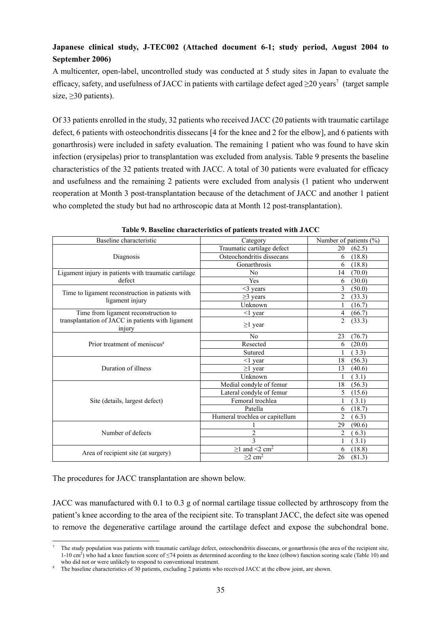# **Japanese clinical study, J-TEC002 (Attached document 6-1; study period, August 2004 to September 2006)**

A multicenter, open-label, uncontrolled study was conducted at 5 study sites in Japan to evaluate the efficacy, safety, and usefulness of JACC in patients with cartilage defect aged  $\geq$ 20 years<sup>7</sup> (target sample size, ≥30 patients).

Of 33 patients enrolled in the study, 32 patients who received JACC (20 patients with traumatic cartilage defect, 6 patients with osteochondritis dissecans [4 for the knee and 2 for the elbow], and 6 patients with gonarthrosis) were included in safety evaluation. The remaining 1 patient who was found to have skin infection (erysipelas) prior to transplantation was excluded from analysis. Table 9 presents the baseline characteristics of the 32 patients treated with JACC. A total of 30 patients were evaluated for efficacy and usefulness and the remaining 2 patients were excluded from analysis (1 patient who underwent reoperation at Month 3 post-transplantation because of the detachment of JACC and another 1 patient who completed the study but had no arthroscopic data at Month 12 post-transplantation).

| Baseline characteristic                                             | Category                        | Number of patients (%)   |
|---------------------------------------------------------------------|---------------------------------|--------------------------|
|                                                                     | Traumatic cartilage defect      | 20<br>(62.5)             |
| Diagnosis                                                           | Osteochondritis dissecans       | (18.8)<br>6              |
|                                                                     | Gonarthrosis                    | 6<br>(18.8)              |
| Ligament injury in patients with traumatic cartilage                | No                              | (70.0)<br>14             |
| defect                                                              | <b>Yes</b>                      | (30.0)<br>6              |
|                                                                     | $<$ 3 years                     | 3<br>(50.0)              |
| Time to ligament reconstruction in patients with<br>ligament injury | $\geq$ 3 years                  | $\overline{2}$<br>(33.3) |
|                                                                     | Unknown                         | (16.7)                   |
| Time from ligament reconstruction to                                | $\leq$ l year                   | 4<br>(66.7)              |
| transplantation of JACC in patients with ligament<br>injury         | $\geq$ 1 year                   | $\overline{2}$<br>(33.3) |
|                                                                     | N <sub>o</sub>                  | 23<br>(76.7)             |
| Prior treatment of meniscus <sup>8</sup>                            | Resected                        | (20.0)<br>6              |
|                                                                     | Sutured                         | (3.3)                    |
|                                                                     | $\leq$ 1 year                   | (56.3)<br>18             |
| Duration of illness                                                 | $\geq$ 1 year                   | 13<br>(40.6)             |
|                                                                     | Unknown                         | (3.1)                    |
|                                                                     | Medial condyle of femur         | (56.3)<br>18             |
|                                                                     | Lateral condyle of femur        | 5<br>(15.6)              |
| Site (details, largest defect)                                      | Femoral trochlea                | (3.1)                    |
|                                                                     | Patella                         | (18.7)<br>6              |
|                                                                     | Humeral trochlea or capitellum  | $\overline{2}$<br>6.3)   |
|                                                                     |                                 | 29<br>(90.6)             |
| Number of defects                                                   | $\overline{c}$                  | $\overline{2}$<br>6.3)   |
|                                                                     | 3                               | 3.1)                     |
| Area of recipient site (at surgery)                                 | $\geq$ 1 and <2 cm <sup>2</sup> | 6<br>(18.8)              |
|                                                                     | $\geq$ 2 cm <sup>2</sup>        | 26<br>(81.3)             |

**Table 9. Baseline characteristics of patients treated with JACC**

The procedures for JACC transplantation are shown below.

l

JACC was manufactured with 0.1 to 0.3 g of normal cartilage tissue collected by arthroscopy from the patient's knee according to the area of the recipient site. To transplant JACC, the defect site was opened to remove the degenerative cartilage around the cartilage defect and expose the subchondral bone.

<sup>7</sup> The study population was patients with traumatic cartilage defect, osteochondritis dissecans, or gonarthrosis (the area of the recipient site, 1-10 cm<sup>2</sup>) who had a knee function score of  $\leq$ 74 points as determined according to the knee (elbow) function scoring scale (Table 10) and who did not or were unlikely to respond to conventional treatment.

The baseline characteristics of 30 patients, excluding 2 patients who received JACC at the elbow joint, are shown.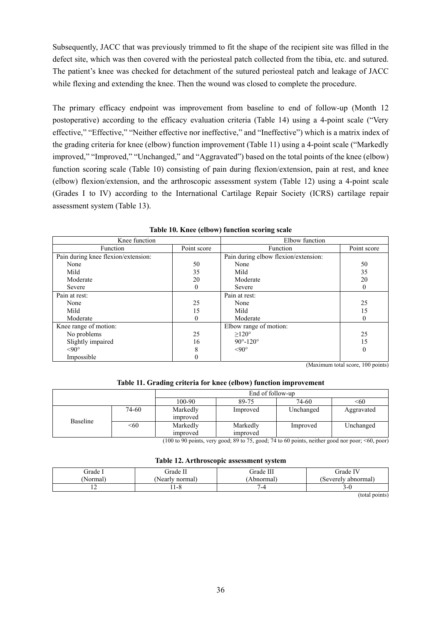Subsequently, JACC that was previously trimmed to fit the shape of the recipient site was filled in the defect site, which was then covered with the periosteal patch collected from the tibia, etc. and sutured. The patient's knee was checked for detachment of the sutured periosteal patch and leakage of JACC while flexing and extending the knee. Then the wound was closed to complete the procedure.

The primary efficacy endpoint was improvement from baseline to end of follow-up (Month 12 postoperative) according to the efficacy evaluation criteria (Table 14) using a 4-point scale ("Very effective," "Effective," "Neither effective nor ineffective," and "Ineffective") which is a matrix index of the grading criteria for knee (elbow) function improvement (Table 11) using a 4-point scale ("Markedly improved," "Improved," "Unchanged," and "Aggravated") based on the total points of the knee (elbow) function scoring scale (Table 10) consisting of pain during flexion/extension, pain at rest, and knee (elbow) flexion/extension, and the arthroscopic assessment system (Table 12) using a 4-point scale (Grades I to IV) according to the International Cartilage Repair Society (ICRS) cartilage repair assessment system (Table 13).

| Knee function                       |             | Elbow function                       |             |  |
|-------------------------------------|-------------|--------------------------------------|-------------|--|
| Function                            | Point score | Function                             | Point score |  |
| Pain during knee flexion/extension: |             | Pain during elbow flexion/extension: |             |  |
| None                                | 50          | None                                 | 50          |  |
| Mild                                | 35          | Mild                                 | 35          |  |
| Moderate                            | 20          | Moderate                             | 20          |  |
| Severe                              | $\Omega$    | Severe                               | $\theta$    |  |
| Pain at rest:                       |             | Pain at rest:                        |             |  |
| None                                | 25          | None                                 | 25          |  |
| Mild                                | 15          | Mild                                 | 15          |  |
| Moderate                            | $\theta$    | Moderate                             | $\theta$    |  |
| Knee range of motion:               |             | Elbow range of motion:               |             |  |
| No problems                         | 25          | $>120^\circ$                         | 25          |  |
| Slightly impaired                   | 16          | $90^{\circ} - 120^{\circ}$           | 15          |  |
| $< 90^\circ$                        | 8           | $< 90^\circ$                         | $\theta$    |  |
| Impossible                          | 0           |                                      |             |  |

**Table 10. Knee (elbow) function scoring scale** 

(Maximum total score, 100 points)

#### **Table 11. Grading criteria for knee (elbow) function improvement**

|          |       | End of follow-up     |                |           |            |  |
|----------|-------|----------------------|----------------|-----------|------------|--|
|          |       | 100-90               | 74-60<br>89-75 |           | <60        |  |
|          | 74-60 | Markedly<br>improved | Improved       | Unchanged | Aggravated |  |
| Baseline | < 60  | Markedly             | Markedly       | Improved  | Unchanged  |  |
|          |       | improved             | improved       |           |            |  |

(100 to 90 points, very good; 89 to 75, good; 74 to 60 points, neither good nor poor; <60, poor)

|  |  | Table 12. Arthroscopic assessment system |  |
|--|--|------------------------------------------|--|
|--|--|------------------------------------------|--|

| irade  | ' irade L      | Grade III | Grade IV            |
|--------|----------------|-----------|---------------------|
| ≀ormal | Nearly normal) | ،bnormal  | (Severelv abnormal) |
| . .    | $11 - 0$       | -4        | ⊃-v                 |

(total points)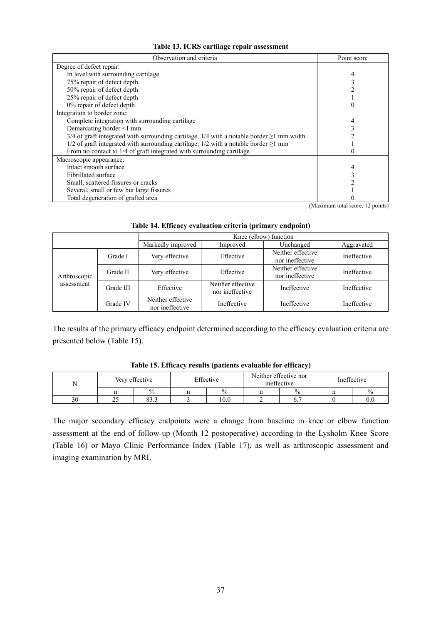| Observation and criteria                                                                          | Point score |
|---------------------------------------------------------------------------------------------------|-------------|
| Degree of defect repair:                                                                          |             |
| In level with surrounding cartilage                                                               |             |
| 75% repair of defect depth                                                                        |             |
| 50% repair of defect depth                                                                        |             |
| 25% repair of defect depth                                                                        |             |
| 0% repair of defect depth                                                                         |             |
| Integration to border zone:                                                                       |             |
| Complete integration with surrounding cartilage                                                   |             |
| Demarcating border <1 mm                                                                          |             |
| 3/4 of graft integrated with surrounding cartilage, $1/4$ with a notable border $\geq 1$ mm width |             |
| $1/2$ of graft integrated with surrounding cartilage, $1/2$ with a notable border $\geq 1$ mm     |             |
| From no contact to 1/4 of graft integrated with surrounding cartilage                             |             |
| Macroscopic appearance:                                                                           |             |
| Intact smooth surface                                                                             |             |
| Fibrillated surface                                                                               |             |
| Small, scattered fissures or cracks                                                               |             |
| Several, small or few but large fissures                                                          |             |
| Total degeneration of grafted area                                                                |             |

(Maximum total score, 12 points)

|              |           | Knee (elbow) function                |                                      |                                      |             |  |
|--------------|-----------|--------------------------------------|--------------------------------------|--------------------------------------|-------------|--|
|              |           | Markedly improved                    | Improved                             | Unchanged                            | Aggravated  |  |
|              | Grade I   | Very effective                       | Effective                            | Neither effective<br>nor ineffective | Ineffective |  |
| Arthroscopic | Grade II  | Very effective                       | Effective                            | Neither effective<br>nor ineffective | Ineffective |  |
| assessment   | Grade III | Effective                            | Neither effective<br>nor ineffective | Ineffective                          | Ineffective |  |
|              | Grade IV  | Neither effective<br>nor ineffective | Ineffective                          | Ineffective                          | Ineffective |  |

**Table 14. Efficacy evaluation criteria (primary endpoint)** 

The results of the primary efficacy endpoint determined according to the efficacy evaluation criteria are presented below (Table 15).

|    |     | Very effective | Effective |      | Neither effective nor<br>ineffective |               | Ineffective |               |
|----|-----|----------------|-----------|------|--------------------------------------|---------------|-------------|---------------|
|    |     | $\%$           |           | $\%$ | п                                    | $\frac{0}{0}$ |             | $\frac{0}{0}$ |
| 30 | ر ے | 022<br>0J.J    |           | 10.0 |                                      | b.            |             | 0.0           |

**Table 15. Efficacy results (patients evaluable for efficacy)** 

The major secondary efficacy endpoints were a change from baseline in knee or elbow function assessment at the end of follow-up (Month 12 postoperative) according to the Lysholm Knee Score (Table 16) or Mayo Clinic Performance Index (Table 17), as well as arthroscopic assessment and imaging examination by MRI.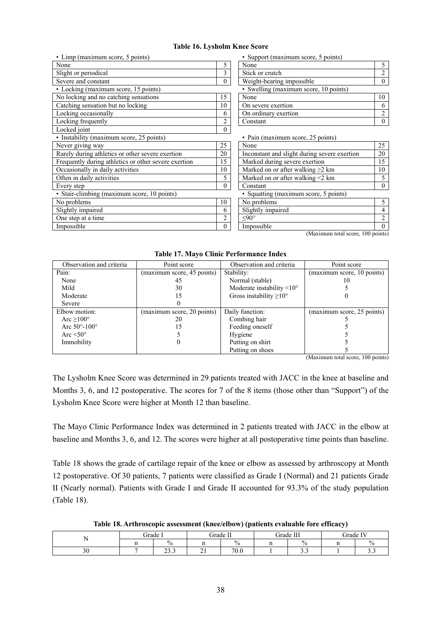#### **Table 16. Lysholm Knee Score**

| • Limp (maximum score, 5 points)                     |          | • Support (maximum score, 5 points)          |                |  |  |  |
|------------------------------------------------------|----------|----------------------------------------------|----------------|--|--|--|
| None                                                 | 5        | None                                         | 5              |  |  |  |
| Slight or periodical                                 | 3        | Stick or crutch                              | $\overline{2}$ |  |  |  |
| Severe and constant                                  | $\theta$ | Weight-bearing impossible                    | $\theta$       |  |  |  |
| • Locking (maximum score, 15 points)                 |          | • Swelling (maximum score, 10 points)        |                |  |  |  |
| No locking and no catching sensations                | 15       | None                                         | 10             |  |  |  |
| Catching sensation but no locking                    | 10       | On severe exertion                           | 6              |  |  |  |
| Locking occasionally                                 | 6        | On ordinary exertion                         | $\overline{2}$ |  |  |  |
| Locking frequently                                   | 2        | Constant                                     | $\theta$       |  |  |  |
| Locked joint                                         | $\theta$ |                                              |                |  |  |  |
| • Instability (maximum score, 25 points)             |          | • Pain (maximum score, 25 points)            |                |  |  |  |
| Never giving way                                     | 25       | None                                         | 25             |  |  |  |
| Rarely during athletics or other severe exertion     | 20       | Inconstant and slight during severe exertion | 20             |  |  |  |
| Frequently during athletics or other severe exertion | 15       | Marked during severe exertion                | 15             |  |  |  |
| Occasionally in daily activities                     | 10       | Marked on or after walking $\geq$ 2 km       | 10             |  |  |  |
| Often in daily activities                            | 5        | Marked on or after walking <2 km             | 5              |  |  |  |
| Every step                                           | $\theta$ | Constant                                     | $\theta$       |  |  |  |
| • Stair-climbing (maximum score, 10 points)          |          | • Squatting (maximum score, 5 points)        |                |  |  |  |
| No problems                                          | 10       | No problems                                  | 5              |  |  |  |
| Slightly impaired                                    | 6        | Slightly impaired                            | 4              |  |  |  |
| One step at a time                                   | 2        | $< 90^\circ$                                 | $\overline{2}$ |  |  |  |
| Impossible                                           | $\Omega$ | Impossible                                   | $\Omega$       |  |  |  |

• Support (maximum score, 5 points)

| None                                  |  |
|---------------------------------------|--|
| Stick or crutch                       |  |
| Weight-bearing impossible             |  |
| • Swelling (maximum score, 10 points) |  |
| None                                  |  |
| On severe exertion                    |  |
| On ordinary exertion                  |  |
| Constant                              |  |

| Never giving way                                     | 25       | None                                         | 25       |
|------------------------------------------------------|----------|----------------------------------------------|----------|
| Rarely during athletics or other severe exertion     | 20       | Inconstant and slight during severe exertion | 20       |
| Frequently during athletics or other severe exertion | 15       | Marked during severe exertion                | 15       |
| Occasionally in daily activities                     | 10       | Marked on or after walking $\geq 2$ km       | 10       |
| Often in daily activities                            |          | Marked on or after walking <2 km             |          |
| Every step                                           | 0        | Constant                                     | $\theta$ |
| • Stair-climbing (maximum score, 10 points)          |          | • Squatting (maximum score, 5 points)        |          |
| No problems                                          | 10       | No problems                                  |          |
| Slightly impaired                                    | 6        | Slightly impaired                            |          |
| One step at a time                                   | ↑        | $< 90^\circ$                                 |          |
| Impossible                                           | $\Omega$ | Impossible                                   | $\Omega$ |
|                                                      |          |                                              |          |

(Maximum total score, 100 points)

**Table 17. Mayo Clinic Performance Index** 

| Observation and criteria | Point score                | Observation and criteria               | Point score                |  |  |
|--------------------------|----------------------------|----------------------------------------|----------------------------|--|--|
| Pain:                    | (maximum score, 45 points) | Stability:                             | (maximum score, 10 points) |  |  |
| None                     | 45                         | Normal (stable)                        | 10                         |  |  |
| Mild                     | 30                         | Moderate instability $\leq 10^{\circ}$ |                            |  |  |
| Moderate                 | 15                         | Gross instability $\geq 10^{\circ}$    |                            |  |  |
| Severe                   |                            |                                        |                            |  |  |
|                          |                            |                                        |                            |  |  |
| Elbow motion:            | (maximum score, 20 points) | Daily function:                        | (maximum score, 25 points) |  |  |
| Arc $\geq 100^{\circ}$   | 20                         | Combing hair                           |                            |  |  |
| Arc $50^{\circ}$ -100°   | 15                         | Feeding oneself                        |                            |  |  |
| Arc $\leq 50^\circ$      |                            | Hygiene                                |                            |  |  |
| Immobility               |                            | Putting on shirt                       |                            |  |  |
|                          |                            | Putting on shoes                       |                            |  |  |

(Maximum total score, 100 points)

The Lysholm Knee Score was determined in 29 patients treated with JACC in the knee at baseline and Months 3, 6, and 12 postoperative. The scores for 7 of the 8 items (those other than "Support") of the Lysholm Knee Score were higher at Month 12 than baseline.

The Mayo Clinic Performance Index was determined in 2 patients treated with JACC in the elbow at baseline and Months 3, 6, and 12. The scores were higher at all postoperative time points than baseline.

Table 18 shows the grade of cartilage repair of the knee or elbow as assessed by arthroscopy at Month 12 postoperative. Of 30 patients, 7 patients were classified as Grade I (Normal) and 21 patients Grade II (Nearly normal). Patients with Grade I and Grade II accounted for 93.3% of the study population (Table 18).

**Table 18. Arthroscopic assessment (knee/elbow) (patients evaluable fore efficacy)** 

|    | ∼<br>irade | -                         | . irade . | T<br>ா        | ⌒<br>. irade . | III           | TT T<br>frade.<br>N |                   |  |
|----|------------|---------------------------|-----------|---------------|----------------|---------------|---------------------|-------------------|--|
|    |            | $\frac{0}{0}$             |           | $\frac{0}{0}$ |                | $\frac{0}{0}$ |                     | ́<br>$v_{\alpha}$ |  |
| υc |            | $\sim$<br>$\sim$<br>ر. رے | $\sim$ 1  | 70.0          |                | ن. ر          |                     | .                 |  |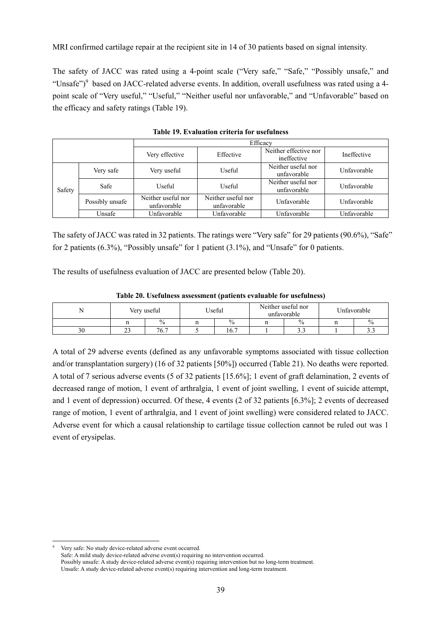MRI confirmed cartilage repair at the recipient site in 14 of 30 patients based on signal intensity.

The safety of JACC was rated using a 4-point scale ("Very safe," "Safe," "Possibly unsafe," and "Unsafe")<sup>9</sup> based on JACC-related adverse events. In addition, overall usefulness was rated using a 4point scale of "Very useful," "Useful," "Neither useful nor unfavorable," and "Unfavorable" based on the efficacy and safety ratings (Table 19).

|        |                 | Efficacy                          |                                   |                                      |             |  |  |  |  |  |  |  |
|--------|-----------------|-----------------------------------|-----------------------------------|--------------------------------------|-------------|--|--|--|--|--|--|--|
|        |                 | Very effective                    | Effective                         | Neither effective nor<br>ineffective | Ineffective |  |  |  |  |  |  |  |
|        | Very safe       | Very useful                       | Useful                            | Neither useful nor<br>unfavorable    | Unfavorable |  |  |  |  |  |  |  |
| Safety | Safe            | Useful                            | Useful                            | Neither useful nor<br>unfavorable    | Unfavorable |  |  |  |  |  |  |  |
|        | Possibly unsafe | Neither useful nor<br>unfavorable | Neither useful nor<br>unfavorable | Unfavorable                          | Unfavorable |  |  |  |  |  |  |  |
|        | Unsafe          | Unfavorable                       | Unfavorable                       | Unfavorable                          | Unfavorable |  |  |  |  |  |  |  |

**Table 19. Evaluation criteria for usefulness** 

The safety of JACC was rated in 32 patients. The ratings were "Very safe" for 29 patients (90.6%), "Safe" for 2 patients (6.3%), "Possibly unsafe" for 1 patient (3.1%), and "Unsafe" for 0 patients.

The results of usefulness evaluation of JACC are presented below (Table 20).

|    |               |               | $\sim$   |                                   |             |      |  |
|----|---------------|---------------|----------|-----------------------------------|-------------|------|--|
| N  |               | Very useful   | Useful   | Neither useful nor<br>unfavorable | Unfavorable |      |  |
|    |               | $\frac{0}{0}$ | <br>$\%$ | $\frac{0}{0}$                     |             | 0/2  |  |
| 30 | $\sim$<br>ر ب | 76.7          | 16.7     | ر. ر                              |             | ن. ر |  |

**Table 20. Usefulness assessment (patients evaluable for usefulness)** 

A total of 29 adverse events (defined as any unfavorable symptoms associated with tissue collection and/or transplantation surgery) (16 of 32 patients [50%]) occurred (Table 21). No deaths were reported. A total of 7 serious adverse events (5 of 32 patients [15.6%]; 1 event of graft delamination, 2 events of decreased range of motion, 1 event of arthralgia, 1 event of joint swelling, 1 event of suicide attempt, and 1 event of depression) occurred. Of these, 4 events (2 of 32 patients [6.3%]; 2 events of decreased range of motion, 1 event of arthralgia, and 1 event of joint swelling) were considered related to JACC. Adverse event for which a causal relationship to cartilage tissue collection cannot be ruled out was 1 event of erysipelas.

l 9 Very safe: No study device-related adverse event occurred.

Safe: A mild study device-related adverse event(s) requiring no intervention occurred. Possibly unsafe: A study device-related adverse event(s) requiring intervention but no long-term treatment.

Unsafe: A study device-related adverse event(s) requiring intervention and long-term treatment.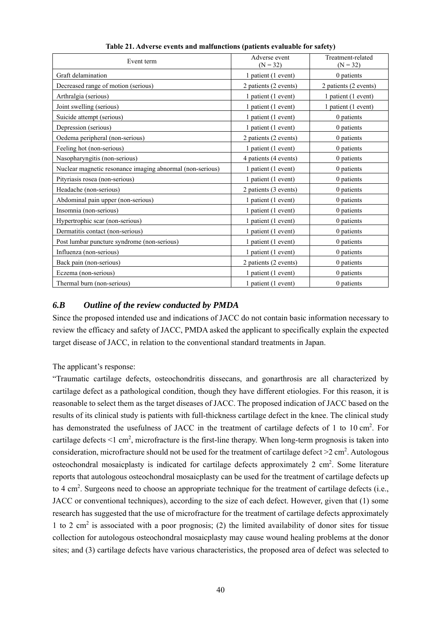| Event term                                                | Adverse event<br>$(N = 32)$ | Treatment-related<br>$(N = 32)$ |
|-----------------------------------------------------------|-----------------------------|---------------------------------|
| Graft delamination                                        | 1 patient (1 event)         | 0 patients                      |
| Decreased range of motion (serious)                       | 2 patients (2 events)       | 2 patients (2 events)           |
| Arthralgia (serious)                                      | 1 patient (1 event)         | 1 patient (1 event)             |
| Joint swelling (serious)                                  | 1 patient (1 event)         | 1 patient (1 event)             |
| Suicide attempt (serious)                                 | 1 patient (1 event)         | 0 patients                      |
| Depression (serious)                                      | 1 patient (1 event)         | 0 patients                      |
| Oedema peripheral (non-serious)                           | 2 patients (2 events)       | 0 patients                      |
| Feeling hot (non-serious)                                 | 1 patient (1 event)         | 0 patients                      |
| Nasopharyngitis (non-serious)                             | 4 patients (4 events)       | 0 patients                      |
| Nuclear magnetic resonance imaging abnormal (non-serious) | 1 patient (1 event)         | 0 patients                      |
| Pityriasis rosea (non-serious)                            | 1 patient (1 event)         | 0 patients                      |
| Headache (non-serious)                                    | 2 patients (3 events)       | 0 patients                      |
| Abdominal pain upper (non-serious)                        | 1 patient (1 event)         | 0 patients                      |
| Insomnia (non-serious)                                    | 1 patient (1 event)         | 0 patients                      |
| Hypertrophic scar (non-serious)                           | 1 patient (1 event)         | 0 patients                      |
| Dermatitis contact (non-serious)                          | 1 patient (1 event)         | 0 patients                      |
| Post lumbar puncture syndrome (non-serious)               | 1 patient (1 event)         | 0 patients                      |
| Influenza (non-serious)                                   | 1 patient (1 event)         | 0 patients                      |
| Back pain (non-serious)                                   | 2 patients (2 events)       | 0 patients                      |
| Eczema (non-serious)                                      | 1 patient (1 event)         | 0 patients                      |
| Thermal burn (non-serious)                                | 1 patient (1 event)         | 0 patients                      |

**Table 21. Adverse events and malfunctions (patients evaluable for safety)** 

# *6.B Outline of the review conducted by PMDA*

Since the proposed intended use and indications of JACC do not contain basic information necessary to review the efficacy and safety of JACC, PMDA asked the applicant to specifically explain the expected target disease of JACC, in relation to the conventional standard treatments in Japan.

The applicant's response:

"Traumatic cartilage defects, osteochondritis dissecans, and gonarthrosis are all characterized by cartilage defect as a pathological condition, though they have different etiologies. For this reason, it is reasonable to select them as the target diseases of JACC. The proposed indication of JACC based on the results of its clinical study is patients with full-thickness cartilage defect in the knee. The clinical study has demonstrated the usefulness of JACC in the treatment of cartilage defects of 1 to 10 cm<sup>2</sup>. For cartilage defects  $\leq 1$  cm<sup>2</sup>, microfracture is the first-line therapy. When long-term prognosis is taken into consideration, microfracture should not be used for the treatment of cartilage defect  $>2$  cm<sup>2</sup>. Autologous osteochondral mosaicplasty is indicated for cartilage defects approximately  $2 \text{ cm}^2$ . Some literature reports that autologous osteochondral mosaicplasty can be used for the treatment of cartilage defects up to 4 cm<sup>2</sup>. Surgeons need to choose an appropriate technique for the treatment of cartilage defects (i.e., JACC or conventional techniques), according to the size of each defect. However, given that (1) some research has suggested that the use of microfracture for the treatment of cartilage defects approximately 1 to 2  $\text{cm}^2$  is associated with a poor prognosis; (2) the limited availability of donor sites for tissue collection for autologous osteochondral mosaicplasty may cause wound healing problems at the donor sites; and (3) cartilage defects have various characteristics, the proposed area of defect was selected to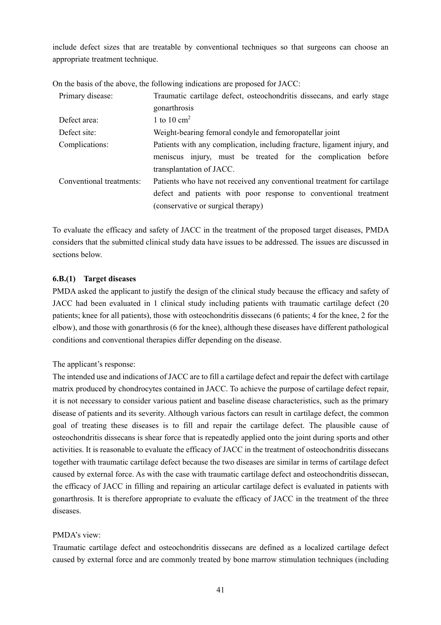include defect sizes that are treatable by conventional techniques so that surgeons can choose an appropriate treatment technique.

| Primary disease:         | Traumatic cartilage defect, osteochondritis dissecans, and early stage   |
|--------------------------|--------------------------------------------------------------------------|
|                          | gonarthrosis                                                             |
| Defect area:             | 1 to 10 $\text{cm}^2$                                                    |
| Defect site:             | Weight-bearing femoral condyle and femoropatellar joint                  |
| Complications:           | Patients with any complication, including fracture, ligament injury, and |
|                          | meniscus injury, must be treated for the complication before             |
|                          | transplantation of JACC.                                                 |
| Conventional treatments: | Patients who have not received any conventional treatment for cartilage  |
|                          | defect and patients with poor response to conventional treatment         |
|                          | (conservative or surgical therapy)                                       |

On the basis of the above, the following indications are proposed for JACC:

To evaluate the efficacy and safety of JACC in the treatment of the proposed target diseases, PMDA considers that the submitted clinical study data have issues to be addressed. The issues are discussed in sections below.

### **6.B.(1) Target diseases**

PMDA asked the applicant to justify the design of the clinical study because the efficacy and safety of JACC had been evaluated in 1 clinical study including patients with traumatic cartilage defect (20 patients; knee for all patients), those with osteochondritis dissecans (6 patients; 4 for the knee, 2 for the elbow), and those with gonarthrosis (6 for the knee), although these diseases have different pathological conditions and conventional therapies differ depending on the disease.

#### The applicant's response:

The intended use and indications of JACC are to fill a cartilage defect and repair the defect with cartilage matrix produced by chondrocytes contained in JACC. To achieve the purpose of cartilage defect repair, it is not necessary to consider various patient and baseline disease characteristics, such as the primary disease of patients and its severity. Although various factors can result in cartilage defect, the common goal of treating these diseases is to fill and repair the cartilage defect. The plausible cause of osteochondritis dissecans is shear force that is repeatedly applied onto the joint during sports and other activities. It is reasonable to evaluate the efficacy of JACC in the treatment of osteochondritis dissecans together with traumatic cartilage defect because the two diseases are similar in terms of cartilage defect caused by external force. As with the case with traumatic cartilage defect and osteochondritis dissecan, the efficacy of JACC in filling and repairing an articular cartilage defect is evaluated in patients with gonarthrosis. It is therefore appropriate to evaluate the efficacy of JACC in the treatment of the three diseases.

#### PMDA's view:

Traumatic cartilage defect and osteochondritis dissecans are defined as a localized cartilage defect caused by external force and are commonly treated by bone marrow stimulation techniques (including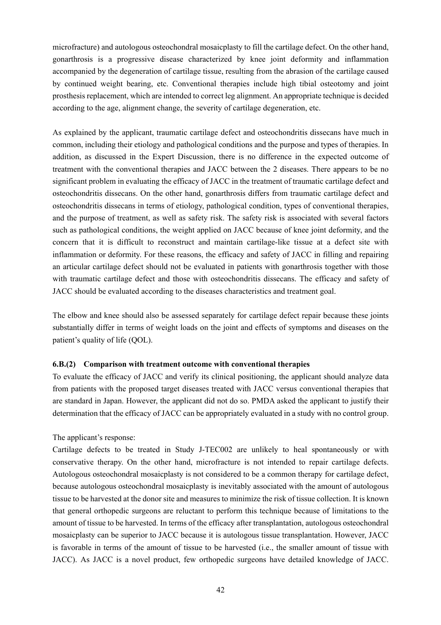microfracture) and autologous osteochondral mosaicplasty to fill the cartilage defect. On the other hand, gonarthrosis is a progressive disease characterized by knee joint deformity and inflammation accompanied by the degeneration of cartilage tissue, resulting from the abrasion of the cartilage caused by continued weight bearing, etc. Conventional therapies include high tibial osteotomy and joint prosthesis replacement, which are intended to correct leg alignment. An appropriate technique is decided according to the age, alignment change, the severity of cartilage degeneration, etc.

As explained by the applicant, traumatic cartilage defect and osteochondritis dissecans have much in common, including their etiology and pathological conditions and the purpose and types of therapies. In addition, as discussed in the Expert Discussion, there is no difference in the expected outcome of treatment with the conventional therapies and JACC between the 2 diseases. There appears to be no significant problem in evaluating the efficacy of JACC in the treatment of traumatic cartilage defect and osteochondritis dissecans. On the other hand, gonarthrosis differs from traumatic cartilage defect and osteochondritis dissecans in terms of etiology, pathological condition, types of conventional therapies, and the purpose of treatment, as well as safety risk. The safety risk is associated with several factors such as pathological conditions, the weight applied on JACC because of knee joint deformity, and the concern that it is difficult to reconstruct and maintain cartilage-like tissue at a defect site with inflammation or deformity. For these reasons, the efficacy and safety of JACC in filling and repairing an articular cartilage defect should not be evaluated in patients with gonarthrosis together with those with traumatic cartilage defect and those with osteochondritis dissecans. The efficacy and safety of JACC should be evaluated according to the diseases characteristics and treatment goal.

The elbow and knee should also be assessed separately for cartilage defect repair because these joints substantially differ in terms of weight loads on the joint and effects of symptoms and diseases on the patient's quality of life (QOL).

#### **6.B.(2) Comparison with treatment outcome with conventional therapies**

To evaluate the efficacy of JACC and verify its clinical positioning, the applicant should analyze data from patients with the proposed target diseases treated with JACC versus conventional therapies that are standard in Japan. However, the applicant did not do so. PMDA asked the applicant to justify their determination that the efficacy of JACC can be appropriately evaluated in a study with no control group.

#### The applicant's response:

Cartilage defects to be treated in Study J-TEC002 are unlikely to heal spontaneously or with conservative therapy. On the other hand, microfracture is not intended to repair cartilage defects. Autologous osteochondral mosaicplasty is not considered to be a common therapy for cartilage defect, because autologous osteochondral mosaicplasty is inevitably associated with the amount of autologous tissue to be harvested at the donor site and measures to minimize the risk of tissue collection. It is known that general orthopedic surgeons are reluctant to perform this technique because of limitations to the amount of tissue to be harvested. In terms of the efficacy after transplantation, autologous osteochondral mosaicplasty can be superior to JACC because it is autologous tissue transplantation. However, JACC is favorable in terms of the amount of tissue to be harvested (i.e., the smaller amount of tissue with JACC). As JACC is a novel product, few orthopedic surgeons have detailed knowledge of JACC.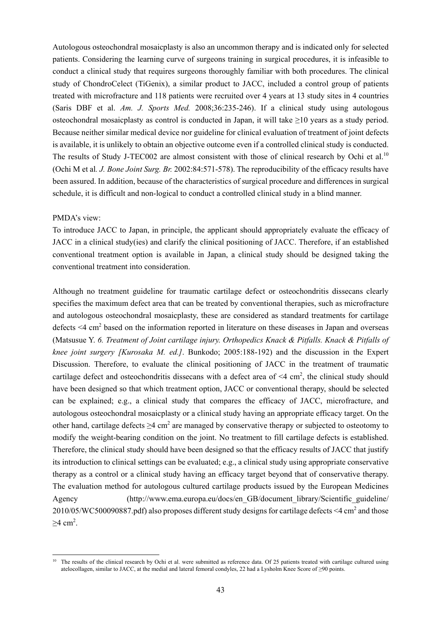Autologous osteochondral mosaicplasty is also an uncommon therapy and is indicated only for selected patients. Considering the learning curve of surgeons training in surgical procedures, it is infeasible to conduct a clinical study that requires surgeons thoroughly familiar with both procedures. The clinical study of ChondroCelect (TiGenix), a similar product to JACC, included a control group of patients treated with microfracture and 118 patients were recruited over 4 years at 13 study sites in 4 countries (Saris DBF et al. *Am. J. Sports Med.* 2008;36:235-246). If a clinical study using autologous osteochondral mosaicplasty as control is conducted in Japan, it will take ≥10 years as a study period. Because neither similar medical device nor guideline for clinical evaluation of treatment of joint defects is available, it is unlikely to obtain an objective outcome even if a controlled clinical study is conducted. The results of Study J-TEC002 are almost consistent with those of clinical research by Ochi et al.<sup>10</sup> (Ochi M et al*. J. Bone Joint Surg. Br.* 2002:84:571-578). The reproducibility of the efficacy results have been assured. In addition, because of the characteristics of surgical procedure and differences in surgical schedule, it is difficult and non-logical to conduct a controlled clinical study in a blind manner.

#### PMDA's view:

l

To introduce JACC to Japan, in principle, the applicant should appropriately evaluate the efficacy of JACC in a clinical study(ies) and clarify the clinical positioning of JACC. Therefore, if an established conventional treatment option is available in Japan, a clinical study should be designed taking the conventional treatment into consideration.

Although no treatment guideline for traumatic cartilage defect or osteochondritis dissecans clearly specifies the maximum defect area that can be treated by conventional therapies, such as microfracture and autologous osteochondral mosaicplasty, these are considered as standard treatments for cartilage defects  $\leq$ 4 cm<sup>2</sup> based on the information reported in literature on these diseases in Japan and overseas (Matsusue Y. *6. Treatment of Joint cartilage injury. Orthopedics Knack & Pitfalls. Knack & Pitfalls of knee joint surgery [Kurosaka M. ed.]*. Bunkodo; 2005:188-192) and the discussion in the Expert Discussion. Therefore, to evaluate the clinical positioning of JACC in the treatment of traumatic cartilage defect and osteochondritis dissecans with a defect area of  $\leq 4$  cm<sup>2</sup>, the clinical study should have been designed so that which treatment option, JACC or conventional therapy, should be selected can be explained; e.g., a clinical study that compares the efficacy of JACC, microfracture, and autologous osteochondral mosaicplasty or a clinical study having an appropriate efficacy target. On the other hand, cartilage defects  $\geq$ 4 cm<sup>2</sup> are managed by conservative therapy or subjected to osteotomy to modify the weight-bearing condition on the joint. No treatment to fill cartilage defects is established. Therefore, the clinical study should have been designed so that the efficacy results of JACC that justify its introduction to clinical settings can be evaluated; e.g., a clinical study using appropriate conservative therapy as a control or a clinical study having an efficacy target beyond that of conservative therapy. The evaluation method for autologous cultured cartilage products issued by the European Medicines Agency (http://www.ema.europa.eu/docs/en\_GB/document\_library/Scientific\_guideline/ 2010/05/WC500090887.pdf) also proposes different study designs for cartilage defects  $\leq 4$  cm<sup>2</sup> and those  $≥4$  cm<sup>2</sup>.

<sup>&</sup>lt;sup>10</sup> The results of the clinical research by Ochi et al. were submitted as reference data. Of 25 patients treated with cartilage cultured using atelocollagen, similar to JACC, at the medial and lateral femoral condyles, 22 had a Lysholm Knee Score of ≥90 points.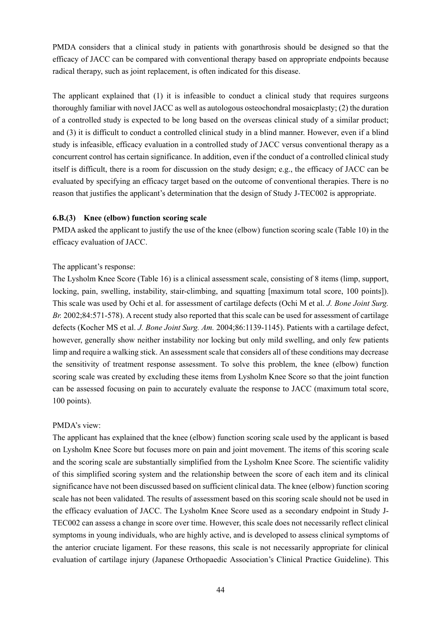PMDA considers that a clinical study in patients with gonarthrosis should be designed so that the efficacy of JACC can be compared with conventional therapy based on appropriate endpoints because radical therapy, such as joint replacement, is often indicated for this disease.

The applicant explained that (1) it is infeasible to conduct a clinical study that requires surgeons thoroughly familiar with novel JACC as well as autologous osteochondral mosaicplasty; (2) the duration of a controlled study is expected to be long based on the overseas clinical study of a similar product; and (3) it is difficult to conduct a controlled clinical study in a blind manner. However, even if a blind study is infeasible, efficacy evaluation in a controlled study of JACC versus conventional therapy as a concurrent control has certain significance. In addition, even if the conduct of a controlled clinical study itself is difficult, there is a room for discussion on the study design; e.g., the efficacy of JACC can be evaluated by specifying an efficacy target based on the outcome of conventional therapies. There is no reason that justifies the applicant's determination that the design of Study J-TEC002 is appropriate.

### **6.B.(3) Knee (elbow) function scoring scale**

PMDA asked the applicant to justify the use of the knee (elbow) function scoring scale (Table 10) in the efficacy evaluation of JACC.

### The applicant's response:

The Lysholm Knee Score (Table 16) is a clinical assessment scale, consisting of 8 items (limp, support, locking, pain, swelling, instability, stair-climbing, and squatting [maximum total score, 100 points]). This scale was used by Ochi et al. for assessment of cartilage defects (Ochi M et al. *J. Bone Joint Surg. Br.* 2002;84:571-578). A recent study also reported that this scale can be used for assessment of cartilage defects (Kocher MS et al. *J. Bone Joint Surg. Am.* 2004;86:1139-1145). Patients with a cartilage defect, however, generally show neither instability nor locking but only mild swelling, and only few patients limp and require a walking stick. An assessment scale that considers all of these conditions may decrease the sensitivity of treatment response assessment. To solve this problem, the knee (elbow) function scoring scale was created by excluding these items from Lysholm Knee Score so that the joint function can be assessed focusing on pain to accurately evaluate the response to JACC (maximum total score, 100 points).

#### PMDA's view:

The applicant has explained that the knee (elbow) function scoring scale used by the applicant is based on Lysholm Knee Score but focuses more on pain and joint movement. The items of this scoring scale and the scoring scale are substantially simplified from the Lysholm Knee Score. The scientific validity of this simplified scoring system and the relationship between the score of each item and its clinical significance have not been discussed based on sufficient clinical data. The knee (elbow) function scoring scale has not been validated. The results of assessment based on this scoring scale should not be used in the efficacy evaluation of JACC. The Lysholm Knee Score used as a secondary endpoint in Study J-TEC002 can assess a change in score over time. However, this scale does not necessarily reflect clinical symptoms in young individuals, who are highly active, and is developed to assess clinical symptoms of the anterior cruciate ligament. For these reasons, this scale is not necessarily appropriate for clinical evaluation of cartilage injury (Japanese Orthopaedic Association's Clinical Practice Guideline). This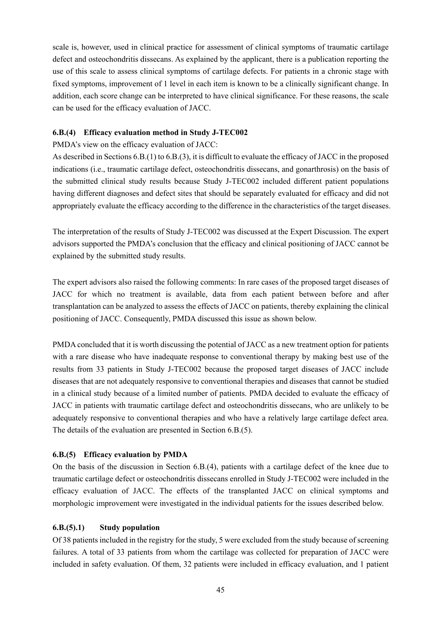scale is, however, used in clinical practice for assessment of clinical symptoms of traumatic cartilage defect and osteochondritis dissecans. As explained by the applicant, there is a publication reporting the use of this scale to assess clinical symptoms of cartilage defects. For patients in a chronic stage with fixed symptoms, improvement of 1 level in each item is known to be a clinically significant change. In addition, each score change can be interpreted to have clinical significance. For these reasons, the scale can be used for the efficacy evaluation of JACC.

### **6.B.(4) Efficacy evaluation method in Study J-TEC002**

### PMDA's view on the efficacy evaluation of JACC:

As described in Sections 6.B.(1) to 6.B.(3), it is difficult to evaluate the efficacy of JACC in the proposed indications (i.e., traumatic cartilage defect, osteochondritis dissecans, and gonarthrosis) on the basis of the submitted clinical study results because Study J-TEC002 included different patient populations having different diagnoses and defect sites that should be separately evaluated for efficacy and did not appropriately evaluate the efficacy according to the difference in the characteristics of the target diseases.

The interpretation of the results of Study J-TEC002 was discussed at the Expert Discussion. The expert advisors supported the PMDA's conclusion that the efficacy and clinical positioning of JACC cannot be explained by the submitted study results.

The expert advisors also raised the following comments: In rare cases of the proposed target diseases of JACC for which no treatment is available, data from each patient between before and after transplantation can be analyzed to assess the effects of JACC on patients, thereby explaining the clinical positioning of JACC. Consequently, PMDA discussed this issue as shown below.

PMDA concluded that it is worth discussing the potential of JACC as a new treatment option for patients with a rare disease who have inadequate response to conventional therapy by making best use of the results from 33 patients in Study J-TEC002 because the proposed target diseases of JACC include diseases that are not adequately responsive to conventional therapies and diseases that cannot be studied in a clinical study because of a limited number of patients. PMDA decided to evaluate the efficacy of JACC in patients with traumatic cartilage defect and osteochondritis dissecans, who are unlikely to be adequately responsive to conventional therapies and who have a relatively large cartilage defect area. The details of the evaluation are presented in Section 6.B.(5).

# **6.B.(5) Efficacy evaluation by PMDA**

On the basis of the discussion in Section 6.B.(4), patients with a cartilage defect of the knee due to traumatic cartilage defect or osteochondritis dissecans enrolled in Study J-TEC002 were included in the efficacy evaluation of JACC. The effects of the transplanted JACC on clinical symptoms and morphologic improvement were investigated in the individual patients for the issues described below.

#### **6.B.(5).1) Study population**

Of 38 patients included in the registry for the study, 5 were excluded from the study because of screening failures. A total of 33 patients from whom the cartilage was collected for preparation of JACC were included in safety evaluation. Of them, 32 patients were included in efficacy evaluation, and 1 patient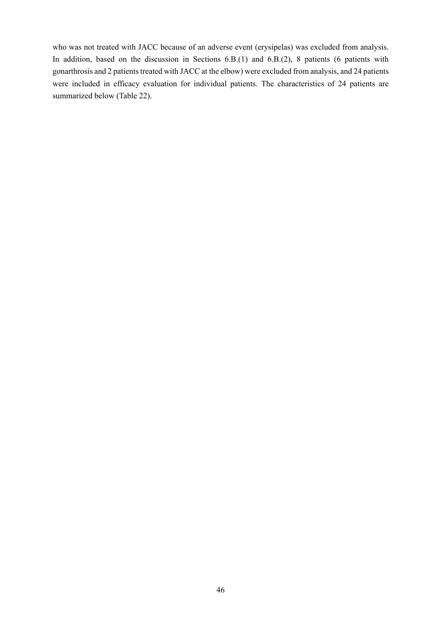who was not treated with JACC because of an adverse event (erysipelas) was excluded from analysis. In addition, based on the discussion in Sections 6.B.(1) and 6.B.(2), 8 patients (6 patients with gonarthrosis and 2 patients treated with JACC at the elbow) were excluded from analysis, and 24 patients were included in efficacy evaluation for individual patients. The characteristics of 24 patients are summarized below (Table 22).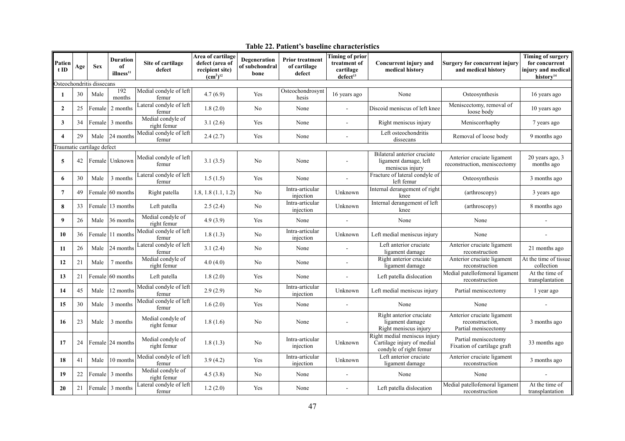| Patien<br>$t$ ID | Age | <b>Sex</b>                 | <b>Duration</b><br>of<br>illness <sup>11</sup> | Site of cartilage<br>defect      | Area of cartilage<br>defect (area of<br>recipient site)<br>$\rm (cm^2)^{12}$ | Degeneration<br>of subchondral<br>bone | <b>Prior treatment</b><br>of cartilage<br>defect | <b>Timing of prior</b><br>treatment of<br>cartilage<br>defect <sup>13</sup> | Concurrent injury and<br>medical history                                             | <b>Surgery for concurrent injury</b><br>and medical history           | <b>Timing of surgery</b><br>for concurrent<br>injury and medical<br>history <sup>14</sup> |
|------------------|-----|----------------------------|------------------------------------------------|----------------------------------|------------------------------------------------------------------------------|----------------------------------------|--------------------------------------------------|-----------------------------------------------------------------------------|--------------------------------------------------------------------------------------|-----------------------------------------------------------------------|-------------------------------------------------------------------------------------------|
|                  |     | Osteochondritis dissecans  |                                                |                                  |                                                                              |                                        |                                                  |                                                                             |                                                                                      |                                                                       |                                                                                           |
|                  | 30  | Male                       | 192<br>months                                  | Medial condyle of left<br>femur  | 4.7(6.9)                                                                     | Yes                                    | Osteochondrosynt<br>hesis                        | 16 years ago                                                                | None                                                                                 | Osteosynthesis                                                        | 16 years ago                                                                              |
| $\overline{2}$   | 25  | Female                     | 2 months                                       | Lateral condyle of left<br>femur | 1.8(2.0)                                                                     | No                                     | None                                             | $\sim$                                                                      | Discoid meniscus of left knee                                                        | Meniscectomy, removal of<br>loose body                                | 10 years ago                                                                              |
| 3                | 34  | Female                     | 3 months                                       | Medial condyle of<br>right femur | 3.1(2.6)                                                                     | Yes                                    | None                                             | $\overline{\phantom{a}}$                                                    | Right meniscus injury                                                                | Meniscorrhaphy                                                        | 7 years ago                                                                               |
| 4                | 29  | Male                       | 24 months                                      | Medial condyle of left<br>femur  | 2.4(2.7)                                                                     | Yes                                    | None                                             | $\sim$                                                                      | Left osteochondritis<br>dissecans                                                    | Removal of loose body                                                 | 9 months ago                                                                              |
|                  |     | Traumatic cartilage defect |                                                |                                  |                                                                              |                                        |                                                  |                                                                             |                                                                                      |                                                                       |                                                                                           |
| 5                | 42  |                            | Female Unknown                                 | Medial condyle of left<br>femur  | 3.1(3.5)                                                                     | No                                     | None                                             |                                                                             | Bilateral anterior cruciate<br>ligament damage, left<br>meniscus injury              | Anterior cruciate ligament<br>reconstruction, meniscectomy            | $20$ years ago, $3$<br>months ago                                                         |
| 6                | 30  | Male                       | 3 months                                       | Lateral condyle of left<br>femur | 1.5(1.5)                                                                     | Yes                                    | None                                             |                                                                             | Fracture of lateral condyle of<br>left femur                                         | Osteosynthesis                                                        | 3 months ago                                                                              |
| 7                | 49  | Female                     | 60 months                                      | Right patella                    | $1.8, 1.8$ $(1.1, 1.2)$                                                      | No                                     | Intra-articular<br>injection                     | Unknown                                                                     | Internal derangement of right<br>knee                                                | (arthroscopy)                                                         | 3 years ago                                                                               |
| 8                | 33  | Female                     | 13 months                                      | Left patella                     | 2.5(2.4)                                                                     | No                                     | Intra-articular<br>injection                     | Unknown                                                                     | Internal derangement of left<br>knee                                                 | (arthroscopy)                                                         | 8 months ago                                                                              |
| 9                | 26  | Male                       | 36 months                                      | Medial condyle of<br>right femur | 4.9(3.9)                                                                     | Yes                                    | None                                             |                                                                             | None                                                                                 | None                                                                  |                                                                                           |
| 10               | 36  |                            | Female 11 months                               | Medial condyle of left<br>femur  | 1.8(1.3)                                                                     | No                                     | Intra-articular<br>injection                     | Unknown                                                                     | Left medial meniscus injury                                                          | None                                                                  |                                                                                           |
| 11               | 26  | Male                       | 24 months                                      | Lateral condyle of left<br>femur | 3.1(2.4)                                                                     | No                                     | None                                             |                                                                             | Left anterior cruciate<br>ligament damage                                            | Anterior cruciate ligament<br>reconstruction                          | 21 months ago                                                                             |
| 12               | 21  | Male                       | 7 months                                       | Medial condyle of<br>right femur | 4.0(4.0)                                                                     | No                                     | None                                             |                                                                             | Right anterior cruciate<br>ligament damage                                           | Anterior cruciate ligament<br>reconstruction                          | At the time of tissue<br>collection                                                       |
| 13               | 21  |                            | Female 60 months                               | Left patella                     | 1.8(2.0)                                                                     | Yes                                    | None                                             |                                                                             | Left patella dislocation                                                             | Medial patellofemoral ligament<br>reconstruction                      | At the time of<br>transplantation                                                         |
| 14               | 45  | Male                       | 12 months                                      | Medial condyle of left<br>femur  | 2.9(2.9)                                                                     | No                                     | Intra-articular<br>injection                     | Unknown                                                                     | Left medial meniscus injury                                                          | Partial meniscectomy                                                  | 1 year ago                                                                                |
| 15               | 30  | Male                       | 3 months                                       | Medial condyle of left<br>femur  | 1.6(2.0)                                                                     | Yes                                    | None                                             |                                                                             | None                                                                                 | None                                                                  | ÷.                                                                                        |
| 16               | 23  | Male                       | 3 months                                       | Medial condyle of<br>right femur | 1.8(1.6)                                                                     | No                                     | None                                             |                                                                             | Right anterior cruciate<br>ligament damage<br>Right meniscus injury                  | Anterior cruciate ligament<br>reconstruction,<br>Partial meniscectomy | 3 months ago                                                                              |
| 17               | 24  |                            | Female 24 months                               | Medial condyle of<br>right femur | 1.8(1.3)                                                                     | No                                     | Intra-articular<br>injection                     | Unknown                                                                     | Right medial meniscus injury<br>Cartilage injury of medial<br>condyle of right femur | Partial meniscectomy<br>Fixation of cartilage graft                   | 33 months ago                                                                             |
| 18               | 41  | Male                       | 10 months                                      | Medial condyle of left<br>femur  | 3.9(4.2)                                                                     | Yes                                    | Intra-articular<br>injection                     | Unknown                                                                     | Left anterior cruciate<br>ligament damage                                            | Anterior cruciate ligament<br>reconstruction                          | 3 months ago                                                                              |
| 19               | 22  | Female                     | 3 months                                       | Medial condyle of<br>right femur | 4.5(3.8)                                                                     | No                                     | None                                             |                                                                             | None                                                                                 | None                                                                  |                                                                                           |
| 20               | 21  | Female                     | 3 months                                       | Lateral condyle of left<br>femur | 1.2(2.0)                                                                     | Yes                                    | None                                             |                                                                             | Left patella dislocation                                                             | Medial patellofemoral ligament<br>reconstruction                      | At the time of<br>transplantation                                                         |

**Table 22. Patient's baseline characteristics**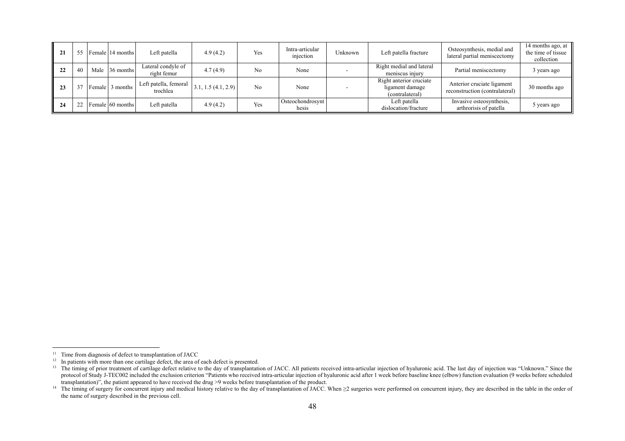| 21 | 55 | Female 14 months  | Left patella                      | 4.9(4.2)              | Yes | Intra-articular<br>injection | Unknown | Left patella fracture                                         | Osteosynthesis, medial and<br>lateral partial meniscectomy   | 14 months ago, at<br>the time of tissue<br>collection |
|----|----|-------------------|-----------------------------------|-----------------------|-----|------------------------------|---------|---------------------------------------------------------------|--------------------------------------------------------------|-------------------------------------------------------|
| 22 | 40 | Male $ 36$ months | Lateral condyle of<br>right femur | 4.7(4.9)              | No  | None                         |         | Right medial and lateral<br>meniscus injury                   | Partial meniscectomy                                         | 3 years ago                                           |
| 23 |    | Female 3 months   | Left patella, femoral<br>trochlea | $3.1, 1.5$ (4.1, 2.9) | No  | None                         |         | Right anterior cruciate<br>ligament damage<br>(contralateral) | Anterior cruciate ligament<br>reconstruction (contralateral) | 30 months ago                                         |
| 24 | 22 | Female 60 months  | Left patella                      | 4.9(4.2)              | Yes | Osteochondrosynt<br>hesis    |         | Left patella<br>dislocation/fracture                          | Invasive osteosynthesis.<br>arthrorisis of patella           | 5 years ago                                           |

 $11$  Time from diagnosis of defect to transplantation of JACC

 $12$  In patients with more than one cartilage defect, the area of each defect is presented.

<sup>&</sup>lt;sup>13</sup> The timing of prior treatment of cartilage defect relative to the day of transplantation of JACC. All patients received intra-articular injection of hyaluronic acid. The last day of injection was "Unknown." Since the protocol of Study J-TEC002 included the exclusion criterion "Patients who received intra-articular injection of hyaluronic acid after 1 week before baseline knee (elbow) function evaluation (9 weeks before scheduled transplantation)", the patient appeared to have received the drug >9 weeks before transplantation of the product.

<sup>&</sup>lt;sup>14</sup> The timing of surgery for concurrent injury and medical history relative to the day of transplantation of JACC. When  $\geq$ 2 surgeries were performed on concurrent injury, they are described in the table in the order the name of surgery described in the previous cell.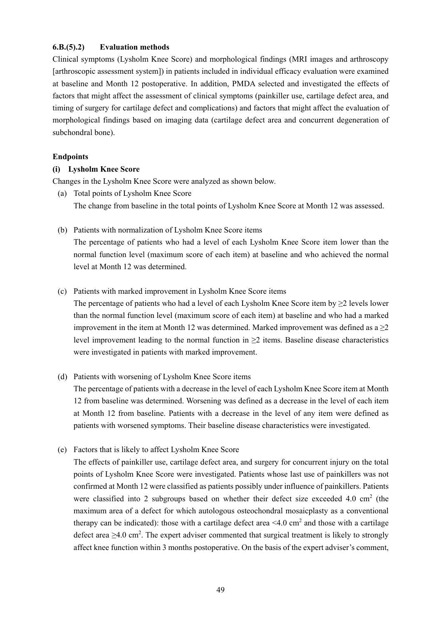#### **6.B.(5).2) Evaluation methods**

Clinical symptoms (Lysholm Knee Score) and morphological findings (MRI images and arthroscopy [arthroscopic assessment system]) in patients included in individual efficacy evaluation were examined at baseline and Month 12 postoperative. In addition, PMDA selected and investigated the effects of factors that might affect the assessment of clinical symptoms (painkiller use, cartilage defect area, and timing of surgery for cartilage defect and complications) and factors that might affect the evaluation of morphological findings based on imaging data (cartilage defect area and concurrent degeneration of subchondral bone).

#### **Endpoints**

#### **(i) Lysholm Knee Score**

Changes in the Lysholm Knee Score were analyzed as shown below.

- (a) Total points of Lysholm Knee Score The change from baseline in the total points of Lysholm Knee Score at Month 12 was assessed.
- (b) Patients with normalization of Lysholm Knee Score items

The percentage of patients who had a level of each Lysholm Knee Score item lower than the normal function level (maximum score of each item) at baseline and who achieved the normal level at Month 12 was determined.

(c) Patients with marked improvement in Lysholm Knee Score items

The percentage of patients who had a level of each Lysholm Knee Score item by  $\geq 2$  levels lower than the normal function level (maximum score of each item) at baseline and who had a marked improvement in the item at Month 12 was determined. Marked improvement was defined as  $a \ge 2$ level improvement leading to the normal function in  $\geq 2$  items. Baseline disease characteristics were investigated in patients with marked improvement.

(d) Patients with worsening of Lysholm Knee Score items

The percentage of patients with a decrease in the level of each Lysholm Knee Score item at Month 12 from baseline was determined. Worsening was defined as a decrease in the level of each item at Month 12 from baseline. Patients with a decrease in the level of any item were defined as patients with worsened symptoms. Their baseline disease characteristics were investigated.

(e) Factors that is likely to affect Lysholm Knee Score

The effects of painkiller use, cartilage defect area, and surgery for concurrent injury on the total points of Lysholm Knee Score were investigated. Patients whose last use of painkillers was not confirmed at Month 12 were classified as patients possibly under influence of painkillers. Patients were classified into 2 subgroups based on whether their defect size exceeded 4.0  $cm<sup>2</sup>$  (the maximum area of a defect for which autologous osteochondral mosaicplasty as a conventional therapy can be indicated): those with a cartilage defect area  $\leq 4.0 \text{ cm}^2$  and those with a cartilage defect area  $\geq$ 4.0 cm<sup>2</sup>. The expert adviser commented that surgical treatment is likely to strongly affect knee function within 3 months postoperative. On the basis of the expert adviser's comment,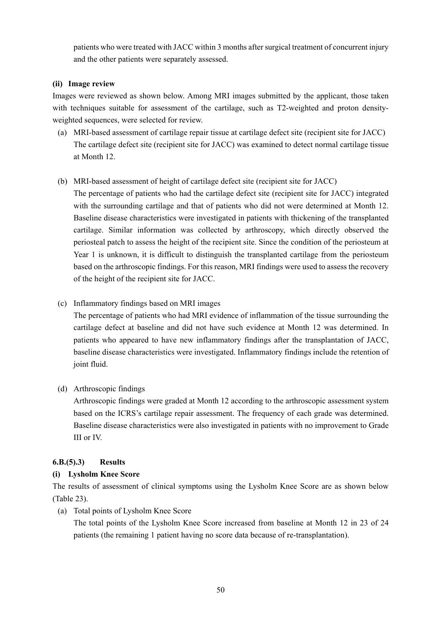patients who were treated with JACC within 3 months after surgical treatment of concurrent injury and the other patients were separately assessed.

### **(ii) Image review**

Images were reviewed as shown below. Among MRI images submitted by the applicant, those taken with techniques suitable for assessment of the cartilage, such as T2-weighted and proton densityweighted sequences, were selected for review.

(a) MRI-based assessment of cartilage repair tissue at cartilage defect site (recipient site for JACC) The cartilage defect site (recipient site for JACC) was examined to detect normal cartilage tissue at Month 12.

# (b) MRI-based assessment of height of cartilage defect site (recipient site for JACC)

The percentage of patients who had the cartilage defect site (recipient site for JACC) integrated with the surrounding cartilage and that of patients who did not were determined at Month 12. Baseline disease characteristics were investigated in patients with thickening of the transplanted cartilage. Similar information was collected by arthroscopy, which directly observed the periosteal patch to assess the height of the recipient site. Since the condition of the periosteum at Year 1 is unknown, it is difficult to distinguish the transplanted cartilage from the periosteum based on the arthroscopic findings. For this reason, MRI findings were used to assess the recovery of the height of the recipient site for JACC.

(c) Inflammatory findings based on MRI images

The percentage of patients who had MRI evidence of inflammation of the tissue surrounding the cartilage defect at baseline and did not have such evidence at Month 12 was determined. In patients who appeared to have new inflammatory findings after the transplantation of JACC, baseline disease characteristics were investigated. Inflammatory findings include the retention of joint fluid.

(d) Arthroscopic findings

Arthroscopic findings were graded at Month 12 according to the arthroscopic assessment system based on the ICRS's cartilage repair assessment. The frequency of each grade was determined. Baseline disease characteristics were also investigated in patients with no improvement to Grade III or IV.

# **6.B.(5).3) Results**

# **(i) Lysholm Knee Score**

The results of assessment of clinical symptoms using the Lysholm Knee Score are as shown below (Table 23).

(a) Total points of Lysholm Knee Score

The total points of the Lysholm Knee Score increased from baseline at Month 12 in 23 of 24 patients (the remaining 1 patient having no score data because of re-transplantation).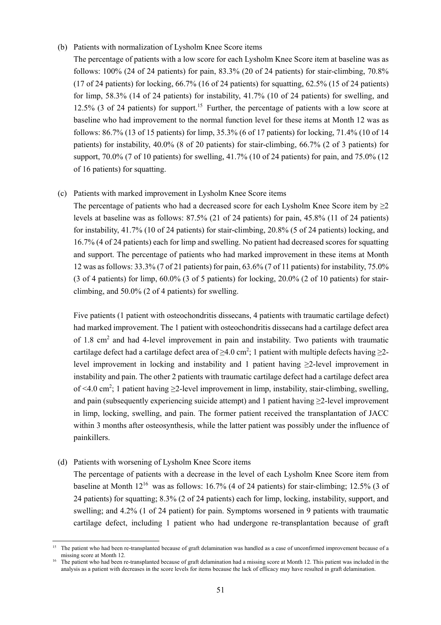#### (b) Patients with normalization of Lysholm Knee Score items

The percentage of patients with a low score for each Lysholm Knee Score item at baseline was as follows:  $100\%$  (24 of 24 patients) for pain,  $83.3\%$  (20 of 24 patients) for stair-climbing,  $70.8\%$ (17 of 24 patients) for locking, 66.7% (16 of 24 patients) for squatting, 62.5% (15 of 24 patients) for limp, 58.3% (14 of 24 patients) for instability, 41.7% (10 of 24 patients) for swelling, and 12.5% (3 of 24 patients) for support.<sup>15</sup> Further, the percentage of patients with a low score at baseline who had improvement to the normal function level for these items at Month 12 was as follows: 86.7% (13 of 15 patients) for limp, 35.3% (6 of 17 patients) for locking, 71.4% (10 of 14 patients) for instability, 40.0% (8 of 20 patients) for stair-climbing, 66.7% (2 of 3 patients) for support, 70.0% (7 of 10 patients) for swelling, 41.7% (10 of 24 patients) for pain, and 75.0% (12 of 16 patients) for squatting.

### (c) Patients with marked improvement in Lysholm Knee Score items

The percentage of patients who had a decreased score for each Lysholm Knee Score item by  $\geq 2$ levels at baseline was as follows: 87.5% (21 of 24 patients) for pain, 45.8% (11 of 24 patients) for instability, 41.7% (10 of 24 patients) for stair-climbing, 20.8% (5 of 24 patients) locking, and 16.7% (4 of 24 patients) each for limp and swelling. No patient had decreased scores for squatting and support. The percentage of patients who had marked improvement in these items at Month 12 was as follows: 33.3% (7 of 21 patients) for pain, 63.6% (7 of 11 patients) for instability, 75.0% (3 of 4 patients) for limp, 60.0% (3 of 5 patients) for locking, 20.0% (2 of 10 patients) for stairclimbing, and 50.0% (2 of 4 patients) for swelling.

Five patients (1 patient with osteochondritis dissecans, 4 patients with traumatic cartilage defect) had marked improvement. The 1 patient with osteochondritis dissecans had a cartilage defect area of 1.8  $\text{cm}^2$  and had 4-level improvement in pain and instability. Two patients with traumatic cartilage defect had a cartilage defect area of  $\geq 4.0$  cm<sup>2</sup>; 1 patient with multiple defects having  $\geq 2$ level improvement in locking and instability and 1 patient having  $\geq 2$ -level improvement in instability and pain. The other 2 patients with traumatic cartilage defect had a cartilage defect area of <4.0 cm<sup>2</sup>; 1 patient having  $\geq$ 2-level improvement in limp, instability, stair-climbing, swelling, and pain (subsequently experiencing suicide attempt) and 1 patient having  $\geq$ 2-level improvement in limp, locking, swelling, and pain. The former patient received the transplantation of JACC within 3 months after osteosynthesis, while the latter patient was possibly under the influence of painkillers.

#### (d) Patients with worsening of Lysholm Knee Score items

l

The percentage of patients with a decrease in the level of each Lysholm Knee Score item from baseline at Month  $12^{16}$  was as follows: 16.7% (4 of 24 patients) for stair-climbing; 12.5% (3 of 24 patients) for squatting; 8.3% (2 of 24 patients) each for limp, locking, instability, support, and swelling; and 4.2% (1 of 24 patient) for pain. Symptoms worsened in 9 patients with traumatic cartilage defect, including 1 patient who had undergone re-transplantation because of graft

The patient who had been re-transplanted because of graft delamination was handled as a case of unconfirmed improvement because of a missing score at Month 12.

The patient who had been re-transplanted because of graft delamination had a missing score at Month 12. This patient was included in the analysis as a patient with decreases in the score levels for items because the lack of efficacy may have resulted in graft delamination.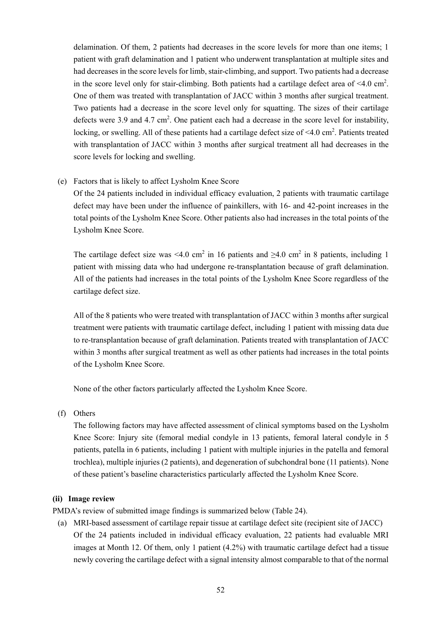delamination. Of them, 2 patients had decreases in the score levels for more than one items; 1 patient with graft delamination and 1 patient who underwent transplantation at multiple sites and had decreases in the score levels for limb, stair-climbing, and support. Two patients had a decrease in the score level only for stair-climbing. Both patients had a cartilage defect area of  $\leq 4.0 \text{ cm}^2$ . One of them was treated with transplantation of JACC within 3 months after surgical treatment. Two patients had a decrease in the score level only for squatting. The sizes of their cartilage defects were 3.9 and 4.7  $cm<sup>2</sup>$ . One patient each had a decrease in the score level for instability, locking, or swelling. All of these patients had a cartilage defect size of <4.0 cm<sup>2</sup>. Patients treated with transplantation of JACC within 3 months after surgical treatment all had decreases in the score levels for locking and swelling.

(e) Factors that is likely to affect Lysholm Knee Score

Of the 24 patients included in individual efficacy evaluation, 2 patients with traumatic cartilage defect may have been under the influence of painkillers, with 16- and 42-point increases in the total points of the Lysholm Knee Score. Other patients also had increases in the total points of the Lysholm Knee Score.

The cartilage defect size was <4.0 cm<sup>2</sup> in 16 patients and  $\geq$ 4.0 cm<sup>2</sup> in 8 patients, including 1 patient with missing data who had undergone re-transplantation because of graft delamination. All of the patients had increases in the total points of the Lysholm Knee Score regardless of the cartilage defect size.

All of the 8 patients who were treated with transplantation of JACC within 3 months after surgical treatment were patients with traumatic cartilage defect, including 1 patient with missing data due to re-transplantation because of graft delamination. Patients treated with transplantation of JACC within 3 months after surgical treatment as well as other patients had increases in the total points of the Lysholm Knee Score.

None of the other factors particularly affected the Lysholm Knee Score.

(f) Others

The following factors may have affected assessment of clinical symptoms based on the Lysholm Knee Score: Injury site (femoral medial condyle in 13 patients, femoral lateral condyle in 5 patients, patella in 6 patients, including 1 patient with multiple injuries in the patella and femoral trochlea), multiple injuries (2 patients), and degeneration of subchondral bone (11 patients). None of these patient's baseline characteristics particularly affected the Lysholm Knee Score.

#### **(ii) Image review**

PMDA's review of submitted image findings is summarized below (Table 24).

(a) MRI-based assessment of cartilage repair tissue at cartilage defect site (recipient site of JACC) Of the 24 patients included in individual efficacy evaluation, 22 patients had evaluable MRI images at Month 12. Of them, only 1 patient (4.2%) with traumatic cartilage defect had a tissue newly covering the cartilage defect with a signal intensity almost comparable to that of the normal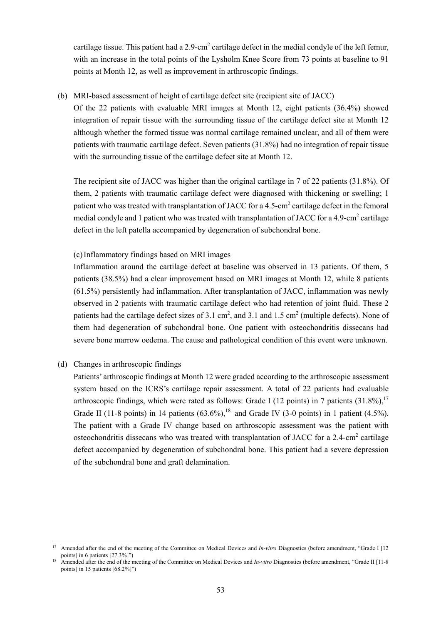cartilage tissue. This patient had a 2.9-cm<sup>2</sup> cartilage defect in the medial condyle of the left femur, with an increase in the total points of the Lysholm Knee Score from 73 points at baseline to 91 points at Month 12, as well as improvement in arthroscopic findings.

(b) MRI-based assessment of height of cartilage defect site (recipient site of JACC)

Of the 22 patients with evaluable MRI images at Month 12, eight patients (36.4%) showed integration of repair tissue with the surrounding tissue of the cartilage defect site at Month 12 although whether the formed tissue was normal cartilage remained unclear, and all of them were patients with traumatic cartilage defect. Seven patients (31.8%) had no integration of repair tissue with the surrounding tissue of the cartilage defect site at Month 12.

The recipient site of JACC was higher than the original cartilage in 7 of 22 patients (31.8%). Of them, 2 patients with traumatic cartilage defect were diagnosed with thickening or swelling; 1 patient who was treated with transplantation of JACC for a 4.5-cm<sup>2</sup> cartilage defect in the femoral medial condyle and 1 patient who was treated with transplantation of JACC for a 4.9-cm<sup>2</sup> cartilage defect in the left patella accompanied by degeneration of subchondral bone.

#### (c) Inflammatory findings based on MRI images

Inflammation around the cartilage defect at baseline was observed in 13 patients. Of them, 5 patients (38.5%) had a clear improvement based on MRI images at Month 12, while 8 patients (61.5%) persistently had inflammation. After transplantation of JACC, inflammation was newly observed in 2 patients with traumatic cartilage defect who had retention of joint fluid. These 2 patients had the cartilage defect sizes of 3.1 cm<sup>2</sup>, and 3.1 and 1.5 cm<sup>2</sup> (multiple defects). None of them had degeneration of subchondral bone. One patient with osteochondritis dissecans had severe bone marrow oedema. The cause and pathological condition of this event were unknown.

#### (d) Changes in arthroscopic findings

l

Patients' arthroscopic findings at Month 12 were graded according to the arthroscopic assessment system based on the ICRS's cartilage repair assessment. A total of 22 patients had evaluable arthroscopic findings, which were rated as follows: Grade I (12 points) in 7 patients  $(31.8\%)$ <sup>17</sup> Grade II (11-8 points) in 14 patients  $(63.6\%)$ ,<sup>18</sup> and Grade IV (3-0 points) in 1 patient (4.5%). The patient with a Grade IV change based on arthroscopic assessment was the patient with osteochondritis dissecans who was treated with transplantation of JACC for a 2.4-cm<sup>2</sup> cartilage defect accompanied by degeneration of subchondral bone. This patient had a severe depression of the subchondral bone and graft delamination.

Amended after the end of the meeting of the Committee on Medical Devices and *In-vitro* Diagnostics (before amendment, "Grade I [12 points] in 6 patients [27.3%]")

Amended after the end of the meeting of the Committee on Medical Devices and *In-vitro* Diagnostics (before amendment, "Grade II [11-8] points] in 15 patients [68.2%]")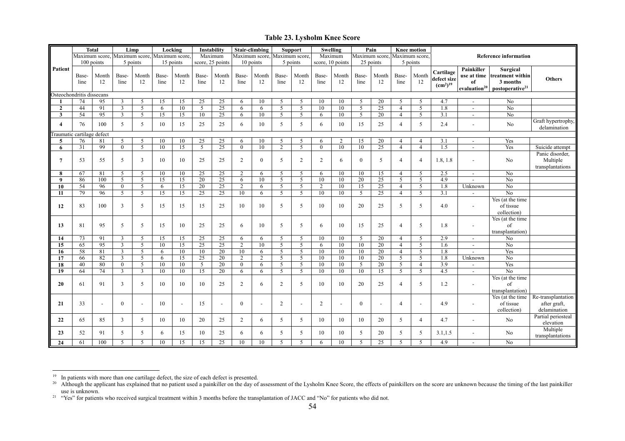#### **Table 23. Lysholm Knee Score**

|                |                            | <b>Total</b> |                                              | Limp           |               | Locking        |                 | Instability              |                | Stair-climbing |                | <b>Support</b> |                | Swelling         |                | Pain                     |                | <b>Knee motion</b> |                                                              |                                              |                                                                                     |                                                    |
|----------------|----------------------------|--------------|----------------------------------------------|----------------|---------------|----------------|-----------------|--------------------------|----------------|----------------|----------------|----------------|----------------|------------------|----------------|--------------------------|----------------|--------------------|--------------------------------------------------------------|----------------------------------------------|-------------------------------------------------------------------------------------|----------------------------------------------------|
|                |                            |              | Maximum score, Maximum score, Maximum score, |                |               |                |                 | Maximum                  |                | Maximum score, |                | Maximum score. |                | Maximum          |                | Maximum score,           |                | Maximum score,     |                                                              |                                              | <b>Reference information</b>                                                        |                                                    |
|                |                            | 100 points   |                                              | 5 points       |               | 15 points      |                 | score, 25 points         |                | 10 points      |                | 5 points       |                | score, 10 points |                | 25 points                |                | 5 points           |                                                              |                                              |                                                                                     |                                                    |
| Patient        | Base-<br>line              | Month<br>12  | Base-<br>line                                | Month<br>12    | Base-<br>line | Month<br>12    | Base-<br>line   | Month<br>12              | Base-<br>line  | Month<br>12    | Base-<br>line  | Month<br>12    | Base-<br>line  | Month<br>12      | Base-<br>line  | Month<br>12              | Base-<br>line  | Month<br>12        | Cartilage<br>defect size<br>(cm <sup>2</sup> ) <sup>19</sup> | Painkiller<br>of<br>evaluation <sup>20</sup> | Surgical<br>use at time treatment within<br>3 months<br>postoperative <sup>21</sup> | <b>Others</b>                                      |
|                | Osteochondritis dissecans  |              |                                              |                |               |                |                 |                          |                |                |                |                |                |                  |                |                          |                |                    |                                                              |                                              |                                                                                     |                                                    |
|                | 74                         | 95           | 3                                            | 5              | 15            | 15             | 25              | 25                       | 6              | 10             | 5              | 5              | 10             | 10               | 5              | 20                       | 5              | 5                  | 4.7                                                          | $\overline{\phantom{a}}$                     | No                                                                                  |                                                    |
| $\overline{2}$ | 44                         | 91           | $\overline{3}$                               | 5              | 6             | 10             | 5               | 25                       | 6              | 6              | 5              | 5              | 10             | 10               | 5              | 25                       | $\overline{4}$ | 5                  | 1.8                                                          | $\overline{\phantom{a}}$                     | No                                                                                  |                                                    |
| $\mathbf{3}$   | 54                         | 95           | $\overline{3}$                               | 5              | 15            | 15             | 10              | 25                       | 6              | 10             | 5              | 5              | 6              | 10               | 5              | 20                       | $\overline{4}$ | 5                  | 3.1                                                          | $\overline{a}$                               | No                                                                                  |                                                    |
| 4              | 76                         | 100          | 5                                            | 5              | 10            | 15             | 25              | 25                       | 6              | 10             | 5              | 5              | 6              | 10               | 15             | 25                       | $\overline{4}$ | 5                  | 2.4                                                          | $\overline{\phantom{a}}$                     | No                                                                                  | Graft hypertrophy,<br>delamination                 |
|                | Traumatic cartilage defect |              |                                              |                |               |                |                 |                          |                |                |                |                |                |                  |                |                          |                |                    |                                                              |                                              |                                                                                     |                                                    |
| 5              | 76                         | 81           | 5                                            | 5              | 10            | 10             | 25              | 25                       | 6              | 10             | 5              | 5              | 6              | 2                | 15             | 20                       | $\overline{4}$ | $\overline{4}$     | 3.1                                                          | $\overline{a}$                               | Yes                                                                                 |                                                    |
| 6              | 31                         | 99           | $\mathbf{0}$                                 | 5              | 10            | 15             | 5               | 25                       | $\mathbf{0}$   | 10             | 2              | 5              | $\mathbf{0}$   | 10               | 10             | 25                       | $\overline{4}$ | $\overline{4}$     | 1.5                                                          | $\mathbb{L}$                                 | Yes                                                                                 | Suicide attempt                                    |
| $\overline{7}$ | 53                         | 55           | 5                                            | 3              | 10            | 10             | 25              | 25                       | 2              | $\overline{0}$ | 5              | 2              | 2              | 6                | $\mathbf{0}$   | 5                        | $\overline{4}$ | $\overline{4}$     | 1.8, 1.8                                                     | $\overline{a}$                               | No                                                                                  | Panic disorder,<br>Multiple<br>transplantations    |
| 8              | 67                         | 81           | 5                                            | 5              | 10            | 10             | 25              | 25                       | 2              | 6              | 5              | 5              | 6              | 10               | 10             | 15                       | $\overline{4}$ | 5                  | 2.5                                                          | $\overline{\phantom{a}}$                     | No                                                                                  |                                                    |
| $\mathbf{Q}$   | 86                         | 100          | 5                                            | 5              | 15            | 15             | $\overline{20}$ | 25                       | 6              | 10             | 5              | 5              | 10             | 10               | 20             | $\overline{25}$          | 5              | 5                  | 4.9                                                          | $\overline{a}$                               | $\overline{No}$                                                                     |                                                    |
| 10             | 54                         | 96           | $\overline{0}$                               | 5              | 6             | 15             | 20              | 25                       | 2              | 6              | 5              | 5              | $\overline{2}$ | 10               | 15             | 25                       | $\overline{4}$ | 5                  | 1.8                                                          | Unknown                                      | No                                                                                  |                                                    |
| 11             | 79                         | 96           | 5                                            | 5              | 15            | 15             | 25              | 25                       | 10             | 6              | $\overline{5}$ | 5              | 10             | 10               | 5              | 25                       | $\overline{4}$ | 5                  | 3.1                                                          | $\overline{\phantom{a}}$                     | $\overline{No}$                                                                     |                                                    |
| 12             | 83                         | 100          | $\overline{3}$                               | 5              | 15            | 15             | 15              | 25                       | 10             | 10             | 5              | 5              | 10             | 10               | 20             | 25                       | 5              | 5                  | 4.0                                                          | $\blacksquare$                               | Yes (at the time<br>of tissue<br>collection)                                        |                                                    |
| 13             | 81                         | 95           | 5                                            | 5              | 15            | 10             | 25              | 25                       | 6              | 10             | 5              | 5              | 6              | 10               | 15             | 25                       | $\overline{4}$ | 5                  | 1.8                                                          | $\overline{a}$                               | Yes (at the time<br>of<br>transplantation)                                          |                                                    |
| 14             | 73                         | 91           | $\overline{3}$                               | 5              | 15            | 15             | 25              | 25                       | 6              | 6              | 5              | .5             | 10             | 10               | $\overline{5}$ | 20                       | $\overline{4}$ | 5                  | 2.9                                                          | $\sim$                                       | No                                                                                  |                                                    |
| 15             | 65                         | 95           | $\overline{3}$                               | 5              | 10            | 15             | 25              | 25                       | 2              | 10             | 5              | 5              | 6              | 10               | 10             | 20                       | $\overline{4}$ | 5                  | 1.6                                                          | $\overline{\phantom{a}}$                     | No                                                                                  |                                                    |
| 16             | 58                         | 81           | $\overline{3}$                               | 5              | 6             | 10             | 10              | 20                       | 10             | 6              | 5              | 5              | 10             | 10               | 10             | 20                       | $\overline{4}$ | 5                  | 1.8                                                          |                                              | Yes                                                                                 |                                                    |
| 17             | 66                         | 82           | $\overline{3}$                               | 5              | 6             | 15             | 25              | 20                       | 2              | 2              | 5              | 5              | 10             | 10               | 10             | 20                       | 5              | 5                  | 1.8                                                          | Unknown                                      | $\overline{N_0}$                                                                    |                                                    |
| 18             | 40                         | 80           | $\mathbf{0}$                                 | 5              | 10            | 10             | 5               | 20                       | $\theta$       | 6              | 5              | 5              | 10             | 10               | 5              | 20                       | 5              | $\overline{4}$     | 3.9                                                          | $\sim$                                       | Yes                                                                                 |                                                    |
| 19             | 64                         | 74           | $\overline{3}$                               | $\overline{3}$ | 10            | 10             | 15              | 20                       | 6              | 6              | 5              | 5              | 10             | 10               | 10             | 15                       | 5              | 5                  | 4.5                                                          | $\blacksquare$                               | No                                                                                  |                                                    |
| 20             | 61                         | 91           | 3                                            | 5              | 10            | 10             | 10              | 25                       | 2              | 6              | 2              | 5              | 10             | 10               | 20             | 25                       | $\overline{4}$ | 5                  | 1.2                                                          | $\overline{\phantom{a}}$                     | Yes (at the time<br>of<br>transplantation)                                          |                                                    |
| 21             | 33                         |              | $\overline{0}$                               | $\sim$         | 10            | $\overline{a}$ | 15              | $\overline{\phantom{a}}$ | $\overline{0}$ | $\overline{a}$ | $\overline{2}$ |                | $\overline{2}$ | $\sim$           | $\mathbf{0}$   | $\overline{\phantom{a}}$ | $\overline{4}$ | $\overline{a}$     | 4.9                                                          | $\overline{a}$                               | Yes (at the time<br>of tissue<br>collection)                                        | Re-transplantation<br>after graft,<br>delamination |
| 22             | 65                         | 85           | 3                                            | 5              | 10            | 10             | 20              | 25                       | 2              | 6              | 5              | 5              | 10             | 10               | 10             | 20                       | 5              | $\overline{4}$     | 4.7                                                          | $\overline{\phantom{a}}$                     | No                                                                                  | Partial periosteal<br>elevation                    |
| 23             | 52                         | 91           | 5                                            | 5              | 6             | 15             | 10              | 25                       | 6              | 6              | 5              | 5              | 10             | 10               | 5              | 20                       | 5              | 5                  | 3.1, 1.5                                                     | $\overline{\phantom{a}}$                     | No                                                                                  | Multiple<br>transplantations                       |
| 24             | 61                         | 100          | 5                                            | 5              | 10            | 15             | 15              | 25                       | 10             | 10             | 5              | 5              | 6              | 10               | 5              | 25                       | 5              | 5                  | 4.9                                                          |                                              | No                                                                                  |                                                    |

<sup>&</sup>lt;sup>19</sup> In patients with more than one cartilage defect, the size of each defect is presented.

<sup>&</sup>lt;sup>20</sup> Although the applicant has explained that no patient used a painkiller on the day of assessment of the Lysholm Knee Score, the effects of painkillers on the score are unknown because the timing of the last painkiller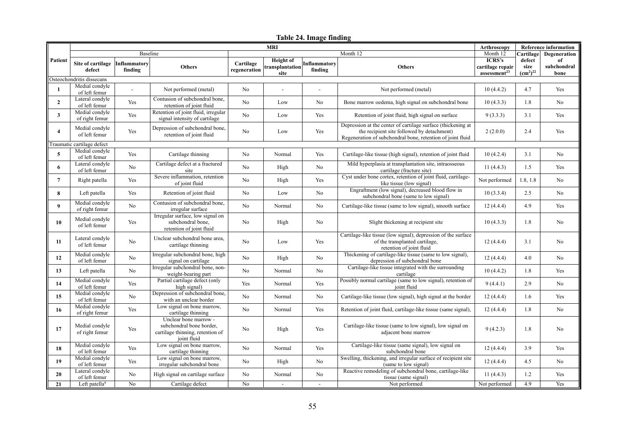### **Table 24. Image finding**

|                           | <b>MRI</b>                       |                         |                                                                                                      |                           |                                             |                         |                                                                                                                                                                          | Arthroscopy                                            |                                                    | <b>Reference information</b> |
|---------------------------|----------------------------------|-------------------------|------------------------------------------------------------------------------------------------------|---------------------------|---------------------------------------------|-------------------------|--------------------------------------------------------------------------------------------------------------------------------------------------------------------------|--------------------------------------------------------|----------------------------------------------------|------------------------------|
| Patient                   | Baseline                         |                         |                                                                                                      |                           |                                             |                         | Month 12                                                                                                                                                                 | Month 12                                               | Cartilage                                          | Degeneration                 |
|                           | Site of cartilage<br>defect      | Inflammatory<br>finding | <b>Others</b>                                                                                        | Cartilage<br>regeneration | <b>Height</b> of<br>transplantation<br>site | Inflammatory<br>finding | <b>Others</b>                                                                                                                                                            | ICRS's<br>cartilage repair<br>assessment <sup>23</sup> | defect<br>size<br>(cm <sup>2</sup> ) <sup>22</sup> | of<br>subchondral<br>bone    |
| Osteochondritis dissecans |                                  |                         |                                                                                                      |                           |                                             |                         |                                                                                                                                                                          |                                                        |                                                    |                              |
| 1                         | Medial condyle<br>of left femur  |                         | Not performed (metal)                                                                                | No                        |                                             |                         | Not performed (metal)                                                                                                                                                    | 10(4.4.2)                                              | 4.7                                                | Yes                          |
| $\overline{2}$            | Lateral condyle<br>of left femur | Yes                     | Contusion of subchondral bone,<br>retention of joint fluid                                           | N <sub>o</sub>            | Low                                         | N <sub>o</sub>          | Bone marrow oedema, high signal on subchondral bone                                                                                                                      | 10(4.3.3)                                              | 1.8                                                | N <sub>o</sub>               |
| 3                         | Medial condyle<br>of right femur | Yes                     | Retention of joint fluid, irregular<br>signal intensity of cartilage                                 | N <sub>o</sub>            | Low                                         | Yes                     | Retention of joint fluid, high signal on surface                                                                                                                         | 9(3.3.3)                                               | 3.1                                                | Yes                          |
| $\overline{4}$            | Medial condyle<br>of left femur  | Yes                     | Depression of subchondral bone,<br>retention of joint fluid                                          | N <sub>o</sub>            | Low                                         | Yes                     | Depression at the center of cartilage surface (thickening at<br>the recipient site followed by detachment)<br>Regeneration of subchondral bone, retention of joint fluid | 2(2.0.0)                                               | 2.4                                                | Yes                          |
|                           | Traumatic cartilage defect       |                         |                                                                                                      |                           |                                             |                         |                                                                                                                                                                          |                                                        |                                                    |                              |
| 5                         | Medial condyle<br>of left femur  | Yes                     | Cartilage thinning                                                                                   | No                        | Normal                                      | Yes                     | Cartilage-like tissue (high signal), retention of joint fluid                                                                                                            | 10(4.2.4)                                              | 3.1                                                | No                           |
| 6                         | Lateral condyle<br>of left femur | No                      | Cartilage defect at a fractured<br>site                                                              | No                        | High                                        | No                      | Mild hyperplasia at transplantation site, intraosseous<br>cartilage (fracture site)                                                                                      | 11(4.4.3)                                              | 1.5                                                | Yes                          |
| $\overline{7}$            | Right patella                    | Yes                     | Severe inflammation, retention<br>of joint fluid                                                     | No                        | High                                        | Yes                     | Cyst under bone cortex, retention of joint fluid, cartilage-<br>like tissue (low signal)                                                                                 | Not performed                                          | 1.8, 1.8                                           | No                           |
| 8                         | Left patella                     | Yes                     | Retention of joint fluid                                                                             | N <sub>o</sub>            | Low                                         | No                      | Engraftment (low signal), decreased blood flow in<br>subchondral bone (same to low signal)                                                                               | 10(3.3.4)                                              | 2.5                                                | No                           |
| 9                         | Medial condyle<br>of right femur | No                      | Contusion of subchondral bone,<br>irregular surface                                                  | N <sub>o</sub>            | Normal                                      | No                      | Cartilage-like tissue (same to low signal), smooth surface                                                                                                               | 12(4.4.4)                                              | 4.9                                                | Yes                          |
| 10                        | Medial condyle<br>of left femur  | <b>Yes</b>              | Irregular surface, low signal on<br>subchondral bone.<br>retention of joint fluid                    | N <sub>0</sub>            | High                                        | N <sub>o</sub>          | Slight thickening at recipient site                                                                                                                                      | 10(4.3.3)                                              | 1.8                                                | N <sub>0</sub>               |
| 11                        | Lateral condyle<br>of left femur | No                      | Unclear subchondral bone area,<br>cartilage thinning                                                 | No                        | Low                                         | Yes                     | Cartilage-like tissue (low signal), depression of the surface<br>of the transplanted cartilage,<br>retention of joint fluid                                              | 12(4.4.4)                                              | 3.1                                                | N <sub>o</sub>               |
| 12                        | Medial condyle<br>of left femur  | No                      | Irregular subchondral bone, high<br>signal on cartilage                                              | N <sub>o</sub>            | High                                        | No                      | Thickening of cartilage-like tissue (same to low signal),<br>depression of subchondral bone                                                                              | 12(4.4.4)                                              | 4.0                                                | N <sub>o</sub>               |
| 13                        | Left patella                     | No                      | Irregular subchondral bone, non-<br>weight-bearing part                                              | No                        | Normal                                      | No                      | Cartilage-like tissue integrated with the surrounding<br>cartilage                                                                                                       | 10(4.4.2)                                              | 1.8                                                | Yes                          |
| 14                        | Medial condyle<br>of left femur  | Yes                     | Partial cartilage defect (only<br>high signal)                                                       | Yes                       | Normal                                      | Yes                     | Possibly normal cartilage (same to low signal), retention of<br>joint fluid                                                                                              | 9(4.4.1)                                               | 2.9                                                | N <sub>o</sub>               |
| 15                        | Medial condyle<br>of left femur  | No                      | Depression of subchondral bone,<br>with an unclear border                                            | N <sub>o</sub>            | Normal                                      | No                      | Cartilage-like tissue (low signal), high signal at the border                                                                                                            | 12(4.4.4)                                              | 1.6                                                | Yes                          |
| 16                        | Medial condyle<br>of right femur | Yes                     | Low signal on bone marrow,<br>cartilage thinning                                                     | N <sub>o</sub>            | Normal                                      | Yes                     | Retention of joint fluid, cartilage-like tissue (same signal),                                                                                                           | 12(4.4.4)                                              | 1.8                                                | No                           |
| 17                        | Medial condyle<br>of right femur | Yes                     | Unclear bone marrow -<br>subchondral bone border,<br>cartilage thinning, retention of<br>joint fluid | N <sub>o</sub>            | High                                        | Yes                     | Cartilage-like tissue (same to low signal), low signal on<br>adjacent bone marrow                                                                                        | 9(4.2.3)                                               | 1.8                                                | N <sub>o</sub>               |
| 18                        | Medial condyle<br>of left femur  | Yes                     | Low signal on bone marrow,<br>cartilage thinning                                                     | N <sub>o</sub>            | Normal                                      | Yes                     | Cartilage-like tissue (same signal), low signal on<br>subchondral bone                                                                                                   | 12(4.4.4)                                              | 3.9                                                | Yes                          |
| 19                        | Medial condyle<br>of left femur  | Yes                     | Low signal on bone marrow,<br>irregular subchondral bone                                             | N <sub>o</sub>            | High                                        | No                      | Swelling, thickening, and irregular surface of recipient site<br>(same to low signal)                                                                                    | 12(4.4.4)                                              | 4.5                                                | N <sub>o</sub>               |
| 20                        | Lateral condyle<br>of left femur | No                      | High signal on cartilage surface                                                                     | N <sub>o</sub>            | Normal                                      | No                      | Reactive remodeling of subchondral bone, cartilage-like<br>tissue (same signal)                                                                                          | 11(4.4.3)                                              | 1.2                                                | Yes                          |
| 21                        | Left patella <sup>9</sup>        | No                      | Cartilage defect                                                                                     | No                        |                                             | $\overline{a}$          | Not performed                                                                                                                                                            | Not performed                                          | 4.9                                                | Yes                          |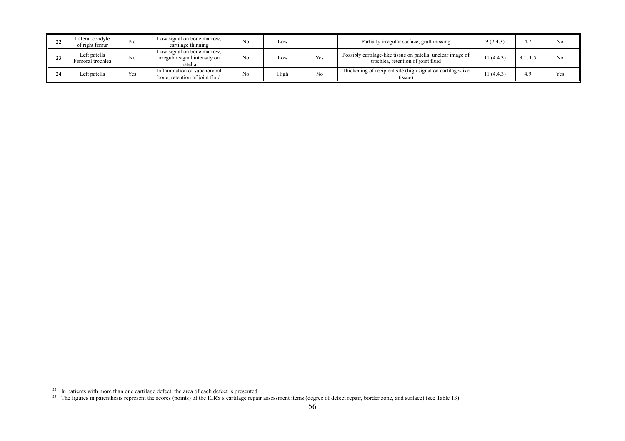|   | Lateral condvle<br>of right femur | N <sub>o</sub> | Low signal on bone marrow,<br>cartilage thinning                       | No             | LOW  |     | Partially irregular surface, graft missing                                                        | 9(2.4.3)   |     | N <sub>o</sub> |
|---|-----------------------------------|----------------|------------------------------------------------------------------------|----------------|------|-----|---------------------------------------------------------------------------------------------------|------------|-----|----------------|
| ້ | Left patella<br>Femoral trochlea  | No             | Low signal on bone marrow,<br>irregular signal intensity on<br>patella | N <sub>o</sub> | Low  | Yes | Possibly cartilage-like tissue on patella, unclear image of<br>trochlea, retention of joint fluid | 11 (4.4.3) |     | No             |
|   | Left patella                      | Yes            | Inflammation of subchondral<br>bone, retention of joint fluid          | No             | High | No  | Thickening of recipient site (high signal on cartilage-like<br>tissue)                            | 11(4.4.3)  | 4.9 | Yes            |

In patients with more than one cartilage defect, the area of each defect is presented.

 $^{23}$  The figures in parenthesis represent the scores (points) of the ICRS's cartilage repair assessment items (degree of defect repair, border zone, and surface) (see Table 13).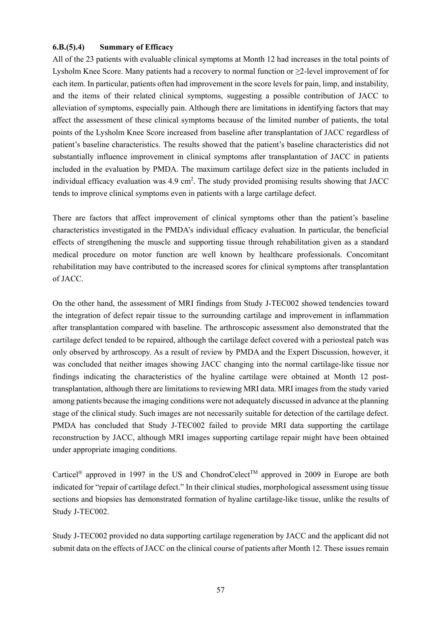#### **6.B.(5).4) Summary of Efficacy**

All of the 23 patients with evaluable clinical symptoms at Month 12 had increases in the total points of Lysholm Knee Score. Many patients had a recovery to normal function or ≥2-level improvement of for each item. In particular, patients often had improvement in the score levels for pain, limp, and instability, and the items of their related clinical symptoms, suggesting a possible contribution of JACC to alleviation of symptoms, especially pain. Although there are limitations in identifying factors that may affect the assessment of these clinical symptoms because of the limited number of patients, the total points of the Lysholm Knee Score increased from baseline after transplantation of JACC regardless of patient's baseline characteristics. The results showed that the patient's baseline characteristics did not substantially influence improvement in clinical symptoms after transplantation of JACC in patients included in the evaluation by PMDA. The maximum cartilage defect size in the patients included in individual efficacy evaluation was  $4.9 \text{ cm}^2$ . The study provided promising results showing that JACC tends to improve clinical symptoms even in patients with a large cartilage defect.

There are factors that affect improvement of clinical symptoms other than the patient's baseline characteristics investigated in the PMDA's individual efficacy evaluation. In particular, the beneficial effects of strengthening the muscle and supporting tissue through rehabilitation given as a standard medical procedure on motor function are well known by healthcare professionals. Concomitant rehabilitation may have contributed to the increased scores for clinical symptoms after transplantation of JACC.

On the other hand, the assessment of MRI findings from Study J-TEC002 showed tendencies toward the integration of defect repair tissue to the surrounding cartilage and improvement in inflammation after transplantation compared with baseline. The arthroscopic assessment also demonstrated that the cartilage defect tended to be repaired, although the cartilage defect covered with a periosteal patch was only observed by arthroscopy. As a result of review by PMDA and the Expert Discussion, however, it was concluded that neither images showing JACC changing into the normal cartilage-like tissue nor findings indicating the characteristics of the hyaline cartilage were obtained at Month 12 posttransplantation, although there are limitations to reviewing MRI data. MRI images from the study varied among patients because the imaging conditions were not adequately discussed in advance at the planning stage of the clinical study. Such images are not necessarily suitable for detection of the cartilage defect. PMDA has concluded that Study J-TEC002 failed to provide MRI data supporting the cartilage reconstruction by JACC, although MRI images supporting cartilage repair might have been obtained under appropriate imaging conditions.

Carticel<sup>®</sup> approved in 1997 in the US and ChondroCelect<sup>™</sup> approved in 2009 in Europe are both indicated for "repair of cartilage defect." In their clinical studies, morphological assessment using tissue sections and biopsies has demonstrated formation of hyaline cartilage-like tissue, unlike the results of Study J-TEC002.

Study J-TEC002 provided no data supporting cartilage regeneration by JACC and the applicant did not submit data on the effects of JACC on the clinical course of patients after Month 12. These issues remain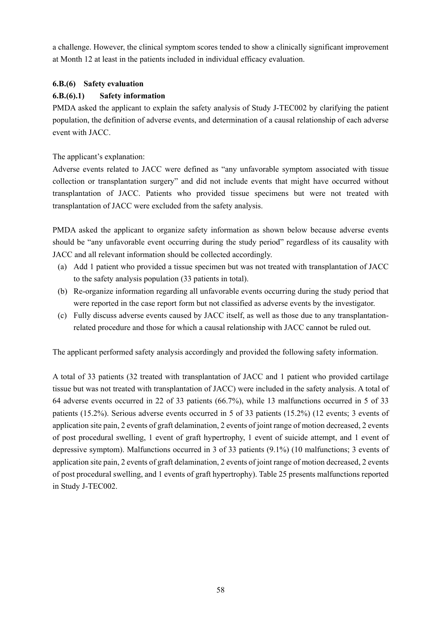a challenge. However, the clinical symptom scores tended to show a clinically significant improvement at Month 12 at least in the patients included in individual efficacy evaluation.

# **6.B.(6) Safety evaluation**

# **6.B.(6).1) Safety information**

PMDA asked the applicant to explain the safety analysis of Study J-TEC002 by clarifying the patient population, the definition of adverse events, and determination of a causal relationship of each adverse event with JACC.

The applicant's explanation:

Adverse events related to JACC were defined as "any unfavorable symptom associated with tissue collection or transplantation surgery" and did not include events that might have occurred without transplantation of JACC. Patients who provided tissue specimens but were not treated with transplantation of JACC were excluded from the safety analysis.

PMDA asked the applicant to organize safety information as shown below because adverse events should be "any unfavorable event occurring during the study period" regardless of its causality with JACC and all relevant information should be collected accordingly.

- (a) Add 1 patient who provided a tissue specimen but was not treated with transplantation of JACC to the safety analysis population (33 patients in total).
- (b) Re-organize information regarding all unfavorable events occurring during the study period that were reported in the case report form but not classified as adverse events by the investigator.
- (c) Fully discuss adverse events caused by JACC itself, as well as those due to any transplantationrelated procedure and those for which a causal relationship with JACC cannot be ruled out.

The applicant performed safety analysis accordingly and provided the following safety information.

A total of 33 patients (32 treated with transplantation of JACC and 1 patient who provided cartilage tissue but was not treated with transplantation of JACC) were included in the safety analysis. A total of 64 adverse events occurred in 22 of 33 patients (66.7%), while 13 malfunctions occurred in 5 of 33 patients (15.2%). Serious adverse events occurred in 5 of 33 patients (15.2%) (12 events; 3 events of application site pain, 2 events of graft delamination, 2 events of joint range of motion decreased, 2 events of post procedural swelling, 1 event of graft hypertrophy, 1 event of suicide attempt, and 1 event of depressive symptom). Malfunctions occurred in 3 of 33 patients (9.1%) (10 malfunctions; 3 events of application site pain, 2 events of graft delamination, 2 events of joint range of motion decreased, 2 events of post procedural swelling, and 1 events of graft hypertrophy). Table 25 presents malfunctions reported in Study J-TEC002.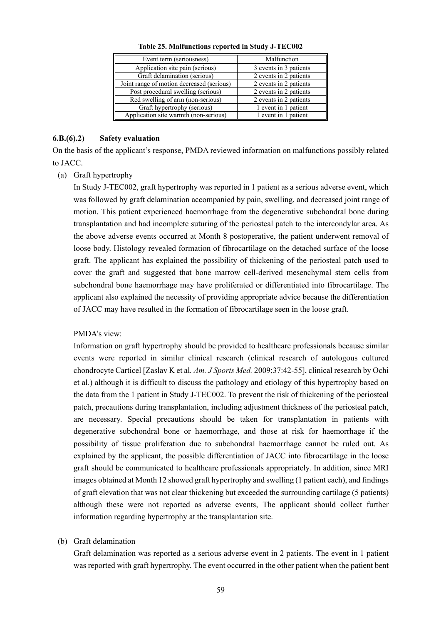| Event term (seriousness)                  | Malfunction            |
|-------------------------------------------|------------------------|
| Application site pain (serious)           | 3 events in 3 patients |
| Graft delamination (serious)              | 2 events in 2 patients |
| Joint range of motion decreased (serious) | 2 events in 2 patients |
| Post procedural swelling (serious)        | 2 events in 2 patients |
| Red swelling of arm (non-serious)         | 2 events in 2 patients |
| Graft hypertrophy (serious)               | 1 event in 1 patient   |
| Application site warmth (non-serious)     | 1 event in 1 patient   |

**Table 25. Malfunctions reported in Study J-TEC002** 

#### **6.B.(6).2) Safety evaluation**

On the basis of the applicant's response, PMDA reviewed information on malfunctions possibly related to JACC.

(a) Graft hypertrophy

In Study J-TEC002, graft hypertrophy was reported in 1 patient as a serious adverse event, which was followed by graft delamination accompanied by pain, swelling, and decreased joint range of motion. This patient experienced haemorrhage from the degenerative subchondral bone during transplantation and had incomplete suturing of the periosteal patch to the intercondylar area. As the above adverse events occurred at Month 8 postoperative, the patient underwent removal of loose body. Histology revealed formation of fibrocartilage on the detached surface of the loose graft. The applicant has explained the possibility of thickening of the periosteal patch used to cover the graft and suggested that bone marrow cell-derived mesenchymal stem cells from subchondral bone haemorrhage may have proliferated or differentiated into fibrocartilage. The applicant also explained the necessity of providing appropriate advice because the differentiation of JACC may have resulted in the formation of fibrocartilage seen in the loose graft.

#### PMDA's view:

Information on graft hypertrophy should be provided to healthcare professionals because similar events were reported in similar clinical research (clinical research of autologous cultured chondrocyte Carticel [Zaslav K et al*. Am. J Sports Med.* 2009;37:42-55], clinical research by Ochi et al.) although it is difficult to discuss the pathology and etiology of this hypertrophy based on the data from the 1 patient in Study J-TEC002. To prevent the risk of thickening of the periosteal patch, precautions during transplantation, including adjustment thickness of the periosteal patch, are necessary. Special precautions should be taken for transplantation in patients with degenerative subchondral bone or haemorrhage, and those at risk for haemorrhage if the possibility of tissue proliferation due to subchondral haemorrhage cannot be ruled out. As explained by the applicant, the possible differentiation of JACC into fibrocartilage in the loose graft should be communicated to healthcare professionals appropriately. In addition, since MRI images obtained at Month 12 showed graft hypertrophy and swelling (1 patient each), and findings of graft elevation that was not clear thickening but exceeded the surrounding cartilage (5 patients) although these were not reported as adverse events, The applicant should collect further information regarding hypertrophy at the transplantation site.

#### (b) Graft delamination

Graft delamination was reported as a serious adverse event in 2 patients. The event in 1 patient was reported with graft hypertrophy. The event occurred in the other patient when the patient bent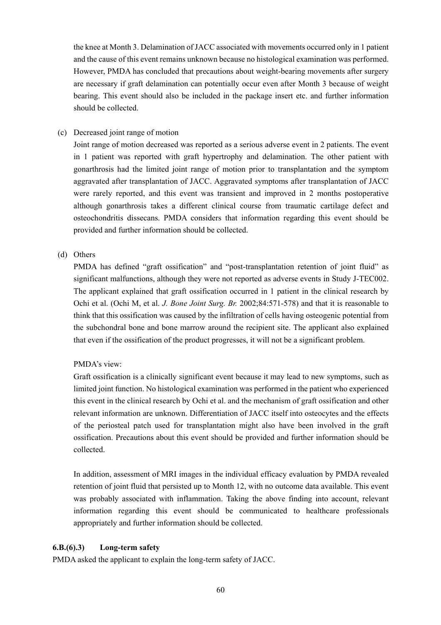the knee at Month 3. Delamination of JACC associated with movements occurred only in 1 patient and the cause of this event remains unknown because no histological examination was performed. However, PMDA has concluded that precautions about weight-bearing movements after surgery are necessary if graft delamination can potentially occur even after Month 3 because of weight bearing. This event should also be included in the package insert etc. and further information should be collected.

### (c) Decreased joint range of motion

Joint range of motion decreased was reported as a serious adverse event in 2 patients. The event in 1 patient was reported with graft hypertrophy and delamination. The other patient with gonarthrosis had the limited joint range of motion prior to transplantation and the symptom aggravated after transplantation of JACC. Aggravated symptoms after transplantation of JACC were rarely reported, and this event was transient and improved in 2 months postoperative although gonarthrosis takes a different clinical course from traumatic cartilage defect and osteochondritis dissecans. PMDA considers that information regarding this event should be provided and further information should be collected.

### (d) Others

PMDA has defined "graft ossification" and "post-transplantation retention of joint fluid" as significant malfunctions, although they were not reported as adverse events in Study J-TEC002. The applicant explained that graft ossification occurred in 1 patient in the clinical research by Ochi et al. (Ochi M, et al. *J. Bone Joint Surg. Br.* 2002;84:571-578) and that it is reasonable to think that this ossification was caused by the infiltration of cells having osteogenic potential from the subchondral bone and bone marrow around the recipient site. The applicant also explained that even if the ossification of the product progresses, it will not be a significant problem.

# PMDA's view:

Graft ossification is a clinically significant event because it may lead to new symptoms, such as limited joint function. No histological examination was performed in the patient who experienced this event in the clinical research by Ochi et al. and the mechanism of graft ossification and other relevant information are unknown. Differentiation of JACC itself into osteocytes and the effects of the periosteal patch used for transplantation might also have been involved in the graft ossification. Precautions about this event should be provided and further information should be collected.

In addition, assessment of MRI images in the individual efficacy evaluation by PMDA revealed retention of joint fluid that persisted up to Month 12, with no outcome data available. This event was probably associated with inflammation. Taking the above finding into account, relevant information regarding this event should be communicated to healthcare professionals appropriately and further information should be collected.

# **6.B.(6).3) Long-term safety**

PMDA asked the applicant to explain the long-term safety of JACC.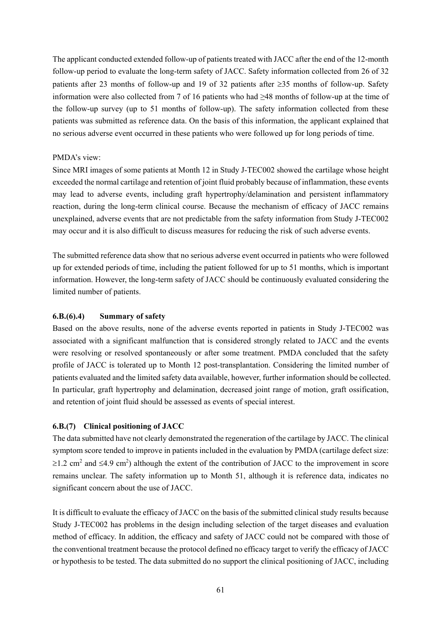The applicant conducted extended follow-up of patients treated with JACC after the end of the 12-month follow-up period to evaluate the long-term safety of JACC. Safety information collected from 26 of 32 patients after 23 months of follow-up and 19 of 32 patients after  $\geq$ 35 months of follow-up. Safety information were also collected from 7 of 16 patients who had ≥48 months of follow-up at the time of the follow-up survey (up to 51 months of follow-up). The safety information collected from these patients was submitted as reference data. On the basis of this information, the applicant explained that no serious adverse event occurred in these patients who were followed up for long periods of time.

#### PMDA's view:

Since MRI images of some patients at Month 12 in Study J-TEC002 showed the cartilage whose height exceeded the normal cartilage and retention of joint fluid probably because of inflammation, these events may lead to adverse events, including graft hypertrophy/delamination and persistent inflammatory reaction, during the long-term clinical course. Because the mechanism of efficacy of JACC remains unexplained, adverse events that are not predictable from the safety information from Study J-TEC002 may occur and it is also difficult to discuss measures for reducing the risk of such adverse events.

The submitted reference data show that no serious adverse event occurred in patients who were followed up for extended periods of time, including the patient followed for up to 51 months, which is important information. However, the long-term safety of JACC should be continuously evaluated considering the limited number of patients.

#### **6.B.(6).4) Summary of safety**

Based on the above results, none of the adverse events reported in patients in Study J-TEC002 was associated with a significant malfunction that is considered strongly related to JACC and the events were resolving or resolved spontaneously or after some treatment. PMDA concluded that the safety profile of JACC is tolerated up to Month 12 post-transplantation. Considering the limited number of patients evaluated and the limited safety data available, however, further information should be collected. In particular, graft hypertrophy and delamination, decreased joint range of motion, graft ossification, and retention of joint fluid should be assessed as events of special interest.

#### **6.B.(7) Clinical positioning of JACC**

The data submitted have not clearly demonstrated the regeneration of the cartilage by JACC. The clinical symptom score tended to improve in patients included in the evaluation by PMDA (cartilage defect size:  $\geq$ 1.2 cm<sup>2</sup> and  $\leq$ 4.9 cm<sup>2</sup>) although the extent of the contribution of JACC to the improvement in score remains unclear. The safety information up to Month 51, although it is reference data, indicates no significant concern about the use of JACC.

It is difficult to evaluate the efficacy of JACC on the basis of the submitted clinical study results because Study J-TEC002 has problems in the design including selection of the target diseases and evaluation method of efficacy. In addition, the efficacy and safety of JACC could not be compared with those of the conventional treatment because the protocol defined no efficacy target to verify the efficacy of JACC or hypothesis to be tested. The data submitted do no support the clinical positioning of JACC, including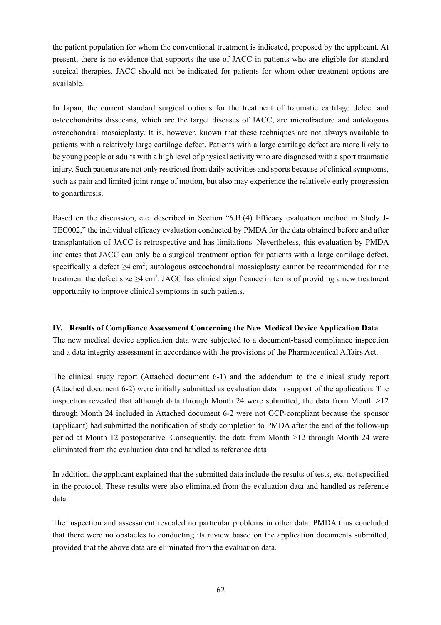the patient population for whom the conventional treatment is indicated, proposed by the applicant. At present, there is no evidence that supports the use of JACC in patients who are eligible for standard surgical therapies. JACC should not be indicated for patients for whom other treatment options are available.

In Japan, the current standard surgical options for the treatment of traumatic cartilage defect and osteochondritis dissecans, which are the target diseases of JACC, are microfracture and autologous osteochondral mosaicplasty. It is, however, known that these techniques are not always available to patients with a relatively large cartilage defect. Patients with a large cartilage defect are more likely to be young people or adults with a high level of physical activity who are diagnosed with a sport traumatic injury. Such patients are not only restricted from daily activities and sports because of clinical symptoms, such as pain and limited joint range of motion, but also may experience the relatively early progression to gonarthrosis.

Based on the discussion, etc. described in Section "6.B.(4) Efficacy evaluation method in Study J-TEC002," the individual efficacy evaluation conducted by PMDA for the data obtained before and after transplantation of JACC is retrospective and has limitations. Nevertheless, this evaluation by PMDA indicates that JACC can only be a surgical treatment option for patients with a large cartilage defect, specifically a defect  $\geq 4$  cm<sup>2</sup>; autologous osteochondral mosaicplasty cannot be recommended for the treatment the defect size  $\geq$ 4 cm<sup>2</sup>. JACC has clinical significance in terms of providing a new treatment opportunity to improve clinical symptoms in such patients.

#### **IV. Results of Compliance Assessment Concerning the New Medical Device Application Data**

The new medical device application data were subjected to a document-based compliance inspection and a data integrity assessment in accordance with the provisions of the Pharmaceutical Affairs Act.

The clinical study report (Attached document 6-1) and the addendum to the clinical study report (Attached document 6-2) were initially submitted as evaluation data in support of the application. The inspection revealed that although data through Month 24 were submitted, the data from Month  $>12$ through Month 24 included in Attached document 6-2 were not GCP-compliant because the sponsor (applicant) had submitted the notification of study completion to PMDA after the end of the follow-up period at Month 12 postoperative. Consequently, the data from Month >12 through Month 24 were eliminated from the evaluation data and handled as reference data.

In addition, the applicant explained that the submitted data include the results of tests, etc. not specified in the protocol. These results were also eliminated from the evaluation data and handled as reference data.

The inspection and assessment revealed no particular problems in other data. PMDA thus concluded that there were no obstacles to conducting its review based on the application documents submitted, provided that the above data are eliminated from the evaluation data.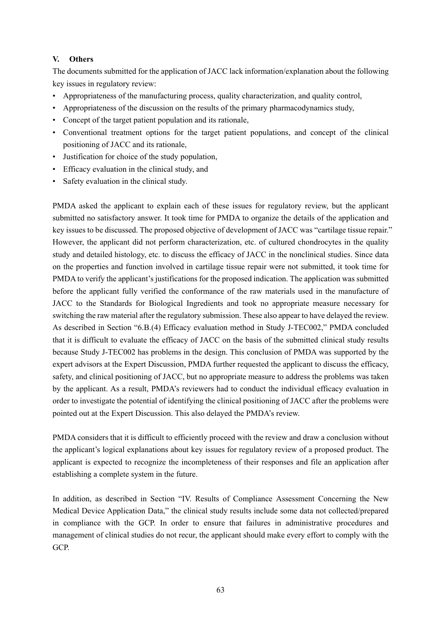### **V. Others**

The documents submitted for the application of JACC lack information/explanation about the following key issues in regulatory review:

- Appropriateness of the manufacturing process, quality characterization, and quality control,
- Appropriateness of the discussion on the results of the primary pharmacodynamics study,
- Concept of the target patient population and its rationale,
- Conventional treatment options for the target patient populations, and concept of the clinical positioning of JACC and its rationale,
- Justification for choice of the study population,
- Efficacy evaluation in the clinical study, and
- Safety evaluation in the clinical study.

PMDA asked the applicant to explain each of these issues for regulatory review, but the applicant submitted no satisfactory answer. It took time for PMDA to organize the details of the application and key issues to be discussed. The proposed objective of development of JACC was "cartilage tissue repair." However, the applicant did not perform characterization, etc. of cultured chondrocytes in the quality study and detailed histology, etc. to discuss the efficacy of JACC in the nonclinical studies. Since data on the properties and function involved in cartilage tissue repair were not submitted, it took time for PMDA to verify the applicant's justifications for the proposed indication. The application was submitted before the applicant fully verified the conformance of the raw materials used in the manufacture of JACC to the Standards for Biological Ingredients and took no appropriate measure necessary for switching the raw material after the regulatory submission. These also appear to have delayed the review. As described in Section "6.B.(4) Efficacy evaluation method in Study J-TEC002," PMDA concluded that it is difficult to evaluate the efficacy of JACC on the basis of the submitted clinical study results because Study J-TEC002 has problems in the design. This conclusion of PMDA was supported by the expert advisors at the Expert Discussion, PMDA further requested the applicant to discuss the efficacy, safety, and clinical positioning of JACC, but no appropriate measure to address the problems was taken by the applicant. As a result, PMDA's reviewers had to conduct the individual efficacy evaluation in order to investigate the potential of identifying the clinical positioning of JACC after the problems were pointed out at the Expert Discussion. This also delayed the PMDA's review.

PMDA considers that it is difficult to efficiently proceed with the review and draw a conclusion without the applicant's logical explanations about key issues for regulatory review of a proposed product. The applicant is expected to recognize the incompleteness of their responses and file an application after establishing a complete system in the future.

In addition, as described in Section "IV. Results of Compliance Assessment Concerning the New Medical Device Application Data," the clinical study results include some data not collected/prepared in compliance with the GCP. In order to ensure that failures in administrative procedures and management of clinical studies do not recur, the applicant should make every effort to comply with the GCP.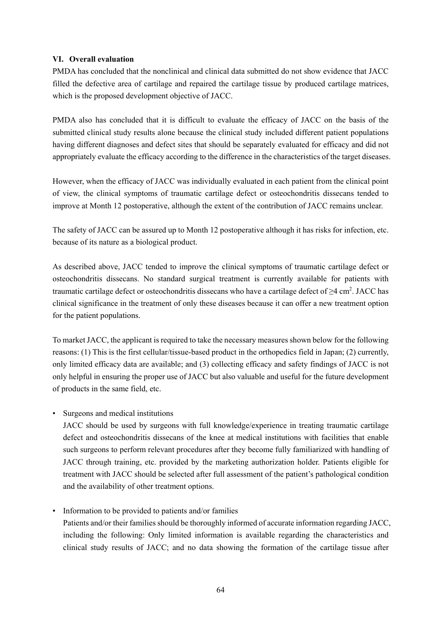# **VI. Overall evaluation**

PMDA has concluded that the nonclinical and clinical data submitted do not show evidence that JACC filled the defective area of cartilage and repaired the cartilage tissue by produced cartilage matrices, which is the proposed development objective of JACC.

PMDA also has concluded that it is difficult to evaluate the efficacy of JACC on the basis of the submitted clinical study results alone because the clinical study included different patient populations having different diagnoses and defect sites that should be separately evaluated for efficacy and did not appropriately evaluate the efficacy according to the difference in the characteristics of the target diseases.

However, when the efficacy of JACC was individually evaluated in each patient from the clinical point of view, the clinical symptoms of traumatic cartilage defect or osteochondritis dissecans tended to improve at Month 12 postoperative, although the extent of the contribution of JACC remains unclear.

The safety of JACC can be assured up to Month 12 postoperative although it has risks for infection, etc. because of its nature as a biological product.

As described above, JACC tended to improve the clinical symptoms of traumatic cartilage defect or osteochondritis dissecans. No standard surgical treatment is currently available for patients with traumatic cartilage defect or osteochondritis dissecans who have a cartilage defect of  $\geq$ 4 cm<sup>2</sup>. JACC has clinical significance in the treatment of only these diseases because it can offer a new treatment option for the patient populations.

To market JACC, the applicant is required to take the necessary measures shown below for the following reasons: (1) This is the first cellular/tissue-based product in the orthopedics field in Japan; (2) currently, only limited efficacy data are available; and (3) collecting efficacy and safety findings of JACC is not only helpful in ensuring the proper use of JACC but also valuable and useful for the future development of products in the same field, etc.

• Surgeons and medical institutions

JACC should be used by surgeons with full knowledge/experience in treating traumatic cartilage defect and osteochondritis dissecans of the knee at medical institutions with facilities that enable such surgeons to perform relevant procedures after they become fully familiarized with handling of JACC through training, etc. provided by the marketing authorization holder. Patients eligible for treatment with JACC should be selected after full assessment of the patient's pathological condition and the availability of other treatment options.

• Information to be provided to patients and/or families

Patients and/or their families should be thoroughly informed of accurate information regarding JACC, including the following: Only limited information is available regarding the characteristics and clinical study results of JACC; and no data showing the formation of the cartilage tissue after